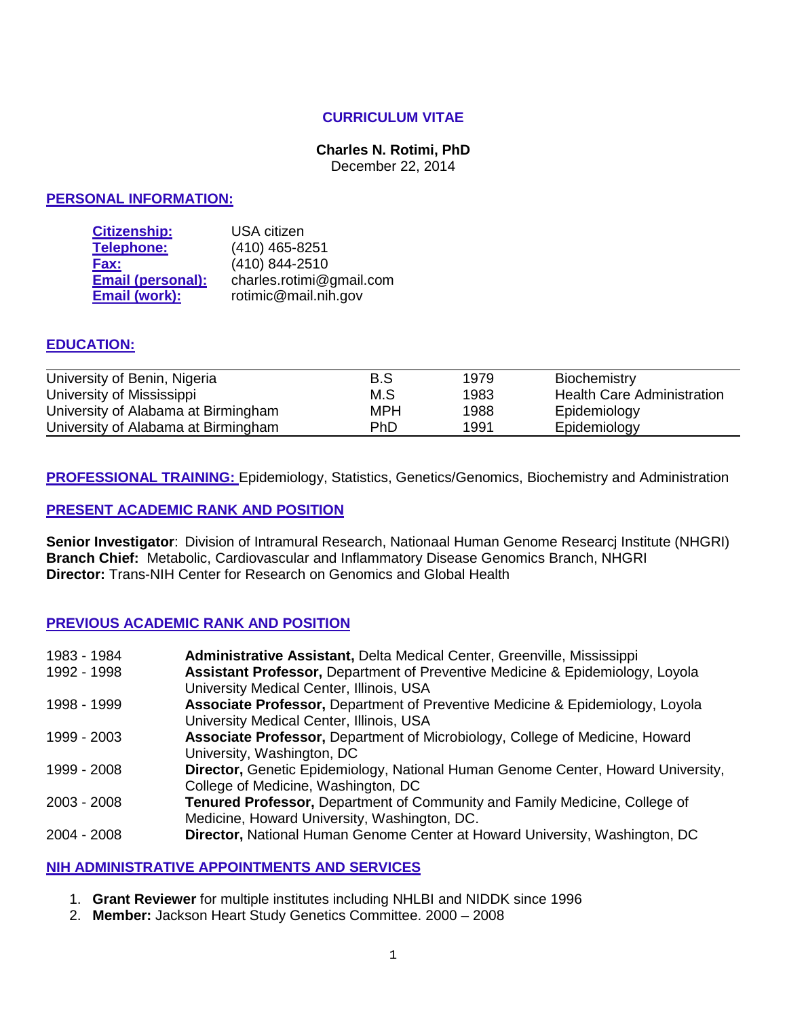# **CURRICULUM VITAE**

# **Charles N. Rotimi, PhD**

December 22, 2014

## **PERSONAL INFORMATION:**

| <b>Citizenship:</b>      | <b>USA</b> citizen       |
|--------------------------|--------------------------|
| <b>Telephone:</b>        | (410) 465-8251           |
| Fax:                     | (410) 844-2510           |
| <b>Email (personal):</b> | charles.rotimi@gmail.com |
| Email (work):            | rotimic@mail.nih.gov     |

# **EDUCATION:**

| University of Benin, Nigeria        | B.S | 1979 | Biochemistry                      |
|-------------------------------------|-----|------|-----------------------------------|
| University of Mississippi           | M.S | 1983 | <b>Health Care Administration</b> |
| University of Alabama at Birmingham | MPH | 1988 | Epidemiology                      |
| University of Alabama at Birmingham | PhD | 1991 | Epidemiology                      |

**PROFESSIONAL TRAINING:** Epidemiology, Statistics, Genetics/Genomics, Biochemistry and Administration

#### **PRESENT ACADEMIC RANK AND POSITION**

**Senior Investigator**: Division of Intramural Research, Nationaal Human Genome Researcj Institute (NHGRI) **Branch Chief:** Metabolic, Cardiovascular and Inflammatory Disease Genomics Branch, NHGRI **Director:** Trans-NIH Center for Research on Genomics and Global Health

# **PREVIOUS ACADEMIC RANK AND POSITION**

| 1983 - 1984   | Administrative Assistant, Delta Medical Center, Greenville, Mississippi                  |
|---------------|------------------------------------------------------------------------------------------|
| 1992 - 1998   | <b>Assistant Professor, Department of Preventive Medicine &amp; Epidemiology, Loyola</b> |
|               | University Medical Center, Illinois, USA                                                 |
| 1998 - 1999   | Associate Professor, Department of Preventive Medicine & Epidemiology, Loyola            |
|               | University Medical Center, Illinois, USA                                                 |
| 1999 - 2003   | Associate Professor, Department of Microbiology, College of Medicine, Howard             |
|               | University, Washington, DC                                                               |
| 1999 - 2008   | Director, Genetic Epidemiology, National Human Genome Center, Howard University,         |
|               | College of Medicine, Washington, DC                                                      |
| $2003 - 2008$ | Tenured Professor, Department of Community and Family Medicine, College of               |
|               | Medicine, Howard University, Washington, DC.                                             |
| 2004 - 2008   | Director, National Human Genome Center at Howard University, Washington, DC              |
|               |                                                                                          |

#### **NIH ADMINISTRATIVE APPOINTMENTS AND SERVICES**

- 1. **Grant Reviewer** for multiple institutes including NHLBI and NIDDK since 1996
- 2. **Member:** Jackson Heart Study Genetics Committee. 2000 2008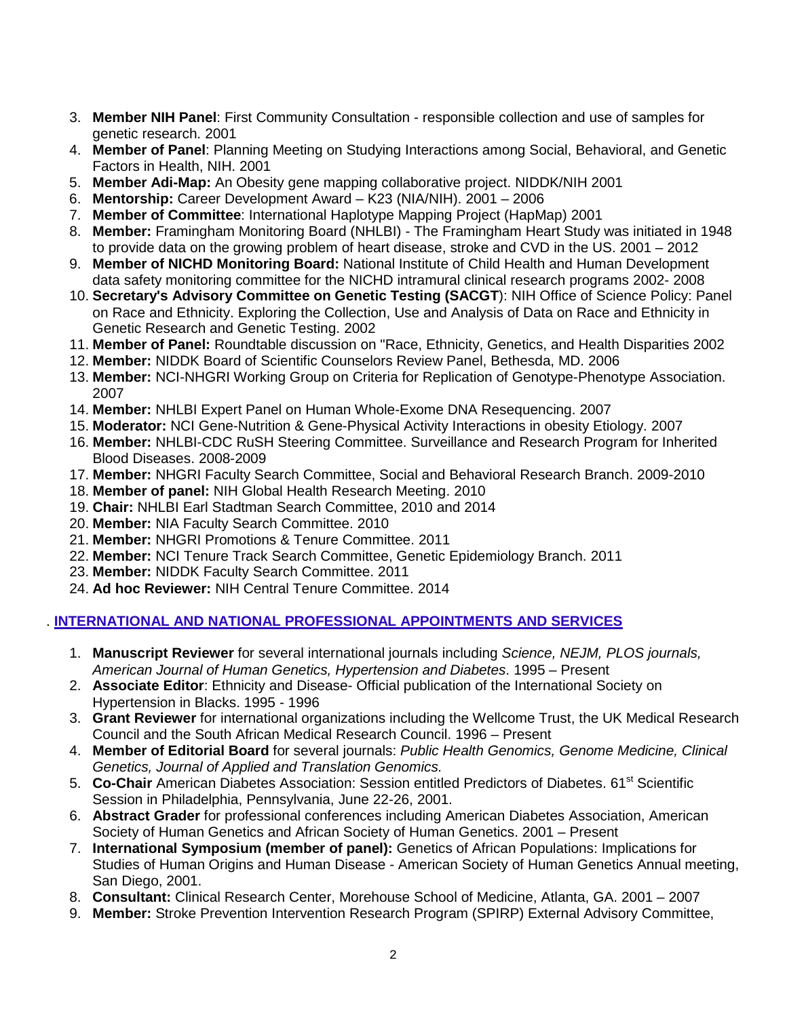- 3. **Member NIH Panel**: First Community Consultation responsible collection and use of samples for genetic research. 2001
- 4. **Member of Panel**: Planning Meeting on Studying Interactions among Social, Behavioral, and Genetic Factors in Health, NIH. 2001
- 5. **Member Adi-Map:** An Obesity gene mapping collaborative project. NIDDK/NIH 2001
- 6. **Mentorship:** Career Development Award K23 (NIA/NIH). 2001 2006
- 7. **Member of Committee**: International Haplotype Mapping Project (HapMap) 2001
- 8. **Member:** Framingham Monitoring Board (NHLBI) The Framingham Heart Study was initiated in 1948 to provide data on the growing problem of heart disease, stroke and CVD in the US. 2001 – 2012
- 9. **Member of NICHD Monitoring Board:** National Institute of Child Health and Human Development data safety monitoring committee for the NICHD intramural clinical research programs 2002- 2008
- 10. **Secretary's Advisory Committee on Genetic Testing (SACGT**): NIH Office of Science Policy: Panel on Race and Ethnicity. Exploring the Collection, Use and Analysis of Data on Race and Ethnicity in Genetic Research and Genetic Testing. 2002
- 11. **Member of Panel:** Roundtable discussion on "Race, Ethnicity, Genetics, and Health Disparities 2002
- 12. **Member:** NIDDK Board of Scientific Counselors Review Panel, Bethesda, MD. 2006
- 13. **Member:** NCI-NHGRI Working Group on Criteria for Replication of Genotype-Phenotype Association. 2007
- 14. **Member:** NHLBI Expert Panel on Human Whole-Exome DNA Resequencing. 2007
- 15. **Moderator:** NCI Gene-Nutrition & Gene-Physical Activity Interactions in obesity Etiology. 2007
- 16. **Member:** NHLBI-CDC RuSH Steering Committee. Surveillance and Research Program for Inherited Blood Diseases. 2008-2009
- 17. **Member:** NHGRI Faculty Search Committee, Social and Behavioral Research Branch. 2009-2010
- 18. **Member of panel:** NIH Global Health Research Meeting. 2010
- 19. **Chair:** NHLBI Earl Stadtman Search Committee, 2010 and 2014
- 20. **Member:** NIA Faculty Search Committee. 2010
- 21. **Member:** NHGRI Promotions & Tenure Committee. 2011
- 22. **Member:** NCI Tenure Track Search Committee, Genetic Epidemiology Branch. 2011
- 23. **Member:** NIDDK Faculty Search Committee. 2011
- 24. **Ad hoc Reviewer:** NIH Central Tenure Committee. 2014

# . **INTERNATIONAL AND NATIONAL PROFESSIONAL APPOINTMENTS AND SERVICES**

- 1. **Manuscript Reviewer** for several international journals including *Science, NEJM, PLOS journals, American Journal of Human Genetics, Hypertension and Diabetes*. 1995 – Present
- 2. **Associate Editor**: Ethnicity and Disease- Official publication of the International Society on Hypertension in Blacks. 1995 - 1996
- 3. **Grant Reviewer** for international organizations including the Wellcome Trust, the UK Medical Research Council and the South African Medical Research Council. 1996 – Present
- 4. **Member of Editorial Board** for several journals: *Public Health Genomics, Genome Medicine, Clinical Genetics, Journal of Applied and Translation Genomics.*
- 5. **Co-Chair** American Diabetes Association: Session entitled Predictors of Diabetes. 61st Scientific Session in Philadelphia, Pennsylvania, June 22-26, 2001.
- 6. **Abstract Grader** for professional conferences including American Diabetes Association, American Society of Human Genetics and African Society of Human Genetics. 2001 – Present
- 7. **International Symposium (member of panel):** Genetics of African Populations: Implications for Studies of Human Origins and Human Disease - American Society of Human Genetics Annual meeting, San Diego, 2001.
- 8. **Consultant:** Clinical Research Center, Morehouse School of Medicine, Atlanta, GA. 2001 2007
- 9. **Member:** Stroke Prevention Intervention Research Program (SPIRP) External Advisory Committee,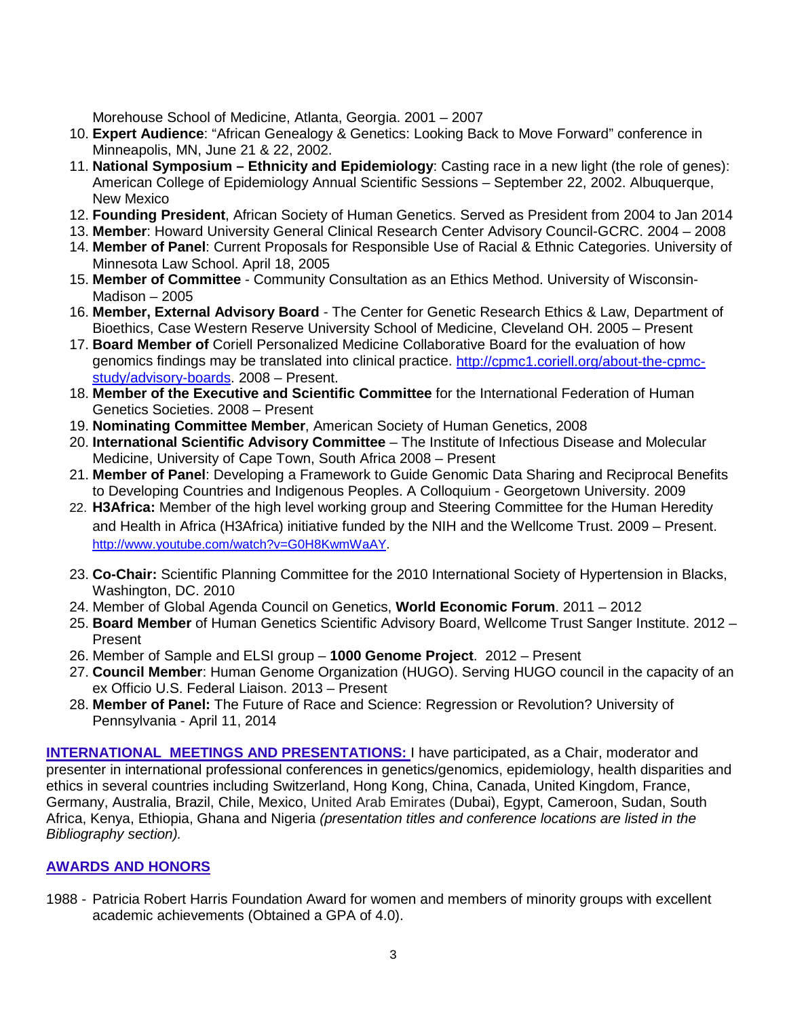Morehouse School of Medicine, Atlanta, Georgia. 2001 – 2007

- 10. **Expert Audience**: "African Genealogy & Genetics: Looking Back to Move Forward" conference in Minneapolis, MN, June 21 & 22, 2002.
- 11. **National Symposium – Ethnicity and Epidemiology**: Casting race in a new light (the role of genes): American College of Epidemiology Annual Scientific Sessions – September 22, 2002. Albuquerque, New Mexico
- 12. **Founding President**, African Society of Human Genetics. Served as President from 2004 to Jan 2014
- 13. **Member**: Howard University General Clinical Research Center Advisory Council-GCRC. 2004 2008
- 14. **Member of Panel**: Current Proposals for Responsible Use of Racial & Ethnic Categories. University of Minnesota Law School. April 18, 2005
- 15. **Member of Committee** Community Consultation as an Ethics Method. University of Wisconsin-Madison – 2005
- 16. **Member, External Advisory Board** The Center for Genetic Research Ethics & Law, Department of Bioethics, Case Western Reserve University School of Medicine, Cleveland OH. 2005 – Present
- 17. **Board Member of** Coriell Personalized Medicine Collaborative Board for the evaluation of how genomics findings may be translated into clinical practice. [http://cpmc1.coriell.org/about-the-cpmc](http://cpmc1.coriell.org/about-the-cpmc-study/advisory-boards)[study/advisory-boards.](http://cpmc1.coriell.org/about-the-cpmc-study/advisory-boards) 2008 – Present.
- 18. **Member of the Executive and Scientific Committee** for the International Federation of Human Genetics Societies. 2008 – Present
- 19. **Nominating Committee Member**, American Society of Human Genetics, 2008
- 20. **International Scientific Advisory Committee** The Institute of Infectious Disease and Molecular Medicine, University of Cape Town, South Africa 2008 – Present
- 21. **Member of Panel**: Developing a Framework to Guide Genomic Data Sharing and Reciprocal Benefits to Developing Countries and Indigenous Peoples. A Colloquium - Georgetown University. 2009
- 22. **H3Africa:** Member of the high level working group and Steering Committee for the Human Heredity and Health in Africa (H3Africa) initiative funded by the NIH and the Wellcome Trust. 2009 – Present. [http://www.youtube.com/watch?v=G0H8KwmWaAY.](http://www.youtube.com/watch?v=G0H8KwmWaAY)
- 23. **Co-Chair:** Scientific Planning Committee for the 2010 International Society of Hypertension in Blacks, Washington, DC. 2010
- 24. Member of Global Agenda Council on Genetics, **World Economic Forum**. 2011 2012
- 25. **Board Member** of Human Genetics Scientific Advisory Board, Wellcome Trust Sanger Institute. 2012 Present
- 26. Member of Sample and ELSI group **1000 Genome Project**. 2012 Present
- 27. **Council Member**: Human Genome Organization (HUGO). Serving HUGO council in the capacity of an ex Officio U.S. Federal Liaison. 2013 – Present
- 28. **Member of Panel:** The Future of Race and Science: Regression or Revolution? University of Pennsylvania - April 11, 2014

**INTERNATIONAL MEETINGS AND PRESENTATIONS:** I have participated, as a Chair, moderator and presenter in international professional conferences in genetics/genomics, epidemiology, health disparities and ethics in several countries including Switzerland, Hong Kong, China, Canada, United Kingdom, France, Germany, Australia, Brazil, Chile, Mexico, United Arab Emirates (Dubai), Egypt, Cameroon, Sudan, South Africa, Kenya, Ethiopia, Ghana and Nigeria *(presentation titles and conference locations are listed in the Bibliography section).* 

# **AWARDS AND HONORS**

1988 - Patricia Robert Harris Foundation Award for women and members of minority groups with excellent academic achievements (Obtained a GPA of 4.0).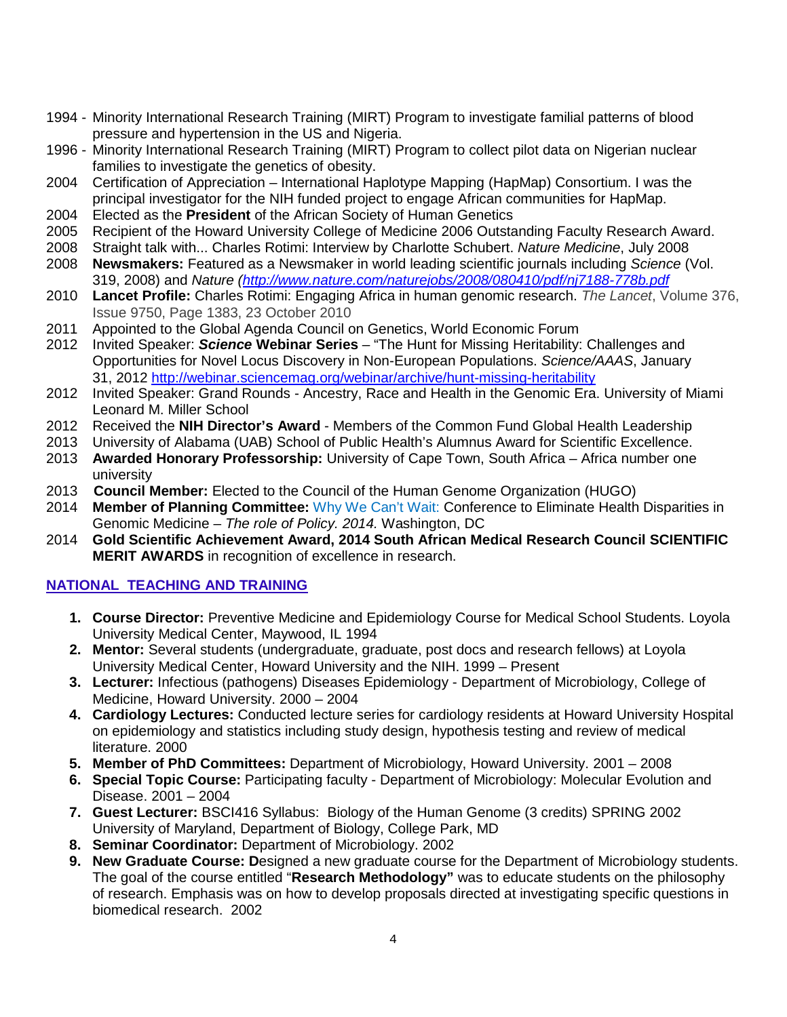- 1994 Minority International Research Training (MIRT) Program to investigate familial patterns of blood pressure and hypertension in the US and Nigeria.
- 1996 Minority International Research Training (MIRT) Program to collect pilot data on Nigerian nuclear families to investigate the genetics of obesity.
- 2004 Certification of Appreciation International Haplotype Mapping (HapMap) Consortium. I was the principal investigator for the NIH funded project to engage African communities for HapMap.
- 2004 Elected as the **President** of the African Society of Human Genetics
- 2005 Recipient of the Howard University College of Medicine 2006 Outstanding Faculty Research Award.
- 2008 Straight talk with... Charles Rotimi: Interview by Charlotte Schubert. *Nature Medicine*, July 2008
- 2008 **Newsmakers:** Featured as a Newsmaker in world leading scientific journals including *Science* (Vol. 319, 2008) and *Nature [\(http://www.nature.com/naturejobs/2008/080410/pdf/nj7188-778b.pdf](http://www.nature.com/naturejobs/2008/080410/pdf/nj7188-778b.pdf)*
- 2010 **Lancet Profile:** Charles Rotimi: Engaging Africa in human genomic research. *The Lancet*, Volume 376, Issue 9750, Page 1383, 23 October 2010
- 2011 Appointed to the Global Agenda Council on Genetics, World Economic Forum
- 2012 Invited Speaker: *Science* **Webinar Series** "The Hunt for Missing Heritability: Challenges and Opportunities for Novel Locus Discovery in Non-European Populations. *Science/AAAS*, January 31, 2012<http://webinar.sciencemag.org/webinar/archive/hunt-missing-heritability>
- 2012 Invited Speaker: Grand Rounds Ancestry, Race and Health in the Genomic Era. University of Miami Leonard M. Miller School
- 2012 Received the **NIH Director's Award** Members of the Common Fund Global Health Leadership
- 2013 University of Alabama (UAB) School of Public Health's Alumnus Award for Scientific Excellence.
- 2013 **Awarded Honorary Professorship:** University of Cape Town, South Africa Africa number one university
- 2013 **Council Member:** Elected to the Council of the Human Genome Organization (HUGO)
- 2014 **Member of Planning Committee:** Why We Can't Wait: Conference to Eliminate Health Disparities in Genomic Medicine – *The role of Policy. 2014.* Washington, DC
- 2014 **Gold Scientific Achievement Award, 2014 South African Medical Research Council SCIENTIFIC MERIT AWARDS** in recognition of excellence in research.

# **NATIONAL TEACHING AND TRAINING**

- **1. Course Director:** Preventive Medicine and Epidemiology Course for Medical School Students. Loyola University Medical Center, Maywood, IL 1994
- **2. Mentor:** Several students (undergraduate, graduate, post docs and research fellows) at Loyola University Medical Center, Howard University and the NIH. 1999 – Present
- **3. Lecturer:** Infectious (pathogens) Diseases Epidemiology Department of Microbiology, College of Medicine, Howard University. 2000 – 2004
- **4. Cardiology Lectures:** Conducted lecture series for cardiology residents at Howard University Hospital on epidemiology and statistics including study design, hypothesis testing and review of medical literature. 2000
- **5. Member of PhD Committees:** Department of Microbiology, Howard University. 2001 2008
- **6. Special Topic Course:** Participating faculty Department of Microbiology: Molecular Evolution and Disease. 2001 – 2004
- **7. Guest Lecturer:** BSCI416 Syllabus: Biology of the Human Genome (3 credits) SPRING 2002 University of Maryland, Department of Biology, College Park, MD
- **8. Seminar Coordinator:** Department of Microbiology. 2002
- **9. New Graduate Course: D**esigned a new graduate course for the Department of Microbiology students. The goal of the course entitled "**Research Methodology"** was to educate students on the philosophy of research. Emphasis was on how to develop proposals directed at investigating specific questions in biomedical research. 2002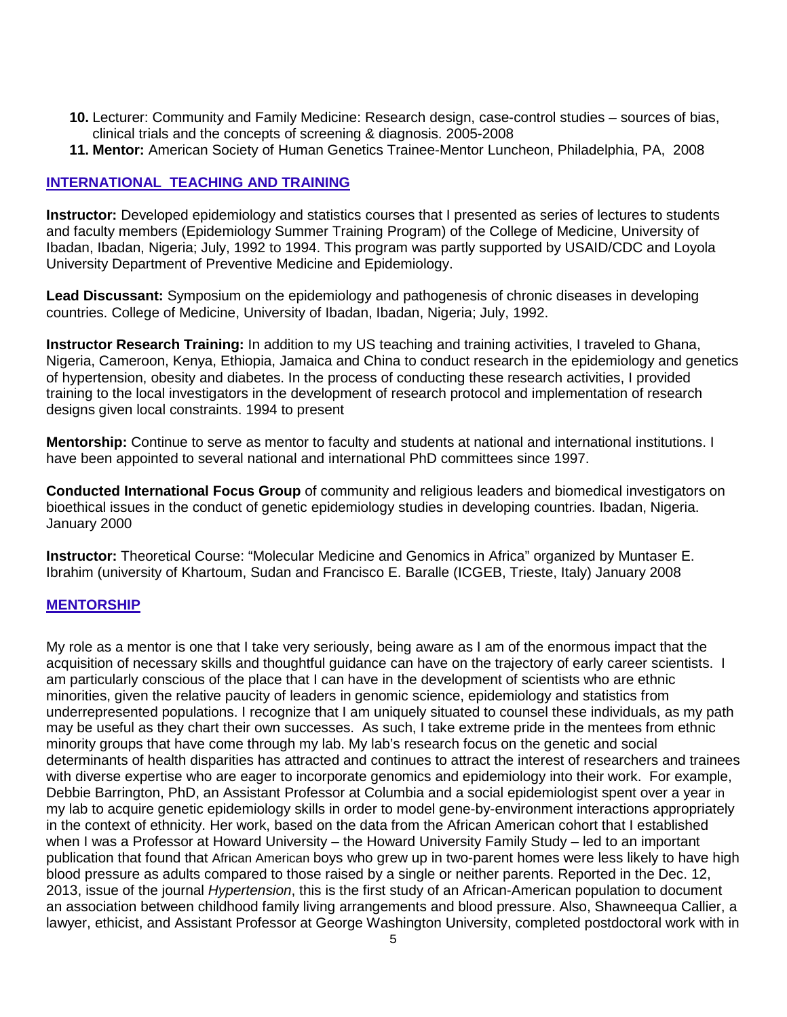- **10.** Lecturer: Community and Family Medicine: Research design, case-control studies sources of bias, clinical trials and the concepts of screening & diagnosis. 2005-2008
- **11. Mentor:** American Society of Human Genetics Trainee-Mentor Luncheon, Philadelphia, PA, 2008

# **INTERNATIONAL TEACHING AND TRAINING**

**Instructor:** Developed epidemiology and statistics courses that I presented as series of lectures to students and faculty members (Epidemiology Summer Training Program) of the College of Medicine, University of Ibadan, Ibadan, Nigeria; July, 1992 to 1994. This program was partly supported by USAID/CDC and Loyola University Department of Preventive Medicine and Epidemiology.

**Lead Discussant:** Symposium on the epidemiology and pathogenesis of chronic diseases in developing countries. College of Medicine, University of Ibadan, Ibadan, Nigeria; July, 1992.

**Instructor Research Training:** In addition to my US teaching and training activities, I traveled to Ghana, Nigeria, Cameroon, Kenya, Ethiopia, Jamaica and China to conduct research in the epidemiology and genetics of hypertension, obesity and diabetes. In the process of conducting these research activities, I provided training to the local investigators in the development of research protocol and implementation of research designs given local constraints. 1994 to present

**Mentorship:** Continue to serve as mentor to faculty and students at national and international institutions. I have been appointed to several national and international PhD committees since 1997.

**Conducted International Focus Group** of community and religious leaders and biomedical investigators on bioethical issues in the conduct of genetic epidemiology studies in developing countries. Ibadan, Nigeria. January 2000

**Instructor:** Theoretical Course: "Molecular Medicine and Genomics in Africa" organized by Muntaser E. Ibrahim (university of Khartoum, Sudan and Francisco E. Baralle (ICGEB, Trieste, Italy) January 2008

#### **MENTORSHIP**

My role as a mentor is one that I take very seriously, being aware as I am of the enormous impact that the acquisition of necessary skills and thoughtful guidance can have on the trajectory of early career scientists. I am particularly conscious of the place that I can have in the development of scientists who are ethnic minorities, given the relative paucity of leaders in genomic science, epidemiology and statistics from underrepresented populations. I recognize that I am uniquely situated to counsel these individuals, as my path may be useful as they chart their own successes. As such, I take extreme pride in the mentees from ethnic minority groups that have come through my lab. My lab's research focus on the genetic and social determinants of health disparities has attracted and continues to attract the interest of researchers and trainees with diverse expertise who are eager to incorporate genomics and epidemiology into their work. For example, Debbie Barrington, PhD, an Assistant Professor at Columbia and a social epidemiologist spent over a year in my lab to acquire genetic epidemiology skills in order to model gene-by-environment interactions appropriately in the context of ethnicity. Her work, based on the data from the African American cohort that I established when I was a Professor at Howard University – the Howard University Family Study – led to an important publication that found that African American boys who grew up in two-parent homes were less likely to have high blood pressure as adults compared to those raised by a single or neither parents. Reported in the Dec. 12, 2013, issue of the journal *Hypertension*, this is the first study of an African-American population to document an association between childhood family living arrangements and blood pressure. Also, Shawneequa Callier, a lawyer, ethicist, and Assistant Professor at George Washington University, completed postdoctoral work with in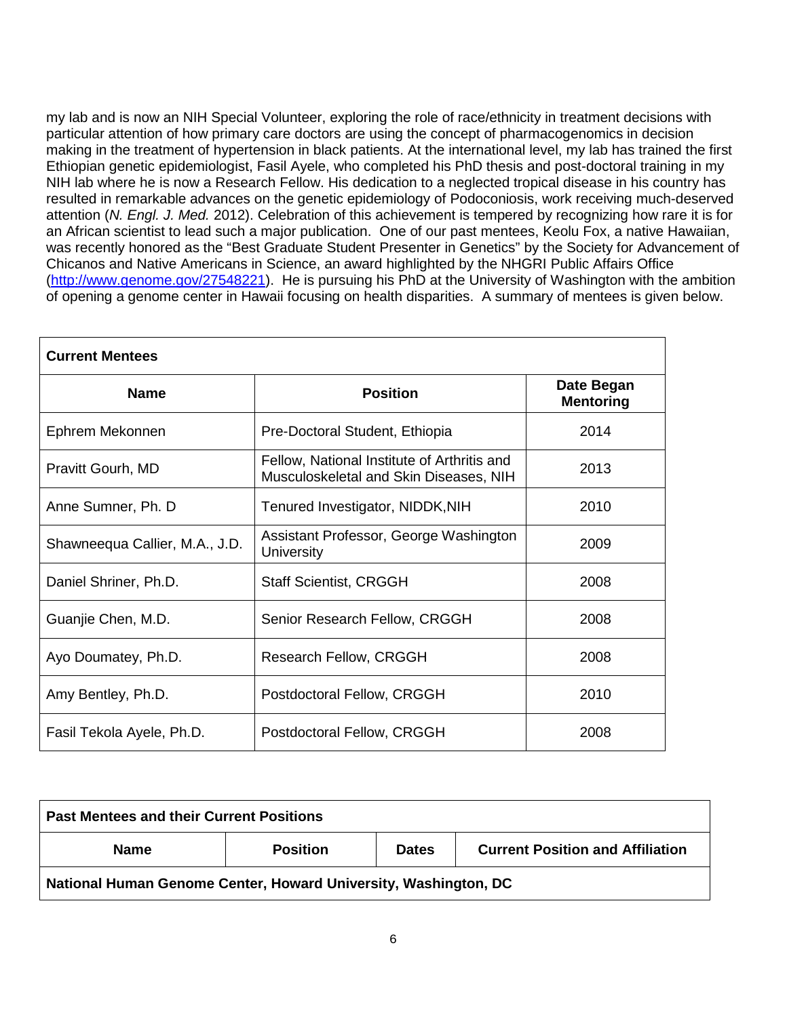my lab and is now an NIH Special Volunteer, exploring the role of race/ethnicity in treatment decisions with particular attention of how primary care doctors are using the concept of pharmacogenomics in decision making in the treatment of hypertension in black patients. At the international level, my lab has trained the first Ethiopian genetic epidemiologist, Fasil Ayele, who completed his PhD thesis and post-doctoral training in my NIH lab where he is now a Research Fellow. His dedication to a neglected tropical disease in his country has resulted in remarkable advances on the genetic epidemiology of Podoconiosis, work receiving much-deserved attention (*N. Engl. J. Med.* 2012). Celebration of this achievement is tempered by recognizing how rare it is for an African scientist to lead such a major publication. One of our past mentees, Keolu Fox, a native Hawaiian, was recently honored as the "Best Graduate Student Presenter in Genetics" by the Society for Advancement of Chicanos and Native Americans in Science, an award highlighted by the NHGRI Public Affairs Office [\(http://www.genome.gov/27548221\)](http://www.genome.gov/27548221). He is pursuing his PhD at the University of Washington with the ambition of opening a genome center in Hawaii focusing on health disparities. A summary of mentees is given below.

| <b>Current Mentees</b>         |                                                                                       |                                |  |  |
|--------------------------------|---------------------------------------------------------------------------------------|--------------------------------|--|--|
| <b>Name</b>                    | <b>Position</b>                                                                       | Date Began<br><b>Mentoring</b> |  |  |
| Ephrem Mekonnen                | Pre-Doctoral Student, Ethiopia                                                        | 2014                           |  |  |
| Pravitt Gourh, MD              | Fellow, National Institute of Arthritis and<br>Musculoskeletal and Skin Diseases, NIH | 2013                           |  |  |
| Anne Sumner, Ph. D.            | Tenured Investigator, NIDDK,NIH                                                       | 2010                           |  |  |
| Shawneequa Callier, M.A., J.D. | Assistant Professor, George Washington<br>University                                  | 2009                           |  |  |
| Daniel Shriner, Ph.D.          | <b>Staff Scientist, CRGGH</b>                                                         | 2008                           |  |  |
| Guanjie Chen, M.D.             | Senior Research Fellow, CRGGH                                                         | 2008                           |  |  |
| Ayo Doumatey, Ph.D.            | Research Fellow, CRGGH                                                                | 2008                           |  |  |
| Amy Bentley, Ph.D.             | Postdoctoral Fellow, CRGGH                                                            | 2010                           |  |  |
| Fasil Tekola Ayele, Ph.D.      | Postdoctoral Fellow, CRGGH                                                            | 2008                           |  |  |

| <b>Past Mentees and their Current Positions</b>                 |                 |              |                                         |
|-----------------------------------------------------------------|-----------------|--------------|-----------------------------------------|
| <b>Name</b>                                                     | <b>Position</b> | <b>Dates</b> | <b>Current Position and Affiliation</b> |
| National Human Genome Center, Howard University, Washington, DC |                 |              |                                         |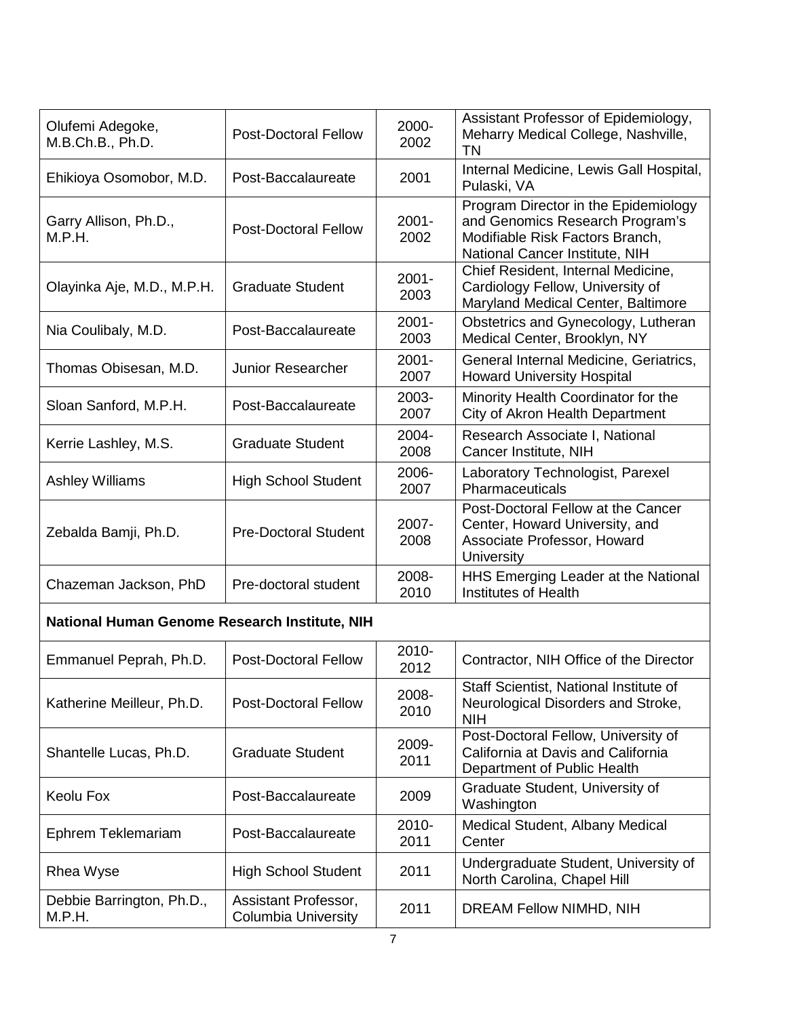| Olufemi Adegoke,<br>M.B.Ch.B., Ph.D.          | <b>Post-Doctoral Fellow</b>                        | 2000-<br>2002    | Assistant Professor of Epidemiology,<br>Meharry Medical College, Nashville,<br><b>TN</b>                                                     |  |
|-----------------------------------------------|----------------------------------------------------|------------------|----------------------------------------------------------------------------------------------------------------------------------------------|--|
| Ehikioya Osomobor, M.D.                       | Post-Baccalaureate                                 | 2001             | Internal Medicine, Lewis Gall Hospital,<br>Pulaski, VA                                                                                       |  |
| Garry Allison, Ph.D.,<br>M.P.H.               | <b>Post-Doctoral Fellow</b>                        | $2001 -$<br>2002 | Program Director in the Epidemiology<br>and Genomics Research Program's<br>Modifiable Risk Factors Branch,<br>National Cancer Institute, NIH |  |
| Olayinka Aje, M.D., M.P.H.                    | <b>Graduate Student</b>                            | $2001 -$<br>2003 | Chief Resident, Internal Medicine,<br>Cardiology Fellow, University of<br>Maryland Medical Center, Baltimore                                 |  |
| Nia Coulibaly, M.D.                           | Post-Baccalaureate                                 | $2001 -$<br>2003 | Obstetrics and Gynecology, Lutheran<br>Medical Center, Brooklyn, NY                                                                          |  |
| Thomas Obisesan, M.D.                         | <b>Junior Researcher</b>                           | $2001 -$<br>2007 | General Internal Medicine, Geriatrics,<br><b>Howard University Hospital</b>                                                                  |  |
| Sloan Sanford, M.P.H.                         | Post-Baccalaureate                                 | 2003-<br>2007    | Minority Health Coordinator for the<br>City of Akron Health Department                                                                       |  |
| Kerrie Lashley, M.S.                          | <b>Graduate Student</b>                            | 2004-<br>2008    | Research Associate I, National<br>Cancer Institute, NIH                                                                                      |  |
| <b>Ashley Williams</b>                        | <b>High School Student</b>                         | 2006-<br>2007    | Laboratory Technologist, Parexel<br>Pharmaceuticals                                                                                          |  |
| Zebalda Bamji, Ph.D.                          | <b>Pre-Doctoral Student</b>                        | 2007-<br>2008    | Post-Doctoral Fellow at the Cancer<br>Center, Howard University, and<br>Associate Professor, Howard<br>University                            |  |
| Chazeman Jackson, PhD                         | Pre-doctoral student                               | 2008-<br>2010    | HHS Emerging Leader at the National<br>Institutes of Health                                                                                  |  |
| National Human Genome Research Institute, NIH |                                                    |                  |                                                                                                                                              |  |
| Emmanuel Peprah, Ph.D.                        | <b>Post-Doctoral Fellow</b>                        | 2010-<br>2012    | Contractor, NIH Office of the Director                                                                                                       |  |
| Katherine Meilleur, Ph.D.                     | <b>Post-Doctoral Fellow</b>                        | 2008-<br>2010    | Staff Scientist, National Institute of<br>Neurological Disorders and Stroke,<br><b>NIH</b>                                                   |  |
| Shantelle Lucas, Ph.D.                        | <b>Graduate Student</b>                            | 2009-<br>2011    | Post-Doctoral Fellow, University of<br>California at Davis and California<br>Department of Public Health                                     |  |
| Keolu Fox                                     | Post-Baccalaureate                                 | 2009             | Graduate Student, University of<br>Washington                                                                                                |  |
| Ephrem Teklemariam                            | Post-Baccalaureate                                 | 2010-<br>2011    | Medical Student, Albany Medical<br>Center                                                                                                    |  |
| Rhea Wyse                                     | <b>High School Student</b>                         | 2011             | Undergraduate Student, University of<br>North Carolina, Chapel Hill                                                                          |  |
| Debbie Barrington, Ph.D.,<br>M.P.H.           | Assistant Professor,<br><b>Columbia University</b> | 2011             | DREAM Fellow NIMHD, NIH                                                                                                                      |  |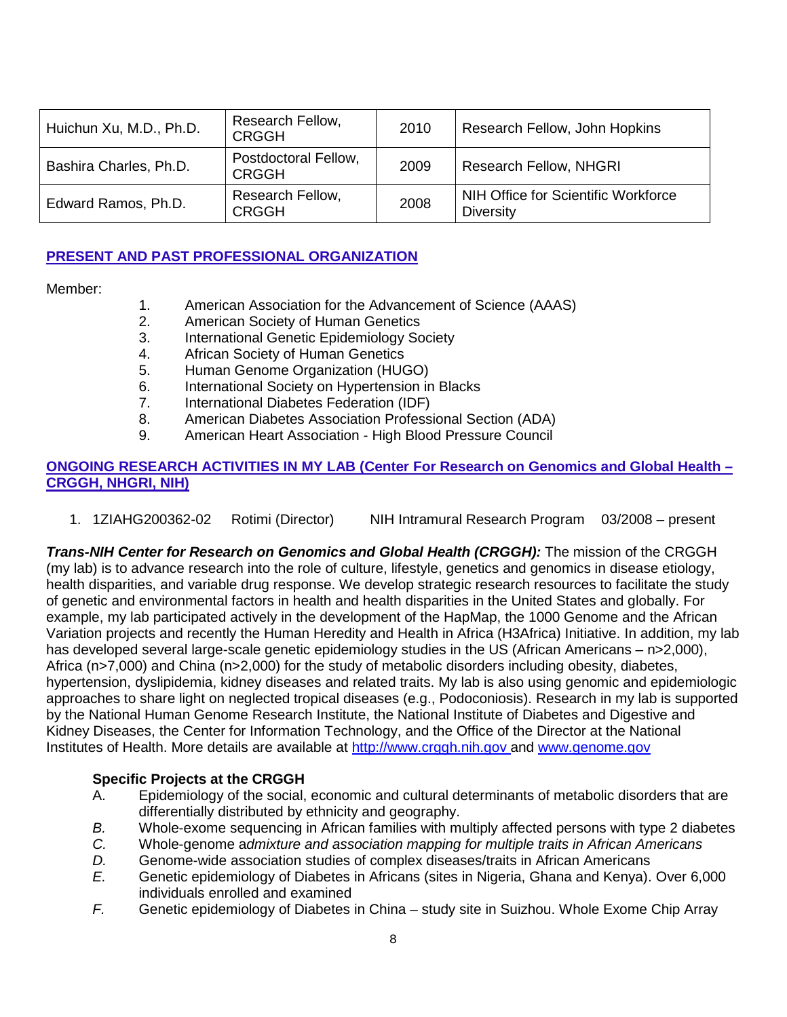| Huichun Xu, M.D., Ph.D. | Research Fellow,<br><b>CRGGH</b>     | 2010 | Research Fellow, John Hopkins                           |
|-------------------------|--------------------------------------|------|---------------------------------------------------------|
| Bashira Charles, Ph.D.  | Postdoctoral Fellow,<br><b>CRGGH</b> | 2009 | <b>Research Fellow, NHGRI</b>                           |
| Edward Ramos, Ph.D.     | Research Fellow,<br><b>CRGGH</b>     | 2008 | NIH Office for Scientific Workforce<br><b>Diversity</b> |

# **PRESENT AND PAST PROFESSIONAL ORGANIZATION**

Member:

- 1. American Association for the Advancement of Science (AAAS)
- 2. American Society of Human Genetics
- 3. International Genetic Epidemiology Society
- 4. African Society of Human Genetics
- 5. Human Genome Organization (HUGO)
- 6. International Society on Hypertension in Blacks<br>7. International Diabetes Federation (IDF)
- 7. International Diabetes Federation (IDF)<br>8. American Diabetes Association Professi
- 8. American Diabetes Association Professional Section (ADA)
- 9. American Heart Association High Blood Pressure Council

# **ONGOING RESEARCH ACTIVITIES IN MY LAB (Center For Research on Genomics and Global Health – CRGGH, NHGRI, NIH)**

1. 1ZIAHG200362-02 Rotimi (Director) NIH Intramural Research Program 03/2008 – present

*Trans-NIH Center for Research on Genomics and Global Health (CRGGH):* The mission of the CRGGH (my lab) is to advance research into the role of culture, lifestyle, genetics and genomics in disease etiology, health disparities, and variable drug response. We develop strategic research resources to facilitate the study of genetic and environmental factors in health and health disparities in the United States and globally. For example, my lab participated actively in the development of the HapMap, the 1000 Genome and the African Variation projects and recently the Human Heredity and Health in Africa (H3Africa) Initiative. In addition, my lab has developed several large-scale genetic epidemiology studies in the US (African Americans – n>2,000), Africa (n>7,000) and China (n>2,000) for the study of metabolic disorders including obesity, diabetes, hypertension, dyslipidemia, kidney diseases and related traits. My lab is also using genomic and epidemiologic approaches to share light on neglected tropical diseases (e.g., Podoconiosis). Research in my lab is supported by the National Human Genome Research Institute, the National Institute of Diabetes and Digestive and Kidney Diseases, the Center for Information Technology, and the Office of the Director at the National Institutes of Health. More details are available at [http://www.crggh.nih.gov](http://www.crggh.nih.gov/) and [www.genome.gov](http://www.genome.gov/)

# **Specific Projects at the CRGGH**

- A. Epidemiology of the social, economic and cultural determinants of metabolic disorders that are differentially distributed by ethnicity and geography.
- *B.* Whole-exome sequencing in African families with multiply affected persons with type 2 diabetes
- *C.* Whole-genome a*dmixture and association mapping for multiple traits in African Americans*
- *D.* Genome-wide association studies of complex diseases/traits in African Americans *E.* Genetic epidemiology of Diabetes in Africans (sites in Nigeria, Ghana and Kenya).
- *E.* Genetic epidemiology of Diabetes in Africans (sites in Nigeria, Ghana and Kenya). Over 6,000 individuals enrolled and examined
- *F.* Genetic epidemiology of Diabetes in China study site in Suizhou. Whole Exome Chip Array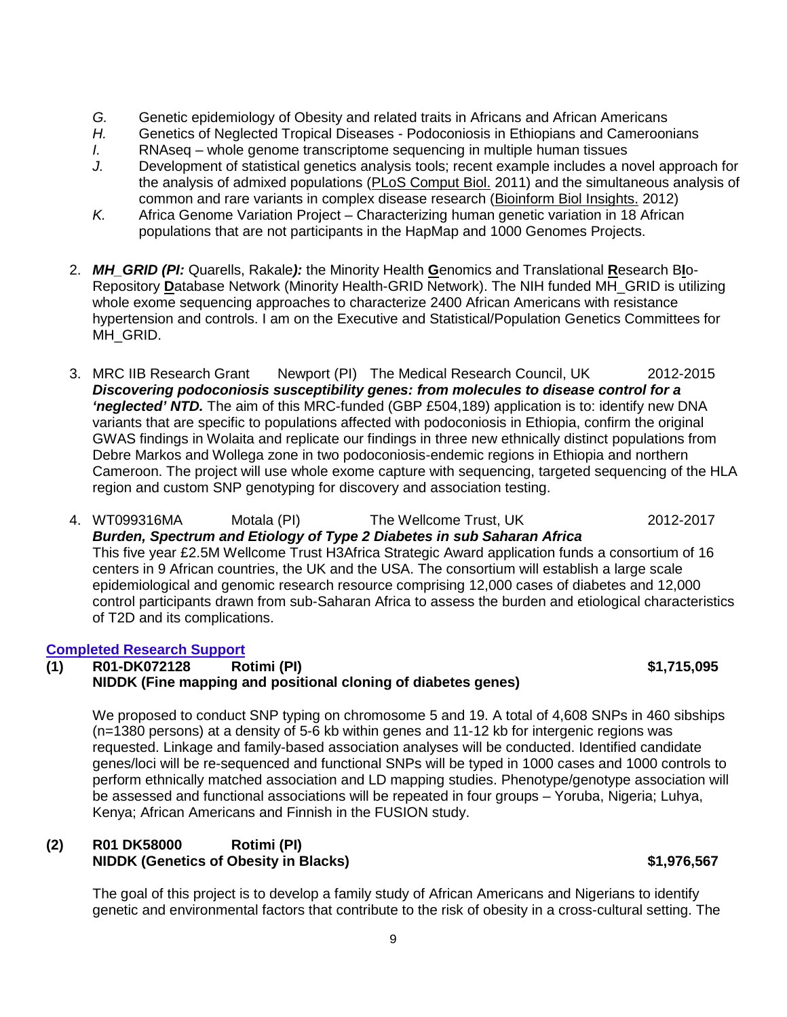- *G.* Genetic epidemiology of Obesity and related traits in Africans and African Americans
- *H.* Genetics of Neglected Tropical Diseases Podoconiosis in Ethiopians and Cameroonians
- *I.* RNAseq whole genome transcriptome sequencing in multiple human tissues
- *J.* Development of statistical genetics analysis tools; recent example includes a novel approach for the analysis of admixed populations [\(PLoS Comput Biol.](http://www.ncbi.nlm.nih.gov/pubmed/?term=shriner+joint+ancestry+test) 2011) and the simultaneous analysis of common and rare variants in complex disease research [\(Bioinform Biol Insights.](http://www.ncbi.nlm.nih.gov/pubmed/?term=SCARVAsnp) 2012)
- *K.* Africa Genome Variation Project Characterizing human genetic variation in 18 African populations that are not participants in the HapMap and 1000 Genomes Projects.
- 2. *MH\_GRID (PI:* Quarells, Rakale*):* the Minority Health **G**enomics and Translational **R**esearch B**I**o-Repository **D**atabase Network (Minority Health-GRID Network). The NIH funded MH\_GRID is utilizing whole exome sequencing approaches to characterize 2400 African Americans with resistance hypertension and controls. I am on the Executive and Statistical/Population Genetics Committees for MH\_GRID.
- 3. MRC IIB Research Grant Newport (PI) The Medical Research Council, UK 2012-2015 *Discovering podoconiosis susceptibility genes: from molecules to disease control for a 'neglected' NTD.* The aim of this MRC-funded (GBP £504,189) application is to: identify new DNA variants that are specific to populations affected with podoconiosis in Ethiopia, confirm the original GWAS findings in Wolaita and replicate our findings in three new ethnically distinct populations from Debre Markos and Wollega zone in two podoconiosis-endemic regions in Ethiopia and northern Cameroon. The project will use whole exome capture with sequencing, targeted sequencing of the HLA region and custom SNP genotyping for discovery and association testing.

4. WT099316MA Motala (PI) The Wellcome Trust, UK 2012-2017 *Burden, Spectrum and Etiology of Type 2 Diabetes in sub Saharan Africa* This five year £2.5M Wellcome Trust H3Africa Strategic Award application funds a consortium of 16 centers in 9 African countries, the UK and the USA. The consortium will establish a large scale epidemiological and genomic research resource comprising 12,000 cases of diabetes and 12,000 control participants drawn from sub-Saharan Africa to assess the burden and etiological characteristics of T2D and its complications.

# **Completed Research Support**

# **(1) R01-DK072128 Rotimi (PI) \$1,715,095 NIDDK (Fine mapping and positional cloning of diabetes genes)**

We proposed to conduct SNP typing on chromosome 5 and 19. A total of 4,608 SNPs in 460 sibships (n=1380 persons) at a density of 5-6 kb within genes and 11-12 kb for intergenic regions was requested. Linkage and family-based association analyses will be conducted. Identified candidate genes/loci will be re-sequenced and functional SNPs will be typed in 1000 cases and 1000 controls to perform ethnically matched association and LD mapping studies. Phenotype/genotype association will be assessed and functional associations will be repeated in four groups – Yoruba, Nigeria; Luhya, Kenya; African Americans and Finnish in the FUSION study.

# **(2) R01 DK58000 Rotimi (PI) NIDDK (Genetics of Obesity in Blacks)** \$1,976,567

The goal of this project is to develop a family study of African Americans and Nigerians to identify genetic and environmental factors that contribute to the risk of obesity in a cross-cultural setting. The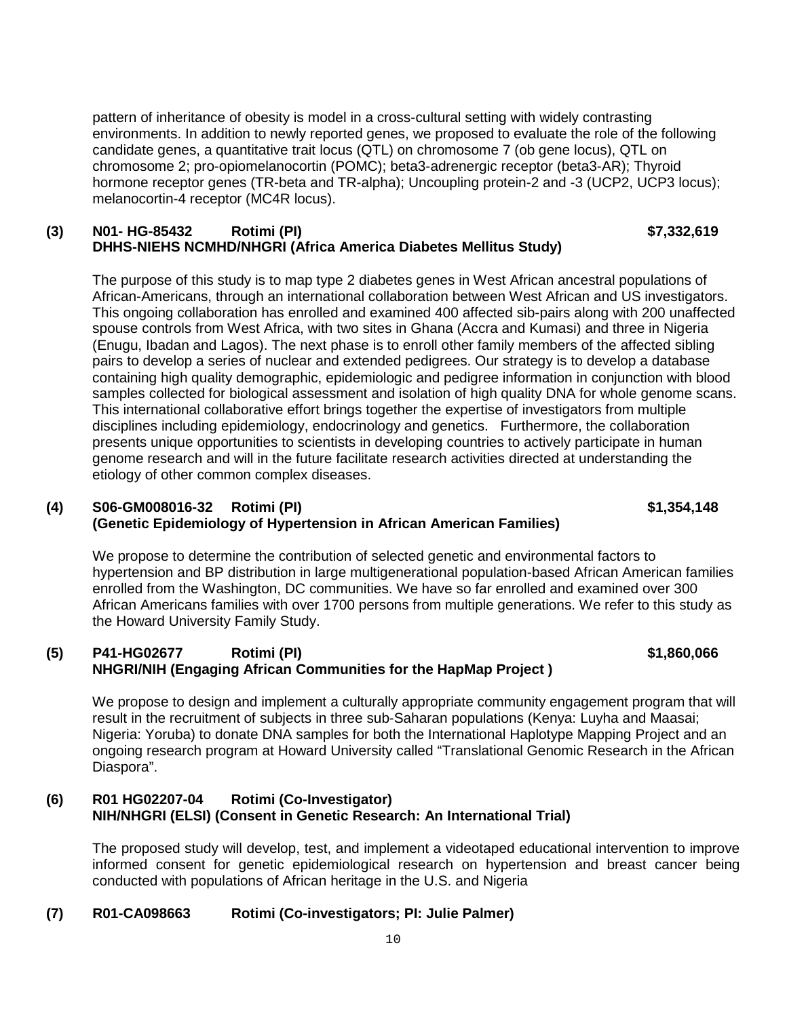pattern of inheritance of obesity is model in a cross-cultural setting with widely contrasting environments. In addition to newly reported genes, we proposed to evaluate the role of the following candidate genes, a quantitative trait locus (QTL) on chromosome 7 (ob gene locus), QTL on chromosome 2; pro-opiomelanocortin (POMC); beta3-adrenergic receptor (beta3-AR); Thyroid hormone receptor genes (TR-beta and TR-alpha); Uncoupling protein-2 and -3 (UCP2, UCP3 locus); melanocortin-4 receptor (MC4R locus).

#### **(3) N01- HG-85432 Rotimi (PI) \$7,332,619 DHHS-NIEHS NCMHD/NHGRI (Africa America Diabetes Mellitus Study)**

The purpose of this study is to map type 2 diabetes genes in West African ancestral populations of African-Americans, through an international collaboration between West African and US investigators. This ongoing collaboration has enrolled and examined 400 affected sib-pairs along with 200 unaffected spouse controls from West Africa, with two sites in Ghana (Accra and Kumasi) and three in Nigeria (Enugu, Ibadan and Lagos). The next phase is to enroll other family members of the affected sibling pairs to develop a series of nuclear and extended pedigrees. Our strategy is to develop a database containing high quality demographic, epidemiologic and pedigree information in conjunction with blood samples collected for biological assessment and isolation of high quality DNA for whole genome scans. This international collaborative effort brings together the expertise of investigators from multiple disciplines including epidemiology, endocrinology and genetics. Furthermore, the collaboration presents unique opportunities to scientists in developing countries to actively participate in human genome research and will in the future facilitate research activities directed at understanding the etiology of other common complex diseases.

# **(4) S06-GM008016-32 Rotimi (PI) \$1,354,148 (Genetic Epidemiology of Hypertension in African American Families)**

We propose to determine the contribution of selected genetic and environmental factors to hypertension and BP distribution in large multigenerational population-based African American families enrolled from the Washington, DC communities. We have so far enrolled and examined over 300 African Americans families with over 1700 persons from multiple generations. We refer to this study as the Howard University Family Study.

# **(5) P41-HG02677 Rotimi (PI) \$1,860,066 NHGRI/NIH (Engaging African Communities for the HapMap Project )**

We propose to design and implement a culturally appropriate community engagement program that will result in the recruitment of subjects in three sub-Saharan populations (Kenya: Luyha and Maasai; Nigeria: Yoruba) to donate DNA samples for both the International Haplotype Mapping Project and an ongoing research program at Howard University called "Translational Genomic Research in the African Diaspora".

# **(6) R01 HG02207-04 Rotimi (Co-Investigator) NIH/NHGRI (ELSI) (Consent in Genetic Research: An International Trial)**

The proposed study will develop, test, and implement a videotaped educational intervention to improve informed consent for genetic epidemiological research on hypertension and breast cancer being conducted with populations of African heritage in the U.S. and Nigeria

# **(7) R01-CA098663 Rotimi (Co-investigators; PI: Julie Palmer)**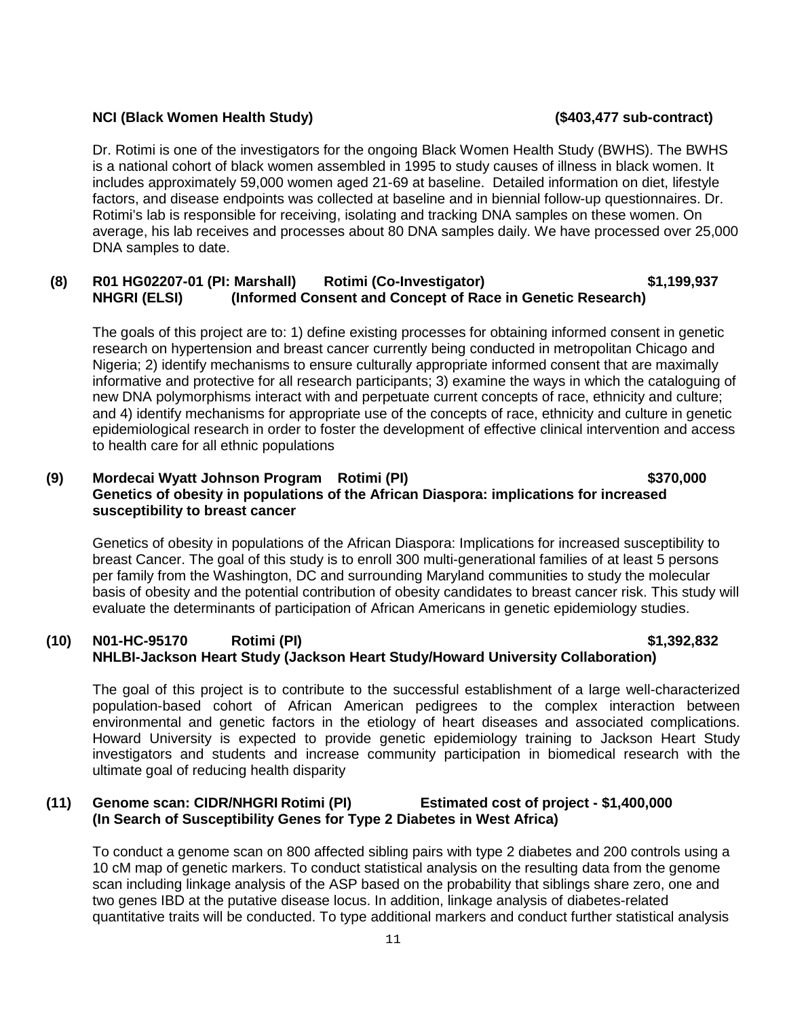#### **NCI (Black Women Health Study) (\$403,477 sub-contract)**

Dr. Rotimi is one of the investigators for the ongoing Black Women Health Study (BWHS). The BWHS is a national cohort of black women assembled in 1995 to study causes of illness in black women. It includes approximately 59,000 women aged 21-69 at baseline. Detailed information on diet, lifestyle factors, and disease endpoints was collected at baseline and in biennial follow-up questionnaires. Dr. Rotimi's lab is responsible for receiving, isolating and tracking DNA samples on these women. On average, his lab receives and processes about 80 DNA samples daily. We have processed over 25,000 DNA samples to date.

#### **(8) R01 HG02207-01 (PI: Marshall) Rotimi (Co-Investigator) \$1,199,937 NHGRI (ELSI) (Informed Consent and Concept of Race in Genetic Research)**

The goals of this project are to: 1) define existing processes for obtaining informed consent in genetic research on hypertension and breast cancer currently being conducted in metropolitan Chicago and Nigeria; 2) identify mechanisms to ensure culturally appropriate informed consent that are maximally informative and protective for all research participants; 3) examine the ways in which the cataloguing of new DNA polymorphisms interact with and perpetuate current concepts of race, ethnicity and culture; and 4) identify mechanisms for appropriate use of the concepts of race, ethnicity and culture in genetic epidemiological research in order to foster the development of effective clinical intervention and access to health care for all ethnic populations

#### **(9) Mordecai Wyatt Johnson Program Rotimi (PI) \$370,000 Genetics of obesity in populations of the African Diaspora: implications for increased susceptibility to breast cancer**

Genetics of obesity in populations of the African Diaspora: Implications for increased susceptibility to breast Cancer. The goal of this study is to enroll 300 multi-generational families of at least 5 persons per family from the Washington, DC and surrounding Maryland communities to study the molecular basis of obesity and the potential contribution of obesity candidates to breast cancer risk. This study will evaluate the determinants of participation of African Americans in genetic epidemiology studies.

# **(10) N01-HC-95170 Rotimi (PI) \$1,392,832 NHLBI-Jackson Heart Study (Jackson Heart Study/Howard University Collaboration)**

The goal of this project is to contribute to the successful establishment of a large well-characterized population-based cohort of African American pedigrees to the complex interaction between environmental and genetic factors in the etiology of heart diseases and associated complications. Howard University is expected to provide genetic epidemiology training to Jackson Heart Study investigators and students and increase community participation in biomedical research with the ultimate goal of reducing health disparity

## **(11) Genome scan: CIDR/NHGRI Rotimi (PI) Estimated cost of project - \$1,400,000 (In Search of Susceptibility Genes for Type 2 Diabetes in West Africa)**

To conduct a genome scan on 800 affected sibling pairs with type 2 diabetes and 200 controls using a 10 cM map of genetic markers. To conduct statistical analysis on the resulting data from the genome scan including linkage analysis of the ASP based on the probability that siblings share zero, one and two genes IBD at the putative disease locus. In addition, linkage analysis of diabetes-related quantitative traits will be conducted. To type additional markers and conduct further statistical analysis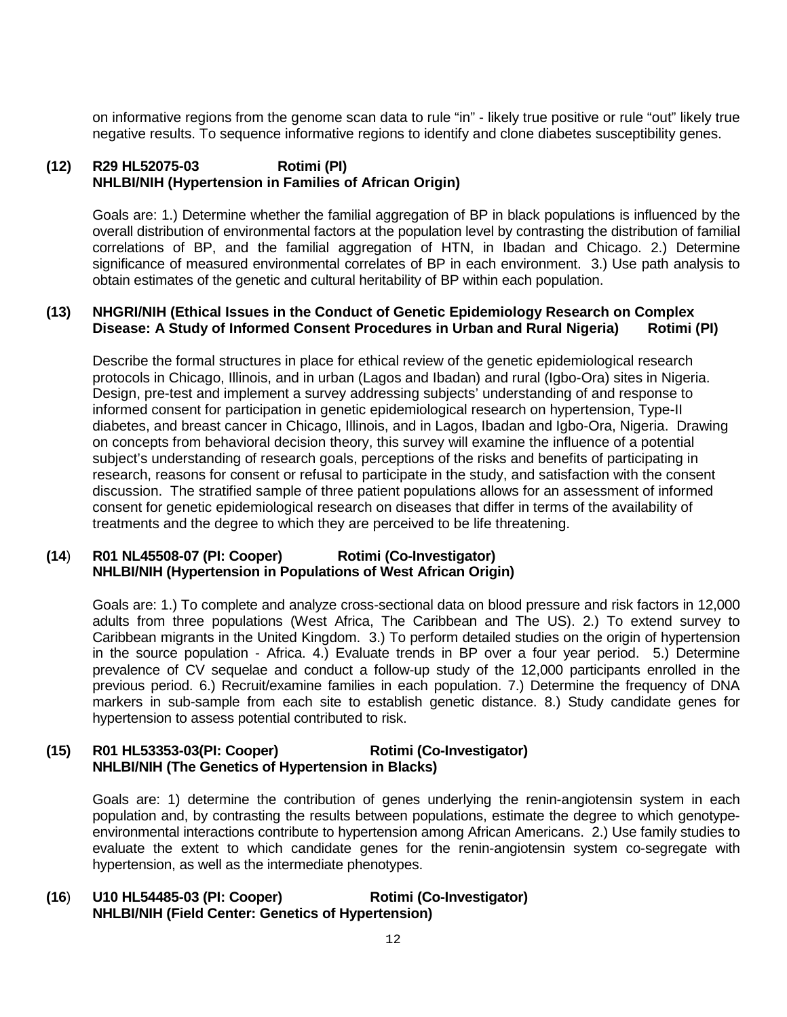on informative regions from the genome scan data to rule "in" - likely true positive or rule "out" likely true negative results. To sequence informative regions to identify and clone diabetes susceptibility genes.

## **(12) R29 HL52075-03 Rotimi (PI) NHLBI/NIH (Hypertension in Families of African Origin)**

Goals are: 1.) Determine whether the familial aggregation of BP in black populations is influenced by the overall distribution of environmental factors at the population level by contrasting the distribution of familial correlations of BP, and the familial aggregation of HTN, in Ibadan and Chicago. 2.) Determine significance of measured environmental correlates of BP in each environment. 3.) Use path analysis to obtain estimates of the genetic and cultural heritability of BP within each population.

## **(13) NHGRI/NIH (Ethical Issues in the Conduct of Genetic Epidemiology Research on Complex Disease: A Study of Informed Consent Procedures in Urban and Rural Nigeria) Rotimi (PI)**

Describe the formal structures in place for ethical review of the genetic epidemiological research protocols in Chicago, Illinois, and in urban (Lagos and Ibadan) and rural (Igbo-Ora) sites in Nigeria. Design, pre-test and implement a survey addressing subjects' understanding of and response to informed consent for participation in genetic epidemiological research on hypertension, Type-II diabetes, and breast cancer in Chicago, Illinois, and in Lagos, Ibadan and Igbo-Ora, Nigeria. Drawing on concepts from behavioral decision theory, this survey will examine the influence of a potential subject's understanding of research goals, perceptions of the risks and benefits of participating in research, reasons for consent or refusal to participate in the study, and satisfaction with the consent discussion. The stratified sample of three patient populations allows for an assessment of informed consent for genetic epidemiological research on diseases that differ in terms of the availability of treatments and the degree to which they are perceived to be life threatening.

## **(14**) **R01 NL45508-07 (PI: Cooper) Rotimi (Co-Investigator) NHLBI/NIH (Hypertension in Populations of West African Origin)**

Goals are: 1.) To complete and analyze cross-sectional data on blood pressure and risk factors in 12,000 adults from three populations (West Africa, The Caribbean and The US). 2.) To extend survey to Caribbean migrants in the United Kingdom. 3.) To perform detailed studies on the origin of hypertension in the source population - Africa. 4.) Evaluate trends in BP over a four year period. 5.) Determine prevalence of CV sequelae and conduct a follow-up study of the 12,000 participants enrolled in the previous period. 6.) Recruit/examine families in each population. 7.) Determine the frequency of DNA markers in sub-sample from each site to establish genetic distance. 8.) Study candidate genes for hypertension to assess potential contributed to risk.

## **(15) R01 HL53353-03(PI: Cooper) Rotimi (Co-Investigator) NHLBI/NIH (The Genetics of Hypertension in Blacks)**

Goals are: 1) determine the contribution of genes underlying the renin-angiotensin system in each population and, by contrasting the results between populations, estimate the degree to which genotypeenvironmental interactions contribute to hypertension among African Americans. 2.) Use family studies to evaluate the extent to which candidate genes for the renin-angiotensin system co-segregate with hypertension, as well as the intermediate phenotypes.

#### **(16**) **U10 HL54485-03 (PI: Cooper) Rotimi (Co-Investigator) NHLBI/NIH (Field Center: Genetics of Hypertension)**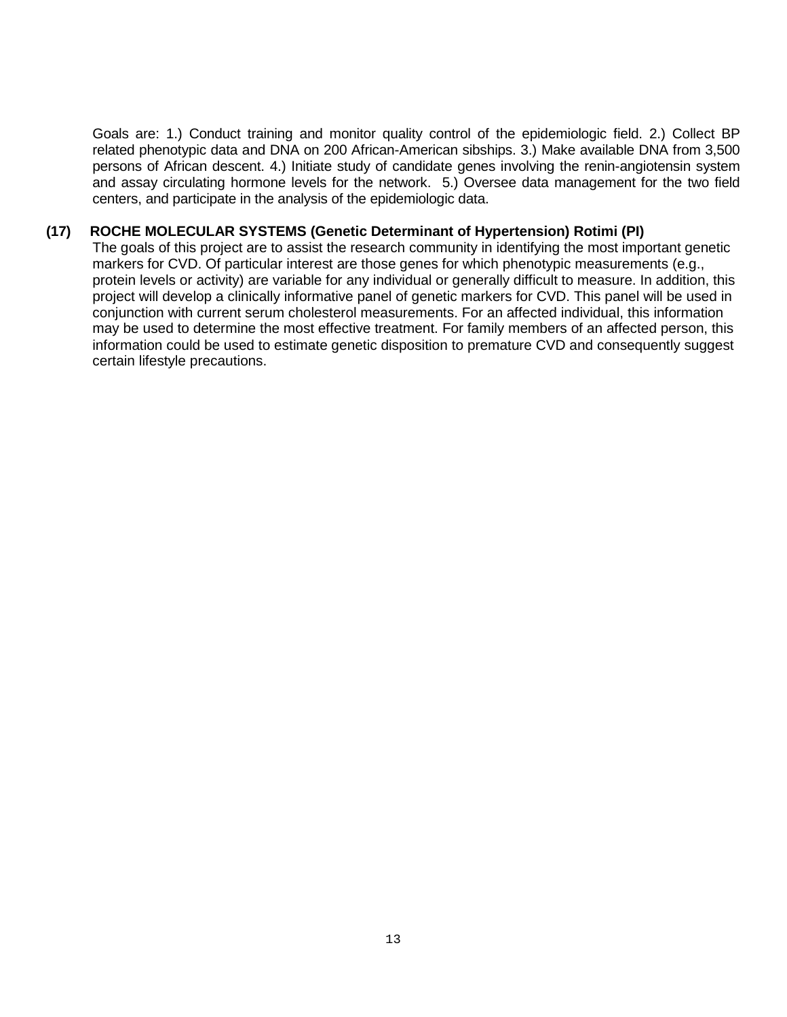Goals are: 1.) Conduct training and monitor quality control of the epidemiologic field. 2.) Collect BP related phenotypic data and DNA on 200 African-American sibships. 3.) Make available DNA from 3,500 persons of African descent. 4.) Initiate study of candidate genes involving the renin-angiotensin system and assay circulating hormone levels for the network. 5.) Oversee data management for the two field centers, and participate in the analysis of the epidemiologic data.

#### **(17) ROCHE MOLECULAR SYSTEMS (Genetic Determinant of Hypertension) Rotimi (PI)**

The goals of this project are to assist the research community in identifying the most important genetic markers for CVD. Of particular interest are those genes for which phenotypic measurements (e.g., protein levels or activity) are variable for any individual or generally difficult to measure. In addition, this project will develop a clinically informative panel of genetic markers for CVD. This panel will be used in conjunction with current serum cholesterol measurements. For an affected individual, this information may be used to determine the most effective treatment. For family members of an affected person, this information could be used to estimate genetic disposition to premature CVD and consequently suggest certain lifestyle precautions.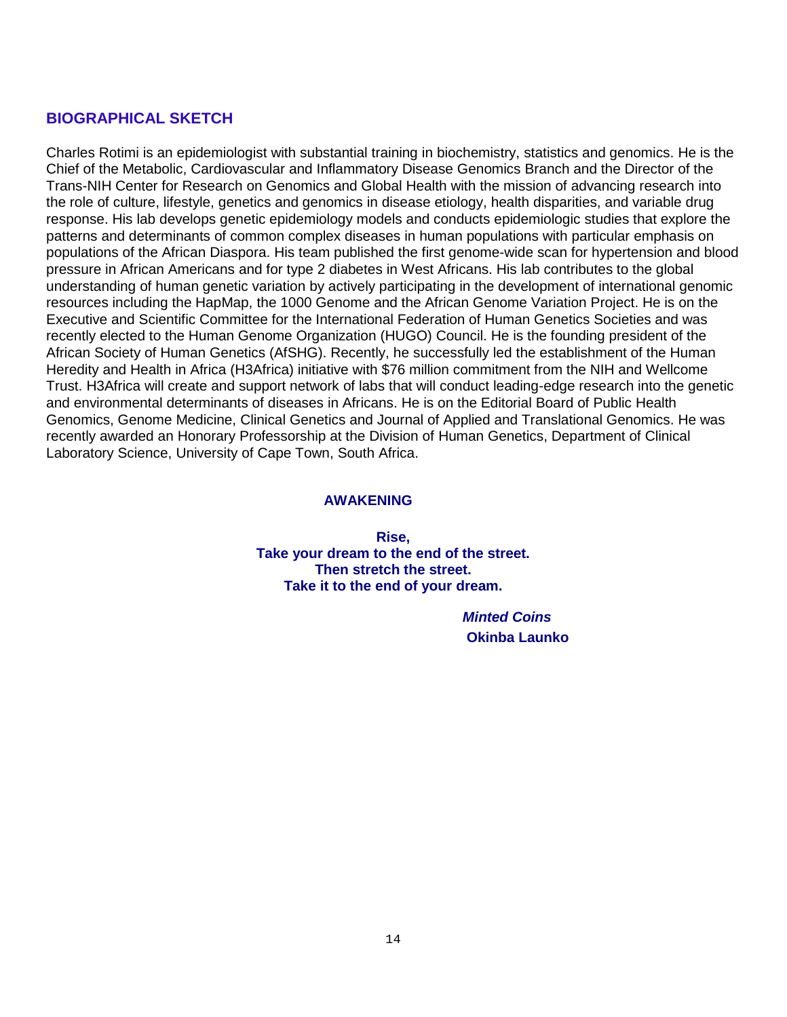# **BIOGRAPHICAL SKETCH**

Charles Rotimi is an epidemiologist with substantial training in biochemistry, statistics and genomics. He is the Chief of the Metabolic, Cardiovascular and Inflammatory Disease Genomics Branch and the Director of the Trans-NIH Center for Research on Genomics and Global Health with the mission of advancing research into the role of culture, lifestyle, genetics and genomics in disease etiology, health disparities, and variable drug response. His lab develops genetic epidemiology models and conducts epidemiologic studies that explore the patterns and determinants of common complex diseases in human populations with particular emphasis on populations of the African Diaspora. His team published the first genome-wide scan for hypertension and blood pressure in African Americans and for type 2 diabetes in West Africans. His lab contributes to the global understanding of human genetic variation by actively participating in the development of international genomic resources including the HapMap, the 1000 Genome and the African Genome Variation Project. He is on the Executive and Scientific Committee for the International Federation of Human Genetics Societies and was recently elected to the Human Genome Organization (HUGO) Council. He is the founding president of the African Society of Human Genetics (AfSHG). Recently, he successfully led the establishment of the Human Heredity and Health in Africa (H3Africa) initiative with \$76 million commitment from the NIH and Wellcome Trust. H3Africa will create and support network of labs that will conduct leading-edge research into the genetic and environmental determinants of diseases in Africans. He is on the Editorial Board of Public Health Genomics, Genome Medicine, Clinical Genetics and Journal of Applied and Translational Genomics. He was recently awarded an Honorary Professorship at the Division of Human Genetics, Department of Clinical Laboratory Science, University of Cape Town, South Africa.

#### **AWAKENING**

**Rise, Take your dream to the end of the street. Then stretch the street. Take it to the end of your dream.**

> *Minted Coins* **Okinba Launko**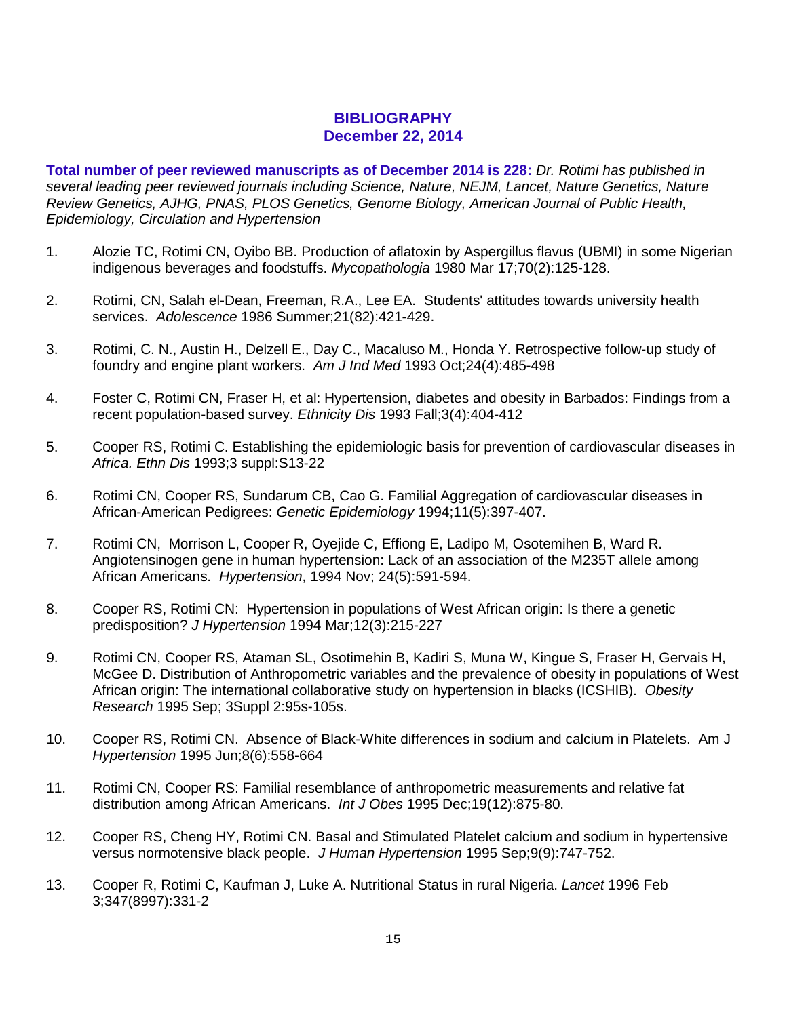# **BIBLIOGRAPHY December 22, 2014**

**Total number of peer reviewed manuscripts as of December 2014 is 228:** *Dr. Rotimi has published in several leading peer reviewed journals including Science, Nature, NEJM, Lancet, Nature Genetics, Nature Review Genetics, AJHG, PNAS, PLOS Genetics, Genome Biology, American Journal of Public Health, Epidemiology, Circulation and Hypertension*

- 1. Alozie TC, Rotimi CN, Oyibo BB. Production of aflatoxin by Aspergillus flavus (UBMI) in some Nigerian indigenous beverages and foodstuffs. *Mycopathologia* 1980 Mar 17;70(2):125-128.
- 2. Rotimi, CN, Salah el-Dean, Freeman, R.A., Lee EA. Students' attitudes towards university health services. *Adolescence* 1986 Summer;21(82):421-429.
- 3. Rotimi, C. N., Austin H., Delzell E., Day C., Macaluso M., Honda Y. Retrospective follow-up study of foundry and engine plant workers. *Am J Ind Med* 1993 Oct;24(4):485-498
- 4. Foster C, Rotimi CN, Fraser H, et al: Hypertension, diabetes and obesity in Barbados: Findings from a recent population-based survey. *Ethnicity Dis* 1993 Fall;3(4):404-412
- 5. Cooper RS, Rotimi C. Establishing the epidemiologic basis for prevention of cardiovascular diseases in *Africa. Ethn Dis* 1993;3 suppl:S13-22
- 6. Rotimi CN, Cooper RS, Sundarum CB, Cao G. Familial Aggregation of cardiovascular diseases in African-American Pedigrees: *Genetic Epidemiology* 1994;11(5):397-407.
- 7. Rotimi CN, Morrison L, Cooper R, Oyejide C, Effiong E, Ladipo M, Osotemihen B, Ward R. Angiotensinogen gene in human hypertension: Lack of an association of the M235T allele among African Americans. *Hypertension*, 1994 Nov; 24(5):591-594.
- 8. Cooper RS, Rotimi CN: Hypertension in populations of West African origin: Is there a genetic predisposition? *J Hypertension* 1994 Mar;12(3):215-227
- 9. Rotimi CN, Cooper RS, Ataman SL, Osotimehin B, Kadiri S, Muna W, Kingue S, Fraser H, Gervais H, McGee D. Distribution of Anthropometric variables and the prevalence of obesity in populations of West African origin: The international collaborative study on hypertension in blacks (ICSHIB). *Obesity Research* 1995 Sep; 3Suppl 2:95s-105s.
- 10. Cooper RS, Rotimi CN. Absence of Black-White differences in sodium and calcium in Platelets. Am J *Hypertension* 1995 Jun;8(6):558-664
- 11. Rotimi CN, Cooper RS: Familial resemblance of anthropometric measurements and relative fat distribution among African Americans. *Int J Obes* 1995 Dec;19(12):875-80.
- 12. Cooper RS, Cheng HY, Rotimi CN. Basal and Stimulated Platelet calcium and sodium in hypertensive versus normotensive black people. *J Human Hypertension* 1995 Sep;9(9):747-752.
- 13. Cooper R, Rotimi C, Kaufman J, Luke A. Nutritional Status in rural Nigeria. *Lancet* 1996 Feb 3;347(8997):331-2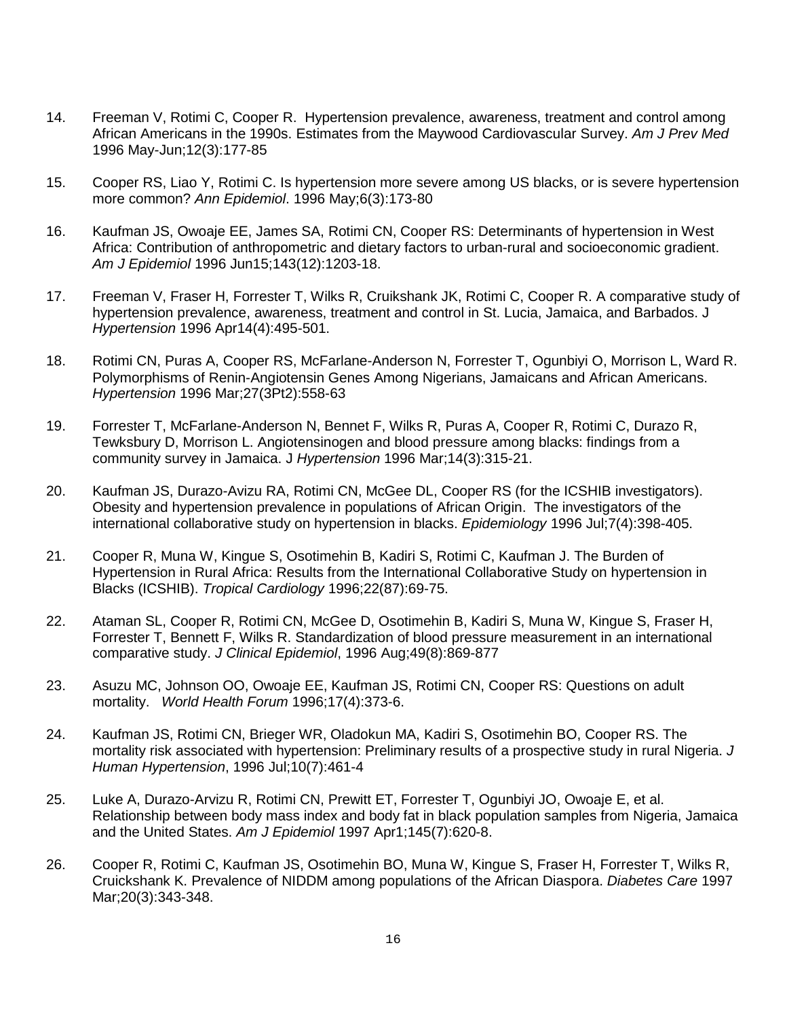- 14. Freeman V, Rotimi C, Cooper R. Hypertension prevalence, awareness, treatment and control among African Americans in the 1990s. Estimates from the Maywood Cardiovascular Survey. *Am J Prev Med* 1996 May-Jun;12(3):177-85
- 15. Cooper RS, Liao Y, Rotimi C. Is hypertension more severe among US blacks, or is severe hypertension more common? *Ann Epidemiol*. 1996 May;6(3):173-80
- 16. Kaufman JS, Owoaje EE, James SA, Rotimi CN, Cooper RS: Determinants of hypertension in West Africa: Contribution of anthropometric and dietary factors to urban-rural and socioeconomic gradient. *Am J Epidemiol* 1996 Jun15;143(12):1203-18.
- 17. Freeman V, Fraser H, Forrester T, Wilks R, Cruikshank JK, Rotimi C, Cooper R. A comparative study of hypertension prevalence, awareness, treatment and control in St. Lucia, Jamaica, and Barbados. J *Hypertension* 1996 Apr14(4):495-501.
- 18. Rotimi CN, Puras A, Cooper RS, McFarlane-Anderson N, Forrester T, Ogunbiyi O, Morrison L, Ward R. Polymorphisms of Renin-Angiotensin Genes Among Nigerians, Jamaicans and African Americans. *Hypertension* 1996 Mar;27(3Pt2):558-63
- 19. Forrester T, McFarlane-Anderson N, Bennet F, Wilks R, Puras A, Cooper R, Rotimi C, Durazo R, Tewksbury D, Morrison L. Angiotensinogen and blood pressure among blacks: findings from a community survey in Jamaica. J *Hypertension* 1996 Mar;14(3):315-21.
- 20. Kaufman JS, Durazo-Avizu RA, Rotimi CN, McGee DL, Cooper RS (for the ICSHIB investigators). Obesity and hypertension prevalence in populations of African Origin. The investigators of the international collaborative study on hypertension in blacks. *Epidemiology* 1996 Jul;7(4):398-405.
- 21. Cooper R, Muna W, Kingue S, Osotimehin B, Kadiri S, Rotimi C, Kaufman J. The Burden of Hypertension in Rural Africa: Results from the International Collaborative Study on hypertension in Blacks (ICSHIB). *Tropical Cardiology* 1996;22(87):69-75.
- 22. Ataman SL, Cooper R, Rotimi CN, McGee D, Osotimehin B, Kadiri S, Muna W, Kingue S, Fraser H, Forrester T, Bennett F, Wilks R. Standardization of blood pressure measurement in an international comparative study. *J Clinical Epidemiol*, 1996 Aug;49(8):869-877
- 23. Asuzu MC, Johnson OO, Owoaje EE, Kaufman JS, Rotimi CN, Cooper RS: Questions on adult mortality. *World Health Forum* 1996;17(4):373-6.
- 24. Kaufman JS, Rotimi CN, Brieger WR, Oladokun MA, Kadiri S, Osotimehin BO, Cooper RS. The mortality risk associated with hypertension: Preliminary results of a prospective study in rural Nigeria. *J Human Hypertension*, 1996 Jul;10(7):461-4
- 25. Luke A, Durazo-Arvizu R, Rotimi CN, Prewitt ET, Forrester T, Ogunbiyi JO, Owoaje E, et al. Relationship between body mass index and body fat in black population samples from Nigeria, Jamaica and the United States. *Am J Epidemiol* 1997 Apr1;145(7):620-8.
- 26. Cooper R, Rotimi C, Kaufman JS, Osotimehin BO, Muna W, Kingue S, Fraser H, Forrester T, Wilks R, Cruickshank K. Prevalence of NIDDM among populations of the African Diaspora. *Diabetes Care* 1997 Mar;20(3):343-348.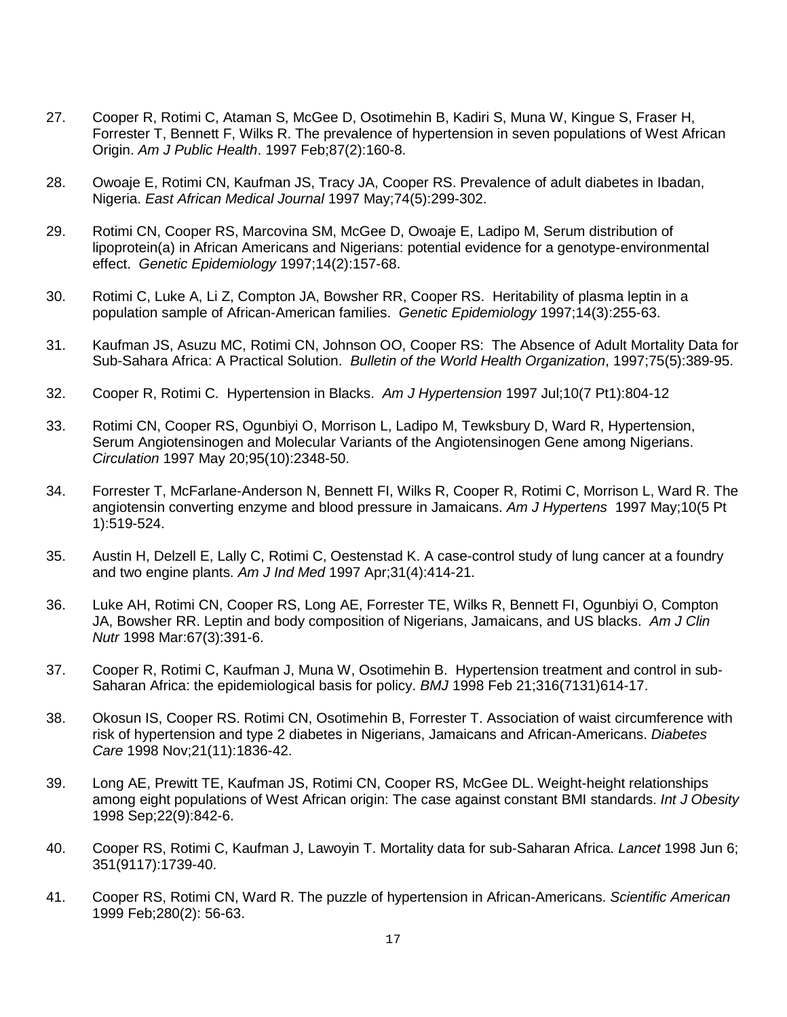- 27. Cooper R, Rotimi C, Ataman S, McGee D, Osotimehin B, Kadiri S, Muna W, Kingue S, Fraser H, Forrester T, Bennett F, Wilks R. The prevalence of hypertension in seven populations of West African Origin. *Am J Public Health*. 1997 Feb;87(2):160-8.
- 28. Owoaje E, Rotimi CN, Kaufman JS, Tracy JA, Cooper RS. Prevalence of adult diabetes in Ibadan, Nigeria. *East African Medical Journal* 1997 May;74(5):299-302.
- 29. Rotimi CN, Cooper RS, Marcovina SM, McGee D, Owoaje E, Ladipo M, Serum distribution of lipoprotein(a) in African Americans and Nigerians: potential evidence for a genotype-environmental effect. *Genetic Epidemiology* 1997;14(2):157-68.
- 30. Rotimi C, Luke A, Li Z, Compton JA, Bowsher RR, Cooper RS. Heritability of plasma leptin in a population sample of African-American families. *Genetic Epidemiology* 1997;14(3):255-63.
- 31. Kaufman JS, Asuzu MC, Rotimi CN, Johnson OO, Cooper RS: The Absence of Adult Mortality Data for Sub-Sahara Africa: A Practical Solution. *Bulletin of the World Health Organization*, 1997;75(5):389-95.
- 32. Cooper R, Rotimi C. Hypertension in Blacks. *Am J Hypertension* 1997 Jul;10(7 Pt1):804-12
- 33. Rotimi CN, Cooper RS, Ogunbiyi O, Morrison L, Ladipo M, Tewksbury D, Ward R, Hypertension, Serum Angiotensinogen and Molecular Variants of the Angiotensinogen Gene among Nigerians. *Circulation* 1997 May 20;95(10):2348-50.
- 34. Forrester T, McFarlane-Anderson N, Bennett FI, Wilks R, Cooper R, Rotimi C, Morrison L, Ward R. The angiotensin converting enzyme and blood pressure in Jamaicans. *Am J Hypertens* 1997 May;10(5 Pt 1):519-524.
- 35. Austin H, Delzell E, Lally C, Rotimi C, Oestenstad K. A case-control study of lung cancer at a foundry and two engine plants. *Am J Ind Med* 1997 Apr;31(4):414-21.
- 36. Luke AH, Rotimi CN, Cooper RS, Long AE, Forrester TE, Wilks R, Bennett FI, Ogunbiyi O, Compton JA, Bowsher RR. Leptin and body composition of Nigerians, Jamaicans, and US blacks. *Am J Clin Nutr* 1998 Mar:67(3):391-6.
- 37. Cooper R, Rotimi C, Kaufman J, Muna W, Osotimehin B. Hypertension treatment and control in sub-Saharan Africa: the epidemiological basis for policy. *BMJ* 1998 Feb 21;316(7131)614-17.
- 38. Okosun IS, Cooper RS. Rotimi CN, Osotimehin B, Forrester T. Association of waist circumference with risk of hypertension and type 2 diabetes in Nigerians, Jamaicans and African-Americans. *Diabetes Care* 1998 Nov;21(11):1836-42.
- 39. Long AE, Prewitt TE, Kaufman JS, Rotimi CN, Cooper RS, McGee DL. Weight-height relationships among eight populations of West African origin: The case against constant BMI standards. *Int J Obesity* 1998 Sep;22(9):842-6.
- 40. Cooper RS, Rotimi C, Kaufman J, Lawoyin T. Mortality data for sub-Saharan Africa. *Lancet* 1998 Jun 6; 351(9117):1739-40.
- 41. Cooper RS, Rotimi CN, Ward R. The puzzle of hypertension in African-Americans. *Scientific American* 1999 Feb;280(2): 56-63.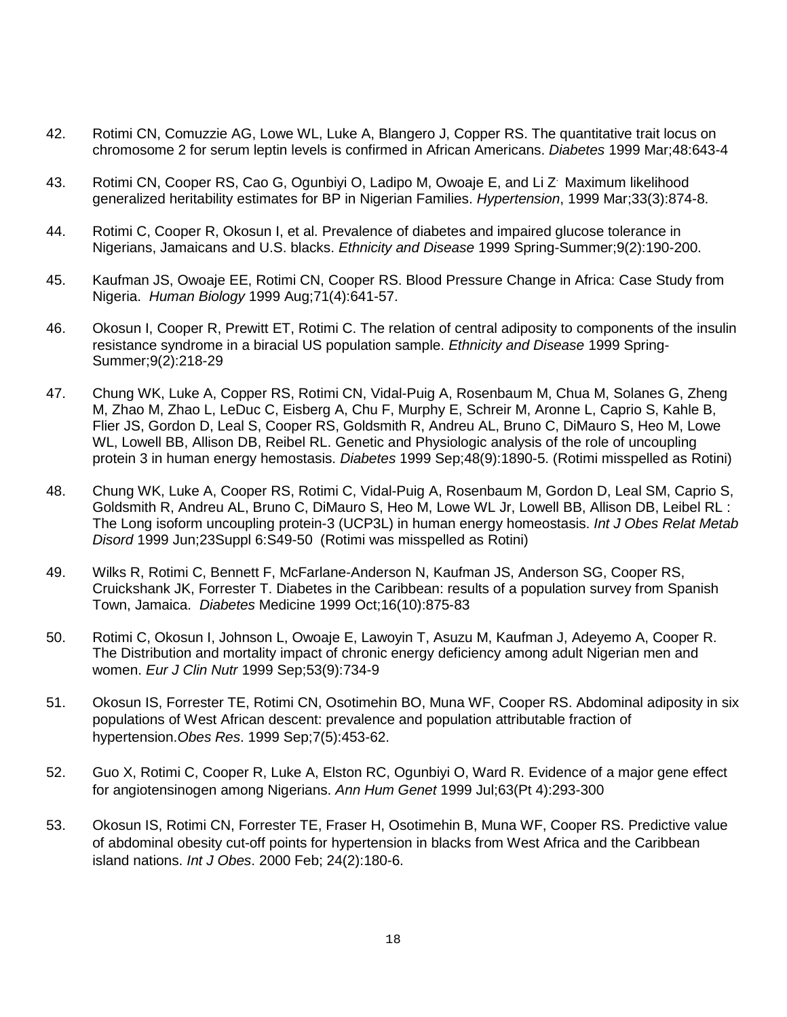- 42. Rotimi CN, Comuzzie AG, Lowe WL, Luke A, Blangero J, Copper RS. The quantitative trait locus on chromosome 2 for serum leptin levels is confirmed in African Americans. *Diabetes* 1999 Mar;48:643-4
- 43. Rotimi CN, Cooper RS, Cao G, Ogunbiyi O, Ladipo M, Owoaje E, and Li Z. Maximum likelihood generalized heritability estimates for BP in Nigerian Families. *Hypertension*, 1999 Mar;33(3):874-8.
- 44. Rotimi C, Cooper R, Okosun I, et al. Prevalence of diabetes and impaired glucose tolerance in Nigerians, Jamaicans and U.S. blacks. *Ethnicity and Disease* 1999 Spring-Summer;9(2):190-200.
- 45. Kaufman JS, Owoaje EE, Rotimi CN, Cooper RS. Blood Pressure Change in Africa: Case Study from Nigeria. *Human Biology* 1999 Aug;71(4):641-57.
- 46. Okosun I, Cooper R, Prewitt ET, Rotimi C. The relation of central adiposity to components of the insulin resistance syndrome in a biracial US population sample. *Ethnicity and Disease* 1999 Spring-Summer;9(2):218-29
- 47. Chung WK, Luke A, Copper RS, Rotimi CN, Vidal-Puig A, Rosenbaum M, Chua M, Solanes G, Zheng M, Zhao M, Zhao L, LeDuc C, Eisberg A, Chu F, Murphy E, Schreir M, Aronne L, Caprio S, Kahle B, Flier JS, Gordon D, Leal S, Cooper RS, Goldsmith R, Andreu AL, Bruno C, DiMauro S, Heo M, Lowe WL, Lowell BB, Allison DB, Reibel RL. Genetic and Physiologic analysis of the role of uncoupling protein 3 in human energy hemostasis. *Diabetes* 1999 Sep;48(9):1890-5. (Rotimi misspelled as Rotini)
- 48. Chung WK, Luke A, Cooper RS, Rotimi C, Vidal-Puig A, Rosenbaum M, Gordon D, Leal SM, Caprio S, Goldsmith R, Andreu AL, Bruno C, DiMauro S, Heo M, Lowe WL Jr, Lowell BB, Allison DB, Leibel RL : The Long isoform uncoupling protein-3 (UCP3L) in human energy homeostasis. *Int J Obes Relat Metab Disord* 1999 Jun;23Suppl 6:S49-50 (Rotimi was misspelled as Rotini)
- 49. Wilks R, Rotimi C, Bennett F, McFarlane-Anderson N, Kaufman JS, Anderson SG, Cooper RS, Cruickshank JK, Forrester T. Diabetes in the Caribbean: results of a population survey from Spanish Town, Jamaica. *Diabetes* Medicine 1999 Oct;16(10):875-83
- 50. Rotimi C, Okosun I, Johnson L, Owoaje E, Lawoyin T, Asuzu M, Kaufman J, Adeyemo A, Cooper R. The Distribution and mortality impact of chronic energy deficiency among adult Nigerian men and women. *Eur J Clin Nutr* 1999 Sep;53(9):734-9
- 51. Okosun IS, Forrester TE, Rotimi CN, Osotimehin BO, Muna WF, Cooper RS. Abdominal adiposity in six populations of West African descent: prevalence and population attributable fraction of hypertension.*Obes Res*. 1999 Sep;7(5):453-62.
- 52. Guo X, Rotimi C, Cooper R, Luke A, Elston RC, Ogunbiyi O, Ward R. Evidence of a major gene effect for angiotensinogen among Nigerians. *Ann Hum Genet* 1999 Jul;63(Pt 4):293-300
- 53. Okosun IS, Rotimi CN, Forrester TE, Fraser H, Osotimehin B, Muna WF, Cooper RS. Predictive value of abdominal obesity cut-off points for hypertension in blacks from West Africa and the Caribbean island nations. *Int J Obes*. 2000 Feb; 24(2):180-6.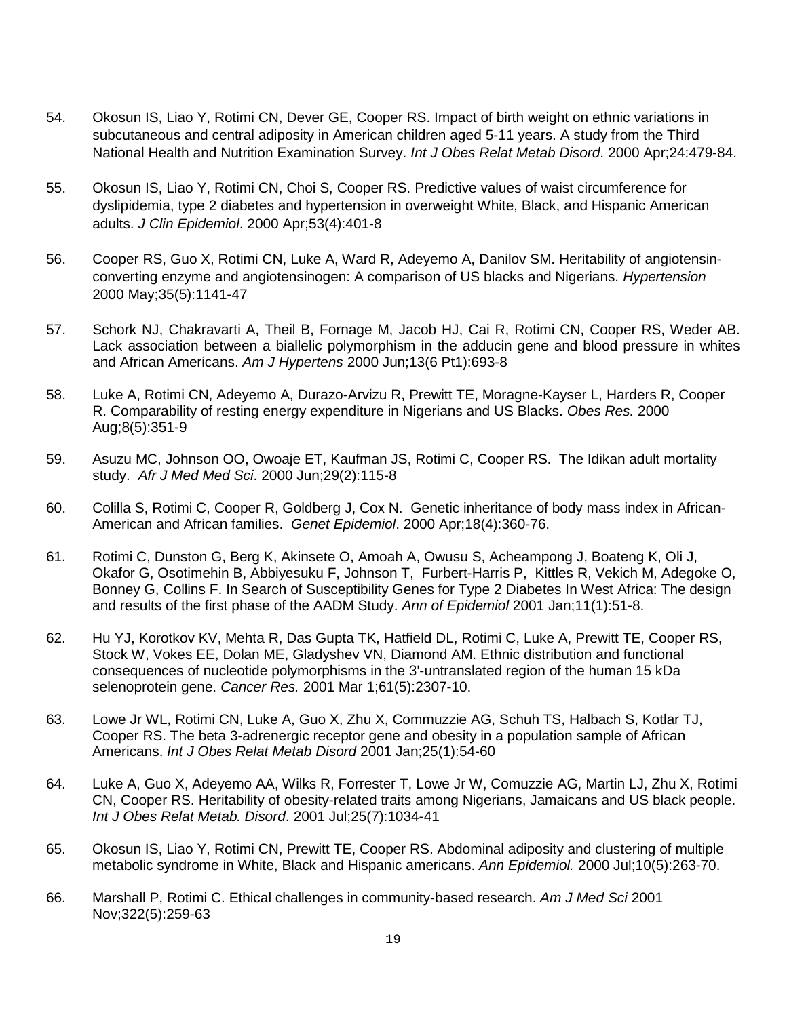- 54. Okosun IS, Liao Y, Rotimi CN, Dever GE, Cooper RS. Impact of birth weight on ethnic variations in subcutaneous and central adiposity in American children aged 5-11 years. A study from the Third National Health and Nutrition Examination Survey. *Int J Obes Relat Metab Disord*. 2000 Apr;24:479-84.
- 55. Okosun IS, Liao Y, Rotimi CN, Choi S, Cooper RS. Predictive values of waist circumference for dyslipidemia, type 2 diabetes and hypertension in overweight White, Black, and Hispanic American adults. *J Clin Epidemiol*. 2000 Apr;53(4):401-8
- 56. Cooper RS, Guo X, Rotimi CN, Luke A, Ward R, Adeyemo A, Danilov SM. Heritability of angiotensinconverting enzyme and angiotensinogen: A comparison of US blacks and Nigerians. *Hypertension*  2000 May;35(5):1141-47
- 57. Schork NJ, Chakravarti A, Theil B, Fornage M, Jacob HJ, Cai R, Rotimi CN, Cooper RS, Weder AB. Lack association between a biallelic polymorphism in the adducin gene and blood pressure in whites and African Americans. *Am J Hypertens* 2000 Jun;13(6 Pt1):693-8
- 58. Luke A, Rotimi CN, Adeyemo A, Durazo-Arvizu R, Prewitt TE, Moragne-Kayser L, Harders R, Cooper R. Comparability of resting energy expenditure in Nigerians and US Blacks. *Obes Res.* 2000 Aug;8(5):351-9
- 59. Asuzu MC, Johnson OO, Owoaje ET, Kaufman JS, Rotimi C, Cooper RS. The Idikan adult mortality study. *Afr J Med Med Sci*. 2000 Jun;29(2):115-8
- 60. Colilla S, Rotimi C, Cooper R, Goldberg J, Cox N. Genetic inheritance of body mass index in African-American and African families. *Genet Epidemiol*. 2000 Apr;18(4):360-76.
- 61. Rotimi C, Dunston G, Berg K, Akinsete O, Amoah A, Owusu S, Acheampong J, Boateng K, Oli J, Okafor G, Osotimehin B, Abbiyesuku F, Johnson T, Furbert-Harris P, Kittles R, Vekich M, Adegoke O, Bonney G, Collins F. In Search of Susceptibility Genes for Type 2 Diabetes In West Africa: The design and results of the first phase of the AADM Study. *Ann of Epidemiol* 2001 Jan;11(1):51-8.
- 62. Hu YJ, Korotkov KV, Mehta R, Das Gupta TK, Hatfield DL, Rotimi C, Luke A, Prewitt TE, Cooper RS, Stock W, Vokes EE, Dolan ME, Gladyshev VN, Diamond AM. Ethnic distribution and functional consequences of nucleotide polymorphisms in the 3'-untranslated region of the human 15 kDa selenoprotein gene. *Cancer Res.* 2001 Mar 1;61(5):2307-10.
- 63. Lowe Jr WL, Rotimi CN, Luke A, Guo X, Zhu X, Commuzzie AG, Schuh TS, Halbach S, Kotlar TJ, Cooper RS. The beta 3-adrenergic receptor gene and obesity in a population sample of African Americans. *Int J Obes Relat Metab Disord* 2001 Jan;25(1):54-60
- 64. Luke A, Guo X, Adeyemo AA, Wilks R, Forrester T, Lowe Jr W, Comuzzie AG, Martin LJ, Zhu X, Rotimi CN, Cooper RS. Heritability of obesity-related traits among Nigerians, Jamaicans and US black people. *Int J Obes Relat Metab. Disord*. 2001 Jul;25(7):1034-41
- 65. Okosun IS, Liao Y, Rotimi CN, Prewitt TE, Cooper RS. Abdominal adiposity and clustering of multiple metabolic syndrome in White, Black and Hispanic americans. *Ann Epidemiol.* 2000 Jul;10(5):263-70.
- 66. Marshall P, Rotimi C. Ethical challenges in community-based research. *Am J Med Sci* 2001 Nov;322(5):259-63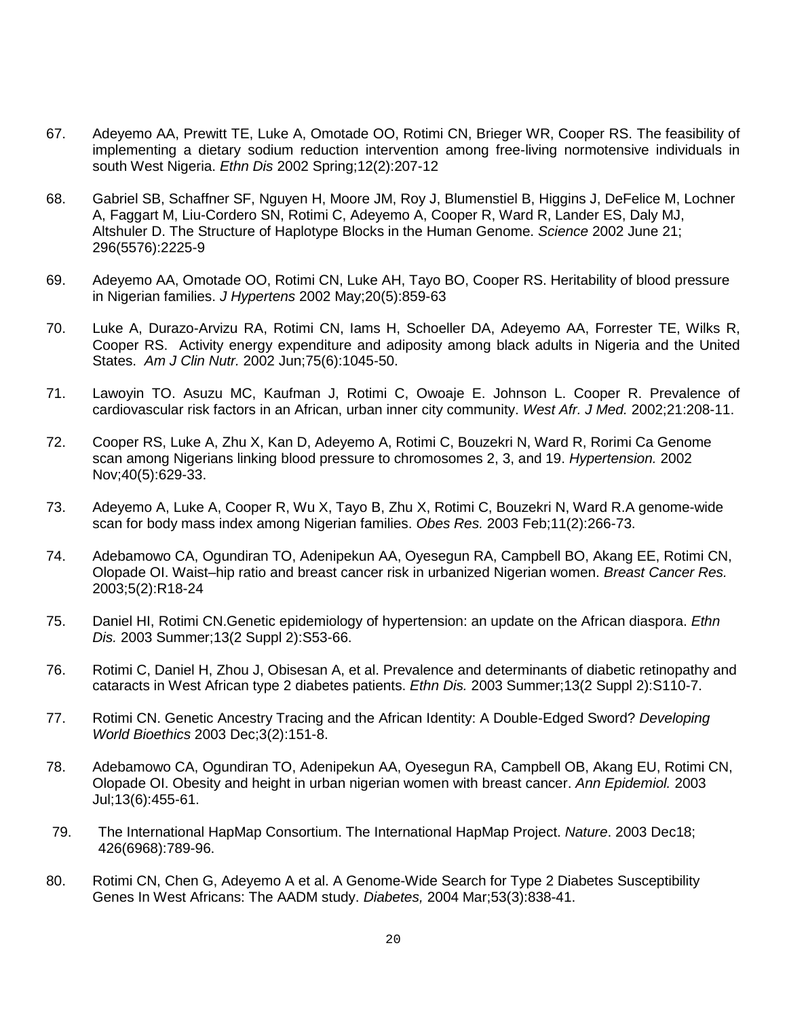- 67. Adeyemo AA, Prewitt TE, Luke A, Omotade OO, Rotimi CN, Brieger WR, Cooper RS. The feasibility of implementing a dietary sodium reduction intervention among free-living normotensive individuals in south West Nigeria. *Ethn Dis* 2002 Spring;12(2):207-12
- 68. Gabriel SB, Schaffner SF, Nguyen H, Moore JM, Roy J, Blumenstiel B, Higgins J, DeFelice M, Lochner A, Faggart M, Liu-Cordero SN, Rotimi C, Adeyemo A, Cooper R, Ward R, Lander ES, Daly MJ, Altshuler D. The Structure of Haplotype Blocks in the Human Genome. *Science* 2002 June 21; 296(5576):2225-9
- 69. Adeyemo AA, Omotade OO, Rotimi CN, Luke AH, Tayo BO, Cooper RS. Heritability of blood pressure in Nigerian families. *J Hypertens* 2002 May;20(5):859-63
- 70. Luke A, Durazo-Arvizu RA, Rotimi CN, Iams H, Schoeller DA, Adeyemo AA, Forrester TE, Wilks R, Cooper RS. Activity energy expenditure and adiposity among black adults in Nigeria and the United States. *Am J Clin Nutr.* 2002 Jun;75(6):1045-50.
- 71. Lawoyin TO. Asuzu MC, Kaufman J, Rotimi C, Owoaje E. Johnson L. Cooper R. Prevalence of cardiovascular risk factors in an African, urban inner city community. *West Afr. J Med.* 2002;21:208-11.
- 72. Cooper RS, Luke A, Zhu X, Kan D, Adeyemo A, Rotimi C, Bouzekri N, Ward R, Rorimi Ca Genome scan among Nigerians linking blood pressure to chromosomes 2, 3, and 19. *Hypertension.* 2002 Nov;40(5):629-33.
- 73. Adeyemo A, Luke A, Cooper R, Wu X, Tayo B, Zhu X, Rotimi C, Bouzekri N, Ward R.A genome-wide scan for body mass index among Nigerian families. *Obes Res.* 2003 Feb;11(2):266-73.
- 74. Adebamowo CA, Ogundiran TO, Adenipekun AA, Oyesegun RA, Campbell BO, Akang EE, Rotimi CN, Olopade OI. Waist–hip ratio and breast cancer risk in urbanized Nigerian women. *Breast Cancer Res.* 2003;5(2):R18-24
- 75. Daniel HI, Rotimi CN.Genetic epidemiology of hypertension: an update on the African diaspora. *Ethn Dis.* 2003 Summer;13(2 Suppl 2):S53-66.
- 76. Rotimi C, Daniel H, Zhou J, Obisesan A, et al. Prevalence and determinants of diabetic retinopathy and cataracts in West African type 2 diabetes patients. *Ethn Dis.* 2003 Summer;13(2 Suppl 2):S110-7.
- 77. Rotimi CN. Genetic Ancestry Tracing and the African Identity: A Double-Edged Sword? *Developing World Bioethics* 2003 Dec;3(2):151-8.
- 78. Adebamowo CA, Ogundiran TO, Adenipekun AA, Oyesegun RA, Campbell OB, Akang EU, Rotimi CN, Olopade OI. Obesity and height in urban nigerian women with breast cancer. *Ann Epidemiol.* 2003 Jul;13(6):455-61.
- 79. The International HapMap Consortium. The International HapMap Project. *Nature*. 2003 Dec18; 426(6968):789-96.
- 80. Rotimi CN, Chen G, Adeyemo A et al. A Genome-Wide Search for Type 2 Diabetes Susceptibility Genes In West Africans: The AADM study. *Diabetes,* 2004 Mar;53(3):838-41.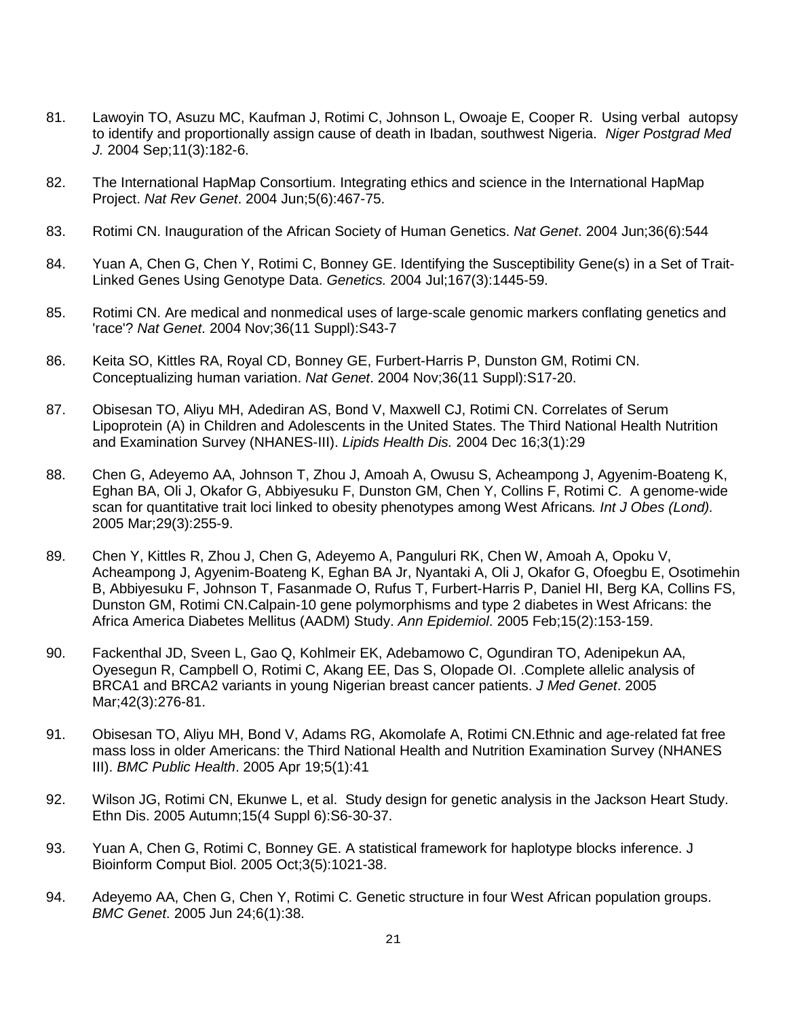- 81. Lawoyin TO, Asuzu MC, Kaufman J, Rotimi C, Johnson L, Owoaje E, Cooper R. Using verbal autopsy to identify and proportionally assign cause of death in Ibadan, southwest Nigeria. *Niger Postgrad Med J.* 2004 Sep;11(3):182-6.
- 82. The International HapMap Consortium. Integrating ethics and science in the International HapMap Project. *Nat Rev Genet*. 2004 Jun;5(6):467-75.
- 83. Rotimi CN. Inauguration of the African Society of Human Genetics. *Nat Genet*. 2004 Jun;36(6):544
- 84. Yuan A, Chen G, Chen Y, Rotimi C, Bonney GE. Identifying the Susceptibility Gene(s) in a Set of Trait-Linked Genes Using Genotype Data. *Genetics.* 2004 Jul;167(3):1445-59.
- 85. Rotimi CN. Are medical and nonmedical uses of large-scale genomic markers conflating genetics and 'race'? *Nat Genet*. 2004 Nov;36(11 Suppl):S43-7
- 86. Keita SO, Kittles RA, Royal CD, Bonney GE, Furbert-Harris P, Dunston GM, Rotimi CN. Conceptualizing human variation. *Nat Genet*. 2004 Nov;36(11 Suppl):S17-20.
- 87. Obisesan TO, Aliyu MH, Adediran AS, Bond V, Maxwell CJ, Rotimi CN. Correlates of Serum Lipoprotein (A) in Children and Adolescents in the United States. The Third National Health Nutrition and Examination Survey (NHANES-III). *Lipids Health Dis.* 2004 Dec 16;3(1):29
- 88. Chen G, Adeyemo AA, Johnson T, Zhou J, Amoah A, Owusu S, Acheampong J, Agyenim-Boateng K, Eghan BA, Oli J, Okafor G, Abbiyesuku F, Dunston GM, Chen Y, Collins F, Rotimi C. A genome-wide scan for quantitative trait loci linked to obesity phenotypes among West Africans*. Int J Obes (Lond).* 2005 Mar;29(3):255-9.
- 89. Chen Y, Kittles R, Zhou J, Chen G, Adeyemo A, Panguluri RK, Chen W, Amoah A, Opoku V, Acheampong J, Agyenim-Boateng K, Eghan BA Jr, Nyantaki A, Oli J, Okafor G, Ofoegbu E, Osotimehin B, Abbiyesuku F, Johnson T, Fasanmade O, Rufus T, Furbert-Harris P, Daniel HI, Berg KA, Collins FS, Dunston GM, Rotimi CN.Calpain-10 gene polymorphisms and type 2 diabetes in West Africans: the Africa America Diabetes Mellitus (AADM) Study. *Ann Epidemiol*. 2005 Feb;15(2):153-159.
- 90. Fackenthal JD, Sveen L, Gao Q, Kohlmeir EK, Adebamowo C, Ogundiran TO, Adenipekun AA, Oyesegun R, Campbell O, Rotimi C, Akang EE, Das S, Olopade OI. .Complete allelic analysis of BRCA1 and BRCA2 variants in young Nigerian breast cancer patients. *J Med Genet*. 2005 Mar;42(3):276-81.
- 91. Obisesan TO, Aliyu MH, Bond V, Adams RG, Akomolafe A, Rotimi CN.Ethnic and age-related fat free mass loss in older Americans: the Third National Health and Nutrition Examination Survey (NHANES III). *BMC Public Health*. 2005 Apr 19;5(1):41
- 92. Wilson JG, Rotimi CN, Ekunwe L, et al. Study design for genetic analysis in the Jackson Heart Study. Ethn Dis. 2005 Autumn;15(4 Suppl 6):S6-30-37.
- 93. [Yuan A,](http://www.ncbi.nlm.nih.gov/entrez/query.fcgi?db=pubmed&cmd=Search&term=%22Yuan+A%22%5BAuthor%5D) [Chen G,](http://www.ncbi.nlm.nih.gov/entrez/query.fcgi?db=pubmed&cmd=Search&term=%22Chen+G%22%5BAuthor%5D) [Rotimi C,](http://www.ncbi.nlm.nih.gov/entrez/query.fcgi?db=pubmed&cmd=Search&term=%22Rotimi+C%22%5BAuthor%5D) [Bonney GE.](http://www.ncbi.nlm.nih.gov/entrez/query.fcgi?db=pubmed&cmd=Search&term=%22Bonney+GE%22%5BAuthor%5D) A statistical framework for haplotype blocks inference. J Bioinform Comput Biol. 2005 Oct;3(5):1021-38.
- 94. [Adeyemo AA, Chen G, Chen Y, Rotimi C.](http://www.ncbi.nlm.nih.gov/sites/entrez?Db=pubmed&Cmd=ShowDetailView&TermToSearch=15978124&ordinalpos=24&itool=EntrezSystem2.PEntrez.Pubmed.Pubmed_ResultsPanel.Pubmed_RVDocSum) Genetic structure in four West African population groups. *BMC Genet*. 2005 Jun 24;6(1):38.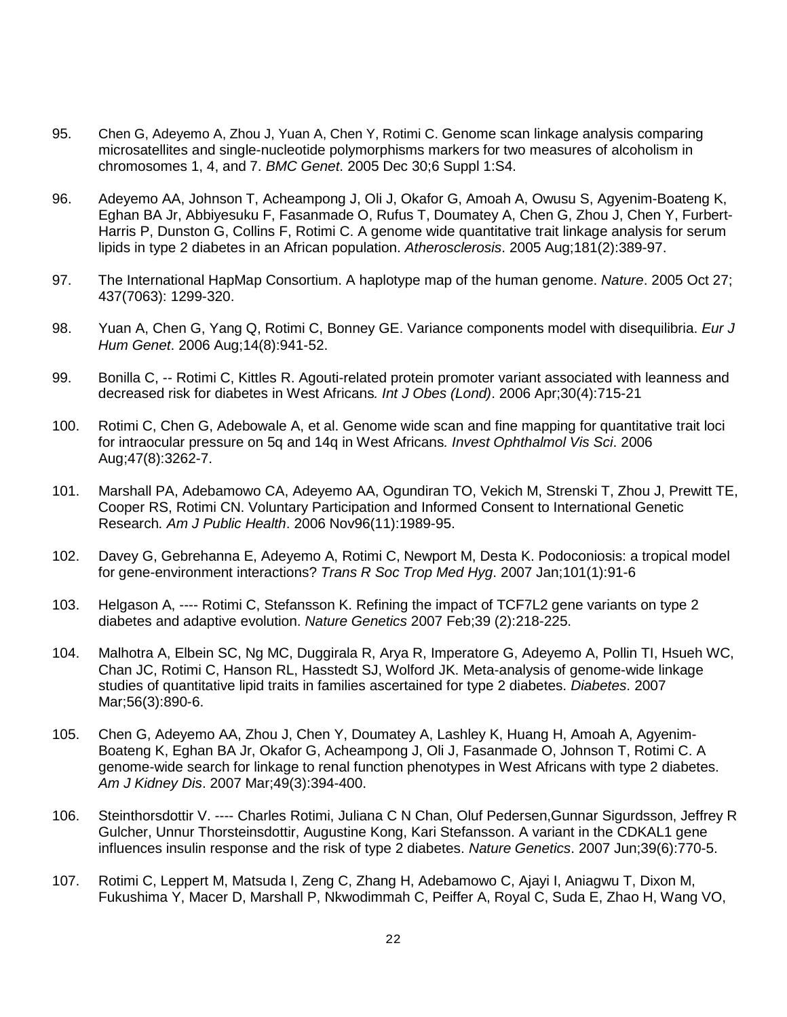- 95. Chen G, Adeyemo A, Zhou J, Yuan A, Chen Y, Rotimi C. [Genome scan linkage analysis comparing](http://www.ncbi.nlm.nih.gov/pubmed/16451650?itool=EntrezSystem2.PEntrez.Pubmed.Pubmed_ResultsPanel.Pubmed_RVDocSum&ordinalpos=2)  [microsatellites and single-nucleotide polymorphisms markers for two measures of alcoholism in](http://www.ncbi.nlm.nih.gov/pubmed/16451650?itool=EntrezSystem2.PEntrez.Pubmed.Pubmed_ResultsPanel.Pubmed_RVDocSum&ordinalpos=2)  [chromosomes 1, 4, and 7.](http://www.ncbi.nlm.nih.gov/pubmed/16451650?itool=EntrezSystem2.PEntrez.Pubmed.Pubmed_ResultsPanel.Pubmed_RVDocSum&ordinalpos=2) *BMC Genet*. 2005 Dec 30;6 Suppl 1:S4.
- 96. [Adeyemo AA, Johnson T, Acheampong J, Oli J, Okafor G, Amoah A, Owusu S, Agyenim-Boateng K,](http://www.ncbi.nlm.nih.gov/sites/entrez?Db=pubmed&Cmd=ShowDetailView&TermToSearch=16039295&ordinalpos=20&itool=EntrezSystem2.PEntrez.Pubmed.Pubmed_ResultsPanel.Pubmed_RVDocSum)  [Eghan BA Jr, Abbiyesuku F, Fasanmade O, Rufus T, Doumatey A, Chen G, Zhou J, Chen Y, Furbert-](http://www.ncbi.nlm.nih.gov/sites/entrez?Db=pubmed&Cmd=ShowDetailView&TermToSearch=16039295&ordinalpos=20&itool=EntrezSystem2.PEntrez.Pubmed.Pubmed_ResultsPanel.Pubmed_RVDocSum)[Harris P, Dunston G, Collins F, Rotimi C.](http://www.ncbi.nlm.nih.gov/sites/entrez?Db=pubmed&Cmd=ShowDetailView&TermToSearch=16039295&ordinalpos=20&itool=EntrezSystem2.PEntrez.Pubmed.Pubmed_ResultsPanel.Pubmed_RVDocSum) A genome wide quantitative trait linkage analysis for serum lipids in type 2 diabetes in an African population. *Atherosclerosis*. 2005 Aug;181(2):389-97.
- 97. The International HapMap Consortium. A haplotype map of the human genome. *Nature*. 2005 Oct 27; 437(7063): 1299-320.
- 98. [Yuan A,](http://www.ncbi.nlm.nih.gov/entrez/query.fcgi?db=pubmed&cmd=Search&term=%22Yuan+A%22%5BAuthor%5D) [Chen G,](http://www.ncbi.nlm.nih.gov/entrez/query.fcgi?db=pubmed&cmd=Search&term=%22Chen+G%22%5BAuthor%5D) Yang Q, [Rotimi C,](http://www.ncbi.nlm.nih.gov/entrez/query.fcgi?db=pubmed&cmd=Search&term=%22Rotimi+C%22%5BAuthor%5D) [Bonney GE.](http://www.ncbi.nlm.nih.gov/entrez/query.fcgi?db=pubmed&cmd=Search&term=%22Bonney+GE%22%5BAuthor%5D) Variance components model with disequilibria. *Eur J Hum Genet*. 2006 Aug;14(8):941-52.
- 99. [Bonilla C,](http://www.ncbi.nlm.nih.gov/entrez/query.fcgi?db=pubmed&cmd=Search&term=%22Bonilla+C%22%5BAuthor%5D) -- Rotimi C, Kittles R. Agouti-related protein promoter variant associated with leanness and decreased risk for diabetes in West Africans*. Int J Obes (Lond)*. 2006 Apr;30(4):715-21
- 100. Rotimi C, Chen G, Adebowale A, et al. Genome wide scan and fine mapping for quantitative trait loci for intraocular pressure on 5q and 14q in West Africans*. Invest Ophthalmol Vis Sci*. 2006 Aug;47(8):3262-7.
- 101. [Marshall PA,](http://www.ncbi.nlm.nih.gov/entrez/query.fcgi?db=pubmed&cmd=Search&itool=pubmed_AbstractPlus&term=%22Marshall+PA%22%5BAuthor%5D) [Adebamowo CA,](http://www.ncbi.nlm.nih.gov/entrez/query.fcgi?db=pubmed&cmd=Search&itool=pubmed_AbstractPlus&term=%22Adebamowo+CA%22%5BAuthor%5D) [Adeyemo AA,](http://www.ncbi.nlm.nih.gov/entrez/query.fcgi?db=pubmed&cmd=Search&itool=pubmed_AbstractPlus&term=%22Adeyemo+AA%22%5BAuthor%5D) [Ogundiran TO,](http://www.ncbi.nlm.nih.gov/entrez/query.fcgi?db=pubmed&cmd=Search&itool=pubmed_AbstractPlus&term=%22Ogundiran+TO%22%5BAuthor%5D) [Vekich M,](http://www.ncbi.nlm.nih.gov/entrez/query.fcgi?db=pubmed&cmd=Search&itool=pubmed_AbstractPlus&term=%22Vekich+M%22%5BAuthor%5D) [Strenski T,](http://www.ncbi.nlm.nih.gov/entrez/query.fcgi?db=pubmed&cmd=Search&itool=pubmed_AbstractPlus&term=%22Strenski+T%22%5BAuthor%5D) [Zhou J,](http://www.ncbi.nlm.nih.gov/entrez/query.fcgi?db=pubmed&cmd=Search&itool=pubmed_AbstractPlus&term=%22Zhou+J%22%5BAuthor%5D) [Prewitt TE,](http://www.ncbi.nlm.nih.gov/entrez/query.fcgi?db=pubmed&cmd=Search&itool=pubmed_AbstractPlus&term=%22Prewitt+TE%22%5BAuthor%5D) [Cooper RS,](http://www.ncbi.nlm.nih.gov/entrez/query.fcgi?db=pubmed&cmd=Search&itool=pubmed_AbstractPlus&term=%22Cooper+RS%22%5BAuthor%5D) Rotimi CN. Voluntary Participation and Informed Consent to International Genetic Research*. Am J Public Health*. 2006 Nov96(11):1989-95.
- 102. Davey G, Gebrehanna [E, Adeyemo A, Rotimi C, Newport M, Desta K.](http://www.ncbi.nlm.nih.gov/entrez/query.fcgi?db=pubmed&cmd=Retrieve&dopt=AbstractPlus&list_uids=16884751&query_hl=1&itool=pubmed_docsum) Podoconiosis: a tropical model for gene-environment interactions? *Trans R Soc Trop Med Hyg*. 2007 Jan;101(1):91-6
- 103. Helgason A, ---- Rotimi C, Stefansson K. Refining the impact of TCF7L2 gene variants on type 2 diabetes and adaptive evolution. *Nature Genetics* 2007 Feb;39 (2):218-225.
- 104. [Malhotra A, Elbein SC, Ng MC, Duggirala R, Arya R, Imperatore G, Adeyemo A, Pollin TI, Hsueh WC,](http://www.ncbi.nlm.nih.gov/entrez/query.fcgi?db=pubmed&cmd=Retrieve&dopt=AbstractPlus&list_uids=17327462&query_hl=1&itool=pubmed_docsum)  [Chan JC, Rotimi C, Hanson RL, Hasstedt SJ, Wolford JK.](http://www.ncbi.nlm.nih.gov/entrez/query.fcgi?db=pubmed&cmd=Retrieve&dopt=AbstractPlus&list_uids=17327462&query_hl=1&itool=pubmed_docsum) Meta-analysis of genome-wide linkage studies of quantitative lipid traits in families ascertained for type 2 diabetes. *Diabetes*. 2007 Mar;56(3):890-6.
- 105. [Chen G, Adeyemo AA, Zhou J, Chen Y, Doumatey A, Lashley K, Huang H, Amoah A, Agyenim-](http://www.ncbi.nlm.nih.gov/entrez/query.fcgi?db=pubmed&cmd=Retrieve&dopt=AbstractPlus&list_uids=17336700&query_hl=1&itool=pubmed_docsum)[Boateng K, Eghan BA Jr, Okafor G, Acheampong J, Oli J, Fasanmade O, Johnson T, Rotimi C.](http://www.ncbi.nlm.nih.gov/entrez/query.fcgi?db=pubmed&cmd=Retrieve&dopt=AbstractPlus&list_uids=17336700&query_hl=1&itool=pubmed_docsum) A genome-wide search for linkage to renal function phenotypes in West Africans with type 2 diabetes. *Am J Kidney Dis*. 2007 Mar;49(3):394-400.
- 106. Steinthorsdottir V. ---- Charles Rotimi, Juliana C N Chan, Oluf Pedersen,Gunnar Sigurdsson, Jeffrey R Gulcher, Unnur Thorsteinsdottir, Augustine Kong, Kari Stefansson. A variant in the CDKAL1 gene influences insulin response and the risk of type 2 diabetes. *Nature Genetics*. 2007 Jun;39(6):770-5.
- 107. [Rotimi C, Leppert M, Matsuda I, Zeng C, Zhang H, Adebamowo C, Ajayi I, Aniagwu T, Dixon M,](http://www.ncbi.nlm.nih.gov/sites/entrez?Db=pubmed&Cmd=ShowDetailView&TermToSearch=17575464&ordinalpos=2&itool=EntrezSystem2.PEntrez.Pubmed.Pubmed_ResultsPanel.Pubmed_RVDocSum)  [Fukushima Y, Macer D, Marshall P, Nkwodimmah C, Peiffer A, Royal C, Suda E, Zhao H, Wang VO,](http://www.ncbi.nlm.nih.gov/sites/entrez?Db=pubmed&Cmd=ShowDetailView&TermToSearch=17575464&ordinalpos=2&itool=EntrezSystem2.PEntrez.Pubmed.Pubmed_ResultsPanel.Pubmed_RVDocSum)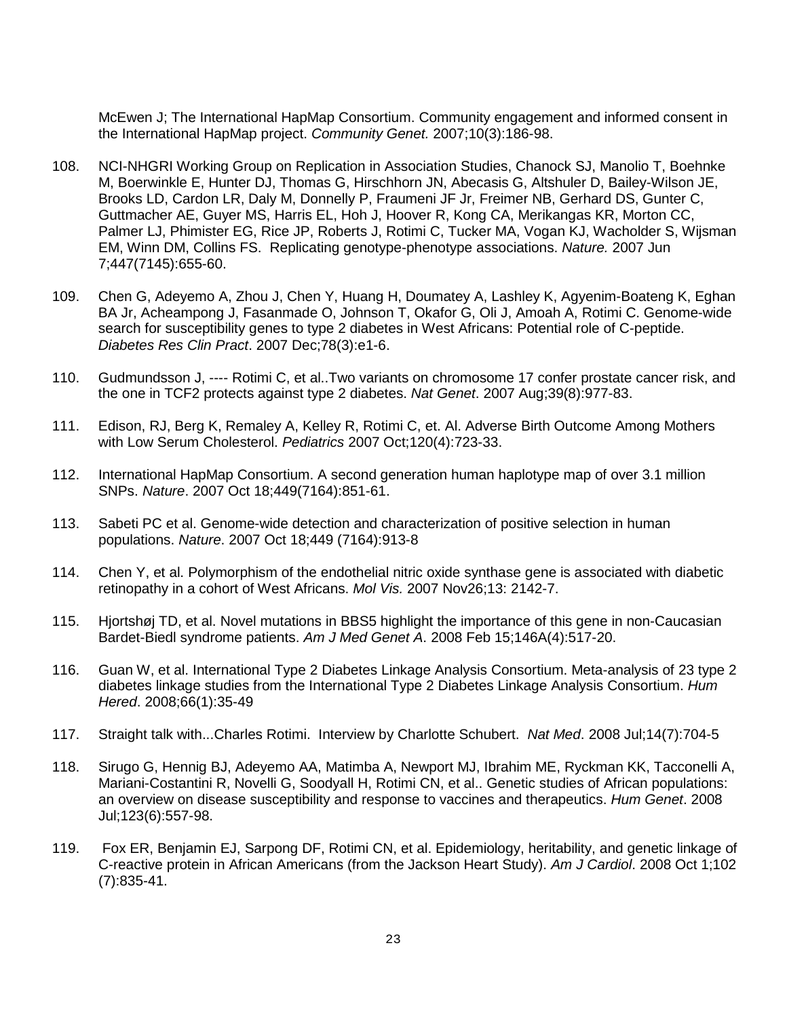[McEwen J; The International HapMap Consortium.](http://www.ncbi.nlm.nih.gov/sites/entrez?Db=pubmed&Cmd=ShowDetailView&TermToSearch=17575464&ordinalpos=2&itool=EntrezSystem2.PEntrez.Pubmed.Pubmed_ResultsPanel.Pubmed_RVDocSum) Community engagement and informed consent in the International HapMap project. *Community Genet.* 2007;10(3):186-98.

- 108. NCI-NHGRI Working Group on Replication in Association Studies, Chanock SJ, Manolio T, Boehnke M, Boerwinkle E, Hunter DJ, Thomas G, Hirschhorn JN, Abecasis G, Altshuler D, Bailey-Wilson JE, Brooks LD, Cardon LR, Daly M, Donnelly P, Fraumeni JF Jr, Freimer NB, Gerhard DS, Gunter C, Guttmacher AE, Guyer MS, Harris EL, Hoh J, Hoover R, Kong CA, Merikangas KR, Morton CC, Palmer LJ, Phimister EG, Rice JP, Roberts J, Rotimi C, Tucker MA, Vogan KJ, Wacholder S, Wijsman EM, Winn DM, Collins FS. Replicating genotype-phenotype associations. *Nature.* 2007 Jun 7;447(7145):655-60.
- 109. Chen G, Adeyemo A, Zhou J, Chen Y, Huang H, Doumatey A, Lashley K, Agyenim-Boateng K, Eghan BA Jr, Acheampong J, Fasanmade O, Johnson T, Okafor G, Oli J, Amoah A, Rotimi C. Genome-wide search for susceptibility genes to type 2 diabetes in West Africans: Potential role of C-peptide. *Diabetes Res Clin Pract*. 2007 Dec;78(3):e1-6.
- 110. Gudmundsson J, ---- Rotimi C, et al..Two variants on chromosome 17 confer prostate cancer risk, and the one in TCF2 protects against type 2 diabetes. *Nat Genet*. 2007 Aug;39(8):977-83.
- 111. Edison, RJ, Berg K, Remaley A, Kelley R, Rotimi C, et. Al. Adverse Birth Outcome Among Mothers with Low Serum Cholesterol. *Pediatrics* 2007 Oct;120(4):723-33.
- 112. International HapMap Consortium. A second generation human haplotype map of over 3.1 million SNPs. *Nature*. 2007 Oct 18;449(7164):851-61.
- 113. Sabeti PC et al. Genome-wide detection and characterization of positive selection in human populations. *Nature*. 2007 Oct 18;449 (7164):913-8
- 114. Chen Y, et al. Polymorphism of the endothelial nitric oxide synthase gene is associated with diabetic retinopathy in a cohort of West Africans. *Mol Vis.* 2007 Nov26;13: 2142-7.
- 115. Hjortshøj TD, et al. Novel mutations in BBS5 highlight the importance of this gene in non-Caucasian Bardet-Biedl syndrome patients. *Am J Med Genet A*. 2008 Feb 15;146A(4):517-20.
- 116. Guan W, et al. International Type 2 Diabetes Linkage Analysis Consortium. Meta-analysis of 23 type 2 diabetes linkage studies from the International Type 2 Diabetes Linkage Analysis Consortium. *Hum Hered*. 2008;66(1):35-49
- 117. Straight talk with...Charles Rotimi. Interview by Charlotte Schubert. *Nat Med*. 2008 Jul;14(7):704-5
- 118. Sirugo G, Hennig BJ, Adeyemo AA, Matimba A, Newport MJ, Ibrahim ME, Ryckman KK, Tacconelli A, Mariani-Costantini R, Novelli G, Soodyall H, Rotimi CN, et al.. Genetic studies of African populations: an overview on disease susceptibility and response to vaccines and therapeutics. *Hum Genet*. 2008 Jul;123(6):557-98.
- 119. Fox ER, Benjamin EJ, Sarpong DF, Rotimi CN, et al. Epidemiology, heritability, and genetic linkage of C-reactive protein in African Americans (from the Jackson Heart Study). *Am J Cardiol*. 2008 Oct 1;102 (7):835-41.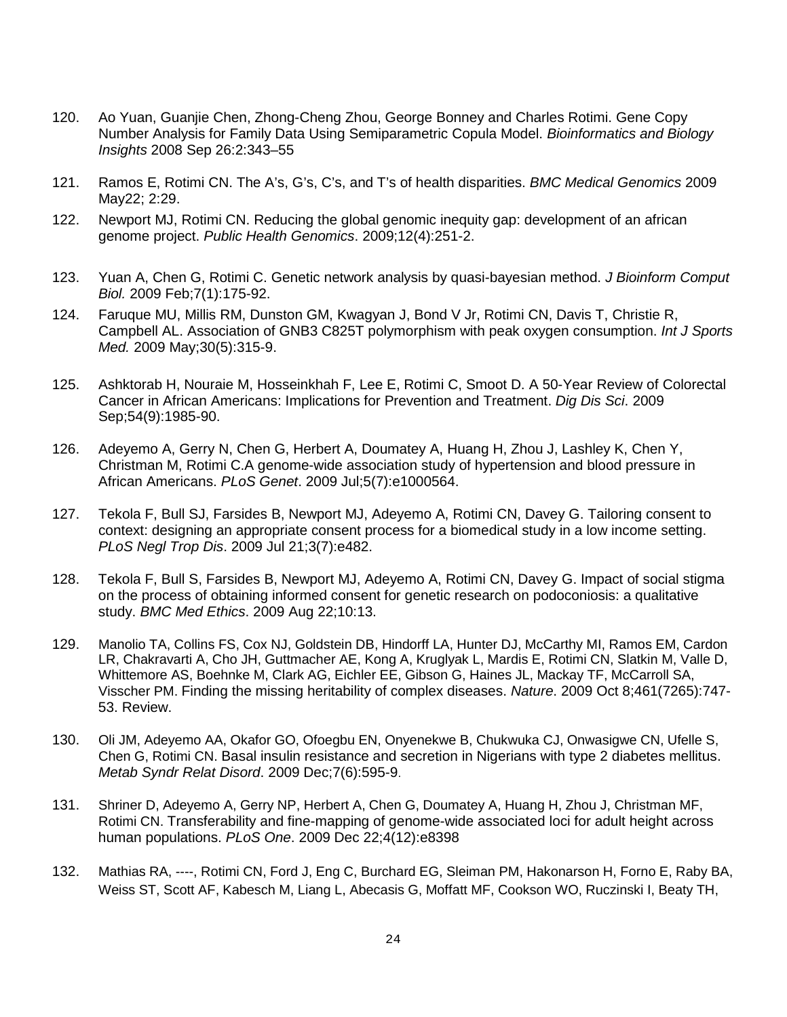- 120. Ao Yuan, Guanjie Chen, Zhong-Cheng Zhou, George Bonney and Charles Rotimi. Gene Copy Number Analysis for Family Data Using Semiparametric Copula Model. *Bioinformatics and Biology Insights* 2008 Sep 26:2:343–55
- 121. Ramos E, Rotimi CN. The A's, G's, C's, and T's of health disparities. *BMC Medical Genomics* 2009 May22; 2:29.
- 122. Newport MJ, Rotimi CN. Reducing the global genomic inequity gap: development of an african genome project. *Public Health Genomics*. 2009;12(4):251-2.
- 123. Yuan A, Chen G, Rotimi C. [Genetic network analysis by quasi-bayesian method.](http://www.ncbi.nlm.nih.gov/pubmed/19226666?ordinalpos=5&itool=EntrezSystem2.PEntrez.Pubmed.Pubmed_ResultsPanel.Pubmed_DefaultReportPanel.Pubmed_RVDocSum) *J Bioinform Comput Biol.* 2009 Feb;7(1):175-92.
- 124. Faruque MU, Millis RM, Dunston GM, Kwagyan J, Bond V Jr, Rotimi CN, Davis T, Christie R, Campbell AL. [Association of GNB3 C825T polymorphism with peak oxygen consumption.](http://www.ncbi.nlm.nih.gov/pubmed/19301222?ordinalpos=4&itool=EntrezSystem2.PEntrez.Pubmed.Pubmed_ResultsPanel.Pubmed_DefaultReportPanel.Pubmed_RVDocSum) *Int J Sports Med.* 2009 May;30(5):315-9.
- 125. [Ashktorab H,](http://www.ncbi.nlm.nih.gov/sites/entrez?Db=pubmed&Cmd=Search&Term=%22Ashktorab%20H%22%5BAuthor%5D&itool=EntrezSystem2.PEntrez.Pubmed.Pubmed_ResultsPanel.Pubmed_DiscoveryPanel.Pubmed_RVAbstractPlus) [Nouraie M,](http://www.ncbi.nlm.nih.gov/sites/entrez?Db=pubmed&Cmd=Search&Term=%22Nouraie%20M%22%5BAuthor%5D&itool=EntrezSystem2.PEntrez.Pubmed.Pubmed_ResultsPanel.Pubmed_DiscoveryPanel.Pubmed_RVAbstractPlus) [Hosseinkhah F,](http://www.ncbi.nlm.nih.gov/sites/entrez?Db=pubmed&Cmd=Search&Term=%22Hosseinkhah%20F%22%5BAuthor%5D&itool=EntrezSystem2.PEntrez.Pubmed.Pubmed_ResultsPanel.Pubmed_DiscoveryPanel.Pubmed_RVAbstractPlus) [Lee E,](http://www.ncbi.nlm.nih.gov/sites/entrez?Db=pubmed&Cmd=Search&Term=%22Lee%20E%22%5BAuthor%5D&itool=EntrezSystem2.PEntrez.Pubmed.Pubmed_ResultsPanel.Pubmed_DiscoveryPanel.Pubmed_RVAbstractPlus) [Rotimi C,](http://www.ncbi.nlm.nih.gov/sites/entrez?Db=pubmed&Cmd=Search&Term=%22Rotimi%20C%22%5BAuthor%5D&itool=EntrezSystem2.PEntrez.Pubmed.Pubmed_ResultsPanel.Pubmed_DiscoveryPanel.Pubmed_RVAbstractPlus) [Smoot D.](http://www.ncbi.nlm.nih.gov/sites/entrez?Db=pubmed&Cmd=Search&Term=%22Smoot%20D%22%5BAuthor%5D&itool=EntrezSystem2.PEntrez.Pubmed.Pubmed_ResultsPanel.Pubmed_DiscoveryPanel.Pubmed_RVAbstractPlus) A 50-Year Review of Colorectal Cancer in African Americans: Implications for Prevention and Treatment. *[Dig Dis Sci](javascript:AL_get(this,%20)*. 2009 Sep;54(9):1985-90.
- 126. Adeyemo A, Gerry N, Chen G, Herbert A, Doumatey A, Huang H, Zhou J, Lashley K, Chen Y, Christman M, Rotimi C[.A genome-wide association study of hypertension and blood pressure in](http://www.ncbi.nlm.nih.gov/pubmed/19609347?ordinalpos=3&itool=EntrezSystem2.PEntrez.Pubmed.Pubmed_ResultsPanel.Pubmed_DefaultReportPanel.Pubmed_RVDocSum)  [African Americans.](http://www.ncbi.nlm.nih.gov/pubmed/19609347?ordinalpos=3&itool=EntrezSystem2.PEntrez.Pubmed.Pubmed_ResultsPanel.Pubmed_DefaultReportPanel.Pubmed_RVDocSum) *PLoS Genet*. 2009 Jul;5(7):e1000564.
- 127. Tekola F, Bull SJ, Farsides B, Newport MJ, Adeyemo A, Rotimi CN, Davey G. Tailoring consent to context: designing an appropriate consent process for a biomedical study in a low income setting. *PLoS Negl Trop Dis*. 2009 Jul 21;3(7):e482.
- 128. Tekola F, Bull S, Farsides B, Newport MJ, Adeyemo A, Rotimi CN, Davey G. Impact of social stigma on the process of obtaining informed consent for genetic research on podoconiosis: a qualitative study. *BMC Med Ethics*. 2009 Aug 22;10:13.
- 129. Manolio TA, Collins FS, Cox NJ, Goldstein DB, Hindorff LA, Hunter DJ, McCarthy MI, Ramos EM, Cardon LR, Chakravarti A, Cho JH, Guttmacher AE, Kong A, Kruglyak L, Mardis E, Rotimi CN, Slatkin M, Valle D, Whittemore AS, Boehnke M, Clark AG, Eichler EE, Gibson G, Haines JL, Mackay TF, McCarroll SA, Visscher PM. [Finding the missing heritability of complex diseases.](http://www.ncbi.nlm.nih.gov/pubmed/19812666?itool=EntrezSystem2.PEntrez.Pubmed.Pubmed_ResultsPanel.Pubmed_RVDocSum&ordinalpos=7) *Nature*. 2009 Oct 8;461(7265):747- 53. Review.
- 130. Oli JM, Adeyemo AA, Okafor GO, Ofoegbu EN, Onyenekwe B, Chukwuka CJ, Onwasigwe CN, Ufelle S, Chen G, Rotimi CN. [Basal insulin resistance and secretion in Nigerians with type 2 diabetes mellitus.](http://www.ncbi.nlm.nih.gov/pubmed/19900160?itool=EntrezSystem2.PEntrez.Pubmed.Pubmed_ResultsPanel.Pubmed_RVDocSum&ordinalpos=6) *Metab Syndr Relat Disord*. 2009 Dec;7(6):595-9.
- 131. Shriner D, Adeyemo A, Gerry NP, Herbert A, Chen G, Doumatey A, Huang H, Zhou J, Christman MF, Rotimi CN. [Transferability and fine-mapping of genome-wide associated loci for adult height across](http://www.ncbi.nlm.nih.gov/pubmed/20027299?itool=EntrezSystem2.PEntrez.Pubmed.Pubmed_ResultsPanel.Pubmed_RVDocSum&ordinalpos=3)  [human populations.](http://www.ncbi.nlm.nih.gov/pubmed/20027299?itool=EntrezSystem2.PEntrez.Pubmed.Pubmed_ResultsPanel.Pubmed_RVDocSum&ordinalpos=3) *PLoS One*. 2009 Dec 22;4(12):e8398
- 132. Mathias RA, ----, Rotimi CN, Ford J, Eng C, Burchard EG, Sleiman PM, Hakonarson H, Forno E, Raby BA, Weiss ST, Scott AF, Kabesch M, Liang L, Abecasis G, Moffatt MF, Cookson WO, Ruczinski I, Beaty TH,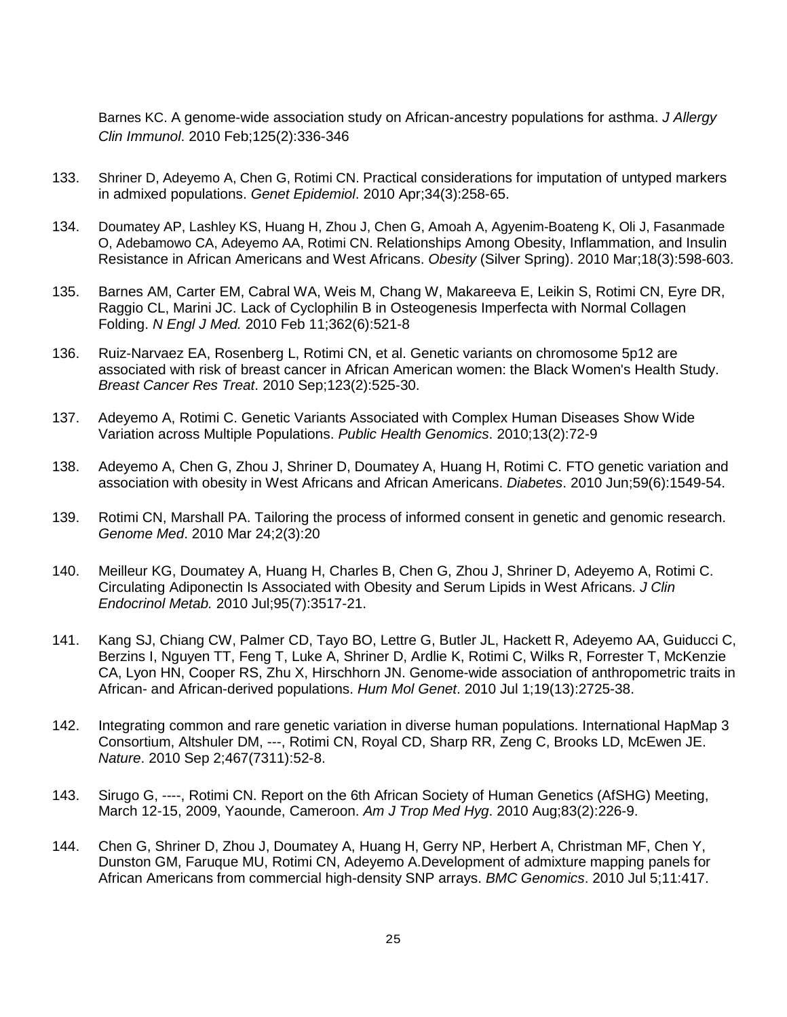Barnes KC. [A genome-wide association study on African-ancestry populations for asthma.](http://www.ncbi.nlm.nih.gov/pubmed/19910028?itool=EntrezSystem2.PEntrez.Pubmed.Pubmed_ResultsPanel.Pubmed_RVDocSum&ordinalpos=5) *J Allergy Clin Immunol*. 2010 Feb;125(2):336-346

- 133. Shriner D, Adeyemo A, Chen G, Rotimi CN. [Practical considerations for imputation of untyped markers](http://www.ncbi.nlm.nih.gov/pubmed/19918757?itool=EntrezSystem2.PEntrez.Pubmed.Pubmed_ResultsPanel.Pubmed_RVDocSum&ordinalpos=4)  [in admixed populations.](http://www.ncbi.nlm.nih.gov/pubmed/19918757?itool=EntrezSystem2.PEntrez.Pubmed.Pubmed_ResultsPanel.Pubmed_RVDocSum&ordinalpos=4) *Genet Epidemiol*. 2010 Apr;34(3):258-65.
- 134. Doumatey AP, Lashley KS, Huang H, Zhou J, Chen G, Amoah A, Agyenim-Boateng K, Oli J, Fasanmade O, Adebamowo CA, Adeyemo AA, Rotimi CN. [Relationships Among Obesity, Inflammation, and Insulin](http://www.ncbi.nlm.nih.gov/pubmed/19798069?itool=EntrezSystem2.PEntrez.Pubmed.Pubmed_ResultsPanel.Pubmed_RVDocSum&ordinalpos=8)  [Resistance in African Americans and West Africans.](http://www.ncbi.nlm.nih.gov/pubmed/19798069?itool=EntrezSystem2.PEntrez.Pubmed.Pubmed_ResultsPanel.Pubmed_RVDocSum&ordinalpos=8) *Obesity* (Silver Spring). 2010 Mar;18(3):598-603.
- 135. Barnes AM, Carter EM, Cabral WA, Weis M, Chang W, Makareeva E, Leikin S, Rotimi CN, Eyre DR, Raggio CL, Marini JC. [Lack of Cyclophilin B in Osteogenesis Imperfecta with Normal Collagen](http://www.ncbi.nlm.nih.gov/pubmed/20089953?itool=EntrezSystem2.PEntrez.Pubmed.Pubmed_ResultsPanel.Pubmed_RVDocSum&ordinalpos=1)  [Folding.](http://www.ncbi.nlm.nih.gov/pubmed/20089953?itool=EntrezSystem2.PEntrez.Pubmed.Pubmed_ResultsPanel.Pubmed_RVDocSum&ordinalpos=1) *N Engl J Med.* 2010 Feb 11;362(6):521-8
- 136. [Ruiz-Narvaez EA,](http://www.ncbi.nlm.nih.gov/pubmed?term=%22Ruiz-Narvaez%20EA%22%5BAuthor%5D) [Rosenberg L,](http://www.ncbi.nlm.nih.gov/pubmed?term=%22Rosenberg%20L%22%5BAuthor%5D) [Rotimi CN,](http://www.ncbi.nlm.nih.gov/pubmed?term=%22Rotimi%20CN%22%5BAuthor%5D) et al. Genetic variants on chromosome 5p12 are associated with risk of breast cancer in African American women: the Black Women's Health Study. *Breast Cancer Res Treat*. 2010 Sep;123(2):525-30.
- 137. Adeyemo A, Rotimi C. Genetic Variants Associated with Complex Human Diseases Show Wide Variation across Multiple Populations. *Public Health Genomics*. 2010;13(2):72-9
- 138. Adeyemo A, Chen G, Zhou J, Shriner D, Doumatey A, Huang H, Rotimi C. FTO genetic variation and association with obesity in West Africans and African Americans. *Diabetes*. 2010 Jun;59(6):1549-54.
- 139. Rotimi CN, Marshall PA. Tailoring the process of informed consent in genetic and genomic research. *Genome Med*. 2010 Mar 24;2(3):20
- 140. Meilleur KG, Doumatey A, Huang H, Charles B, Chen G, Zhou J, Shriner D, Adeyemo A, Rotimi C. Circulating Adiponectin Is Associated with Obesity and Serum Lipids in West Africans. *J Clin Endocrinol Metab.* 2010 Jul;95(7):3517-21.
- 141. Kang SJ, Chiang CW, Palmer CD, Tayo BO, Lettre G, Butler JL, Hackett R, Adeyemo AA, Guiducci C, Berzins I, Nguyen TT, Feng T, Luke A, Shriner D, Ardlie K, Rotimi C, Wilks R, Forrester T, McKenzie CA, Lyon HN, Cooper RS, Zhu X, Hirschhorn JN. Genome-wide association of anthropometric traits in African- and African-derived populations. *Hum Mol Genet*. 2010 Jul 1;19(13):2725-38.
- 142. Integrating common and rare genetic variation in diverse human populations. International HapMap 3 Consortium, Altshuler DM, ---, Rotimi CN, Royal CD, Sharp RR, Zeng C, Brooks LD, McEwen JE. *Nature*. 2010 Sep 2;467(7311):52-8.
- 143. Sirugo G, ----, Rotimi CN. Report on the 6th African Society of Human Genetics (AfSHG) Meeting, March 12-15, 2009, Yaounde, Cameroon. *Am J Trop Med Hyg*. 2010 Aug;83(2):226-9.
- 144. Chen G, Shriner D, Zhou J, Doumatey A, Huang H, Gerry NP, Herbert A, Christman MF, Chen Y, Dunston GM, Faruque MU, Rotimi CN, Adeyemo A.Development of admixture mapping panels for African Americans from commercial high-density SNP arrays. *BMC Genomics*. 2010 Jul 5;11:417.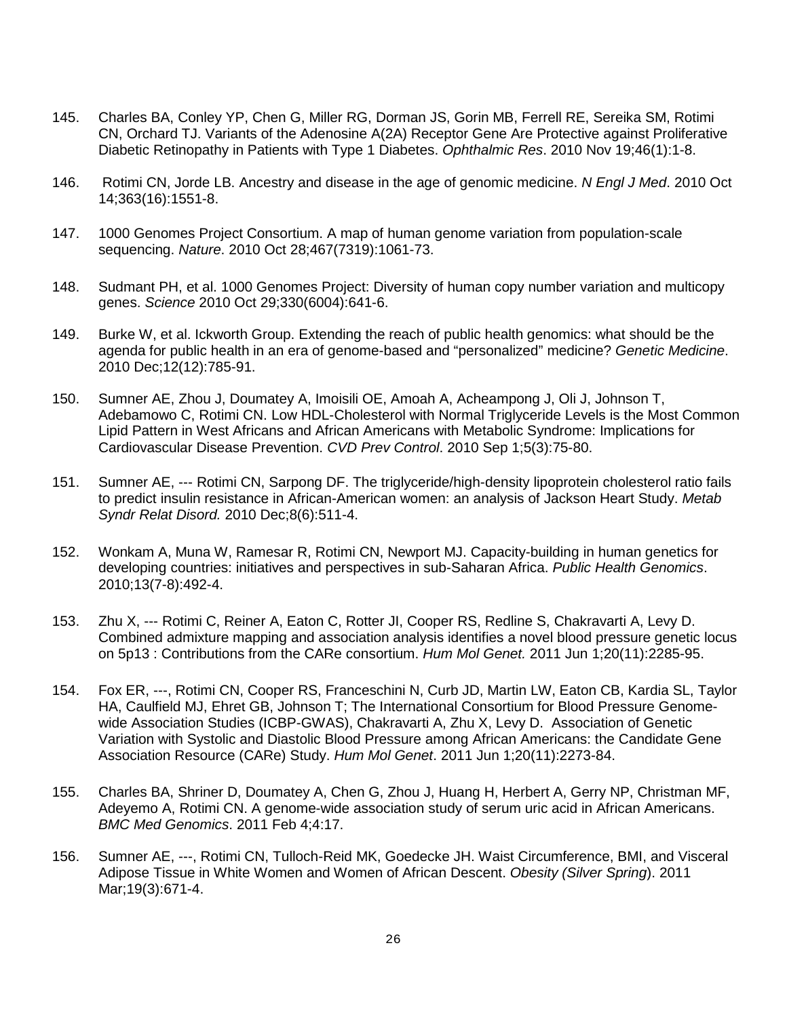- 145. Charles BA, Conley YP, Chen G, Miller RG, Dorman JS, Gorin MB, Ferrell RE, Sereika SM, Rotimi CN, Orchard TJ. Variants of the Adenosine A(2A) Receptor Gene Are Protective against Proliferative Diabetic Retinopathy in Patients with Type 1 Diabetes. *Ophthalmic Res*. 2010 Nov 19;46(1):1-8.
- 146. Rotimi CN, Jorde LB. Ancestry and disease in the age of genomic medicine. *N Engl J Med*. 2010 Oct 14;363(16):1551-8.
- 147. 1000 Genomes Project Consortium. A map of human genome variation from population-scale sequencing. *Nature*. 2010 Oct 28;467(7319):1061-73.
- 148. Sudmant PH, et al. 1000 Genomes Project: Diversity of human copy number variation and multicopy genes. *Science* 2010 Oct 29;330(6004):641-6.
- 149. Burke W, et al. Ickworth Group. Extending the reach of public health genomics: what should be the agenda for public health in an era of genome-based and "personalized" medicine? *Genetic Medicine*. 2010 Dec;12(12):785-91.
- 150. Sumner AE, Zhou J, Doumatey A, Imoisili OE, Amoah A, Acheampong J, Oli J, Johnson T, Adebamowo C, Rotimi CN. Low HDL-Cholesterol with Normal Triglyceride Levels is the Most Common Lipid Pattern in West Africans and African Americans with Metabolic Syndrome: Implications for Cardiovascular Disease Prevention. *CVD Prev Control*. 2010 Sep 1;5(3):75-80.
- 151. Sumner AE, --- Rotimi CN, Sarpong DF. The triglyceride/high-density lipoprotein cholesterol ratio fails to predict insulin resistance in African-American women: an analysis of Jackson Heart Study. *Metab Syndr Relat Disord.* 2010 Dec;8(6):511-4.
- 152. Wonkam A, Muna W, Ramesar R, Rotimi CN, Newport MJ. Capacity-building in human genetics for developing countries: initiatives and perspectives in sub-Saharan Africa. *Public Health Genomics*. 2010;13(7-8):492-4.
- 153. Zhu X, --- Rotimi C, Reiner A, Eaton C, Rotter JI, Cooper RS, Redline S, Chakravarti A, Levy D. Combined admixture mapping and association analysis identifies a novel blood pressure genetic locus on 5p13 : Contributions from the CARe consortium. *Hum Mol Genet.* 2011 Jun 1;20(11):2285-95.
- 154. Fox ER, ---, Rotimi CN, Cooper RS, Franceschini N, Curb JD, Martin LW, Eaton CB, Kardia SL, Taylor HA, Caulfield MJ, Ehret GB, Johnson T; The International Consortium for Blood Pressure Genomewide Association Studies (ICBP-GWAS), Chakravarti A, Zhu X, Levy D. Association of Genetic Variation with Systolic and Diastolic Blood Pressure among African Americans: the Candidate Gene Association Resource (CARe) Study. *Hum Mol Genet*. 2011 Jun 1;20(11):2273-84.
- 155. Charles BA, Shriner D, Doumatey A, Chen G, Zhou J, Huang H, Herbert A, Gerry NP, Christman MF, Adeyemo A, Rotimi CN. A genome-wide association study of serum uric acid in African Americans. *BMC Med Genomics*. 2011 Feb 4;4:17.
- 156. Sumner AE, ---, Rotimi CN, Tulloch-Reid MK, Goedecke JH. Waist Circumference, BMI, and Visceral Adipose Tissue in White Women and Women of African Descent. *Obesity (Silver Spring*). 2011 Mar;19(3):671-4.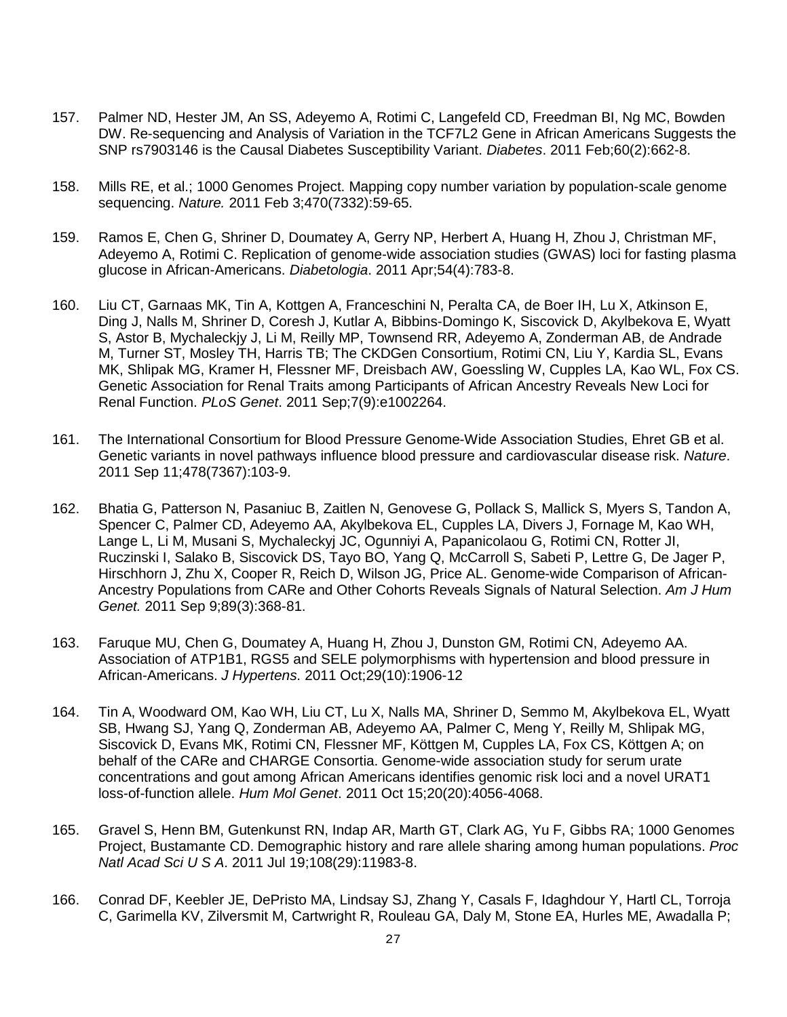- 157. Palmer ND, Hester JM, An SS, Adeyemo A, Rotimi C, Langefeld CD, Freedman BI, Ng MC, Bowden DW. Re-sequencing and Analysis of Variation in the TCF7L2 Gene in African Americans Suggests the SNP rs7903146 is the Causal Diabetes Susceptibility Variant. *Diabetes*. 2011 Feb;60(2):662-8.
- 158. Mills RE, et al.; 1000 Genomes Project. Mapping copy number variation by population-scale genome sequencing. *Nature.* 2011 Feb 3;470(7332):59-65.
- 159. Ramos E, Chen G, Shriner D, Doumatey A, Gerry NP, Herbert A, Huang H, Zhou J, Christman MF, Adeyemo A, Rotimi C. Replication of genome-wide association studies (GWAS) loci for fasting plasma glucose in African-Americans. *Diabetologia*. 2011 Apr;54(4):783-8.
- 160. Liu CT, Garnaas MK, Tin A, Kottgen A, Franceschini N, Peralta CA, de Boer IH, Lu X, Atkinson E, Ding J, Nalls M, Shriner D, Coresh J, Kutlar A, Bibbins-Domingo K, Siscovick D, Akylbekova E, Wyatt S, Astor B, Mychaleckjy J, Li M, Reilly MP, Townsend RR, Adeyemo A, Zonderman AB, de Andrade M, Turner ST, Mosley TH, Harris TB; The CKDGen Consortium, Rotimi CN, Liu Y, Kardia SL, Evans MK, Shlipak MG, Kramer H, Flessner MF, Dreisbach AW, Goessling W, Cupples LA, Kao WL, Fox CS. Genetic Association for Renal Traits among Participants of African Ancestry Reveals New Loci for Renal Function. *PLoS Genet*. 2011 Sep;7(9):e1002264.
- 161. The International Consortium for Blood Pressure Genome-Wide Association Studies, Ehret GB et al. Genetic variants in novel pathways influence blood pressure and cardiovascular disease risk. *Nature*. 2011 Sep 11;478(7367):103-9.
- 162. Bhatia G, Patterson N, Pasaniuc B, Zaitlen N, Genovese G, Pollack S, Mallick S, Myers S, Tandon A, Spencer C, Palmer CD, Adeyemo AA, Akylbekova EL, Cupples LA, Divers J, Fornage M, Kao WH, Lange L, Li M, Musani S, Mychaleckyj JC, Ogunniyi A, Papanicolaou G, Rotimi CN, Rotter JI, Ruczinski I, Salako B, Siscovick DS, Tayo BO, Yang Q, McCarroll S, Sabeti P, Lettre G, De Jager P, Hirschhorn J, Zhu X, Cooper R, Reich D, Wilson JG, Price AL. Genome-wide Comparison of African-Ancestry Populations from CARe and Other Cohorts Reveals Signals of Natural Selection. *Am J Hum Genet.* 2011 Sep 9;89(3):368-81.
- 163. Faruque MU, Chen G, Doumatey A, Huang H, Zhou J, Dunston GM, Rotimi CN, Adeyemo AA. Association of ATP1B1, RGS5 and SELE polymorphisms with hypertension and blood pressure in African-Americans. *J Hypertens*. 2011 Oct;29(10):1906-12
- 164. Tin A, Woodward OM, Kao WH, Liu CT, Lu X, Nalls MA, Shriner D, Semmo M, Akylbekova EL, Wyatt SB, Hwang SJ, Yang Q, Zonderman AB, Adeyemo AA, Palmer C, Meng Y, Reilly M, Shlipak MG, Siscovick D, Evans MK, Rotimi CN, Flessner MF, Köttgen M, Cupples LA, Fox CS, Köttgen A; on behalf of the CARe and CHARGE Consortia. Genome-wide association study for serum urate concentrations and gout among African Americans identifies genomic risk loci and a novel URAT1 loss-of-function allele. *Hum Mol Genet*. 2011 Oct 15;20(20):4056-4068.
- 165. Gravel S, Henn BM, Gutenkunst RN, Indap AR, Marth GT, Clark AG, Yu F, Gibbs RA; 1000 Genomes Project, Bustamante CD. Demographic history and rare allele sharing among human populations. *Proc Natl Acad Sci U S A*. 2011 Jul 19;108(29):11983-8.
- 166. Conrad DF, Keebler JE, DePristo MA, Lindsay SJ, Zhang Y, Casals F, Idaghdour Y, Hartl CL, Torroja C, Garimella KV, Zilversmit M, Cartwright R, Rouleau GA, Daly M, Stone EA, Hurles ME, Awadalla P;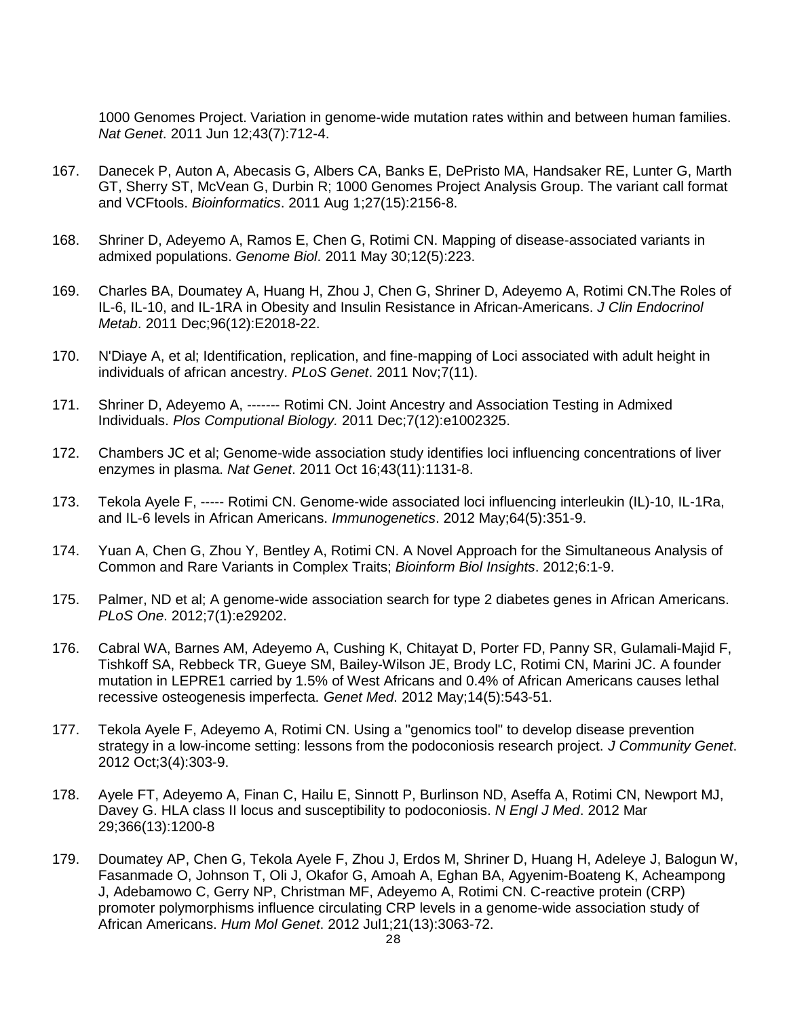1000 Genomes Project. Variation in genome-wide mutation rates within and between human families. *Nat Genet*. 2011 Jun 12;43(7):712-4.

- 167. Danecek P, Auton A, Abecasis G, Albers CA, Banks E, DePristo MA, Handsaker RE, Lunter G, Marth GT, Sherry ST, McVean G, Durbin R; 1000 Genomes Project Analysis Group. The variant call format and VCFtools. *Bioinformatics*. 2011 Aug 1;27(15):2156-8.
- 168. Shriner D, Adeyemo A, Ramos E, Chen G, Rotimi CN. Mapping of disease-associated variants in admixed populations. *Genome Biol*. 2011 May 30;12(5):223.
- 169. Charles BA, Doumatey A, Huang H, Zhou J, Chen G, Shriner D, Adeyemo A, Rotimi CN.The Roles of IL-6, IL-10, and IL-1RA in Obesity and Insulin Resistance in African-Americans. *[J Clin Endocrinol](http://www.ncbi.nlm.nih.gov/pubmed/21956416)  [Metab](http://www.ncbi.nlm.nih.gov/pubmed/21956416)*. 2011 Dec;96(12):E2018-22.
- 170. N'Diaye A, et al; Identification, replication, and fine-mapping of Loci associated with adult height in individuals of african ancestry. *PLoS Genet*. 2011 Nov;7(11).
- 171. Shriner D, Adeyemo A, ------- Rotimi CN. Joint Ancestry and Association Testing in Admixed Individuals. *Plos Computional Biology.* 2011 Dec;7(12):e1002325.
- 172. Chambers JC et al; Genome-wide association study identifies loci influencing concentrations of liver enzymes in plasma. *Nat Genet*. 2011 Oct 16;43(11):1131-8.
- 173. Tekola Ayele F, ----- Rotimi CN. Genome-wide associated loci influencing interleukin (IL)-10, IL-1Ra, and IL-6 levels in African Americans. *Immunogenetics*. 2012 May;64(5):351-9.
- 174. Yuan A, Chen G, Zhou Y, Bentley A, Rotimi CN. A Novel Approach for the Simultaneous Analysis of Common and Rare Variants in Complex Traits; *Bioinform Biol Insights*. 2012;6:1-9.
- 175. Palmer, ND et al; A genome-wide association search for type 2 diabetes genes in African Americans. *PLoS One*. 2012;7(1):e29202.
- 176. Cabral WA, Barnes AM, Adeyemo A, Cushing K, Chitayat D, Porter FD, Panny SR, Gulamali-Majid F, Tishkoff SA, Rebbeck TR, Gueye SM, Bailey-Wilson JE, Brody LC, Rotimi CN, Marini JC. A founder mutation in LEPRE1 carried by 1.5% of West Africans and 0.4% of African Americans causes lethal recessive osteogenesis imperfecta. *Genet Med*. 2012 May;14(5):543-51.
- 177. Tekola Ayele F, Adeyemo A, Rotimi CN. Using a "genomics tool" to develop disease prevention strategy in a low-income setting: lessons from the podoconiosis research project. *J Community Genet*. 2012 Oct;3(4):303-9.
- 178. Ayele FT, Adeyemo A, Finan C, Hailu E, Sinnott P, Burlinson ND, Aseffa A, Rotimi CN, Newport MJ, Davey G. HLA class II locus and susceptibility to podoconiosis. *N Engl J Med*. 2012 Mar 29;366(13):1200-8
- 179. Doumatey AP, Chen G, Tekola Ayele F, Zhou J, Erdos M, Shriner D, Huang H, Adeleye J, Balogun W, Fasanmade O, Johnson T, Oli J, Okafor G, Amoah A, Eghan BA, Agyenim-Boateng K, Acheampong J, Adebamowo C, Gerry NP, Christman MF, Adeyemo A, Rotimi CN. C-reactive protein (CRP) promoter polymorphisms influence circulating CRP levels in a genome-wide association study of African Americans. *Hum Mol Genet*. 2012 Jul1;21(13):3063-72.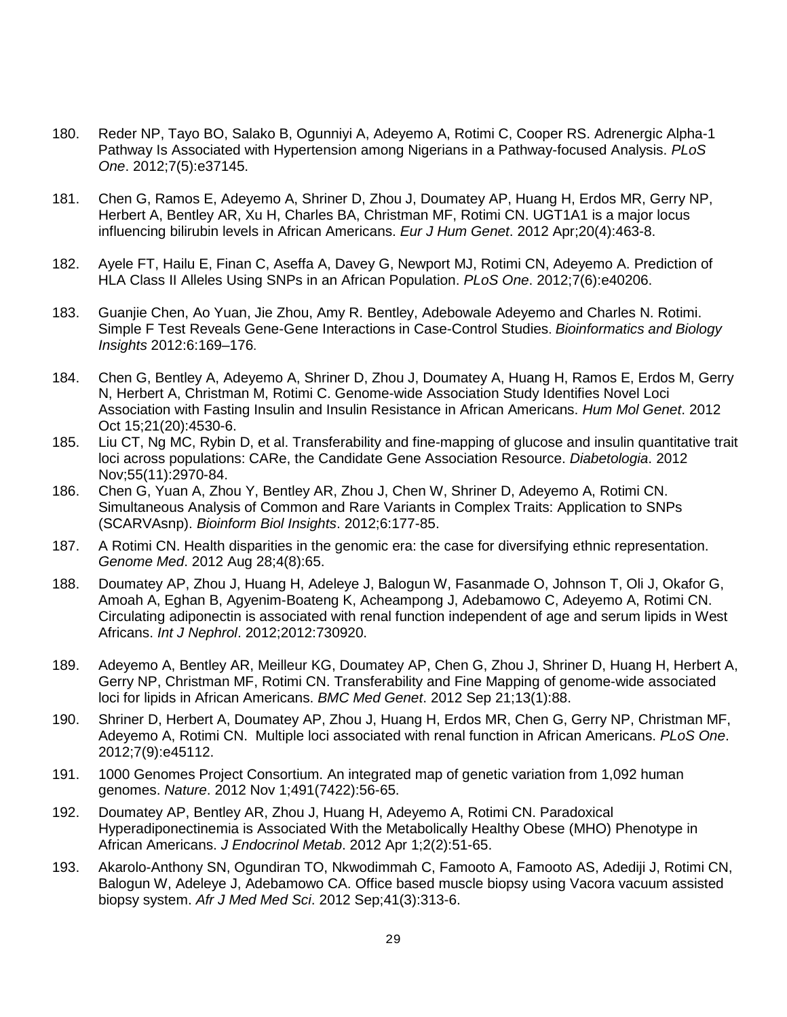- 180. Reder NP, Tayo BO, Salako B, Ogunniyi A, Adeyemo A, Rotimi C, Cooper RS. [Adrenergic Alpha-1](http://www.ncbi.nlm.nih.gov/pubmed/22615923)  [Pathway Is Associated with Hypertension among Nigerians in a Pathway-focused Analysis.](http://www.ncbi.nlm.nih.gov/pubmed/22615923) *PLoS One*. 2012;7(5):e37145.
- 181. Chen G, Ramos E, Adeyemo A, Shriner D, Zhou J, Doumatey AP, Huang H, Erdos MR, Gerry NP, Herbert A, Bentley AR, Xu H, Charles BA, Christman MF, Rotimi CN. UGT1A1 is a major locus influencing bilirubin levels in African Americans. *Eur J Hum Genet*. 2012 Apr;20(4):463-8.
- 182. Ayele FT, Hailu E, Finan C, Aseffa A, Davey G, Newport MJ, Rotimi CN, Adeyemo A. Prediction of HLA Class II Alleles Using SNPs in an African Population. *PLoS One*. 2012;7(6):e40206.
- 183. Guanjie Chen, Ao Yuan, Jie Zhou, Amy R. Bentley, Adebowale Adeyemo and Charles N. Rotimi. Simple F Test Reveals Gene-Gene Interactions in Case-Control Studies. *Bioinformatics and Biology Insights* 2012:6:169–176.
- 184. Chen G, Bentley A, Adeyemo A, Shriner D, Zhou J, Doumatey A, Huang H, Ramos E, Erdos M, Gerry N, Herbert A, Christman M, Rotimi C. Genome-wide Association Study Identifies Novel Loci Association with Fasting Insulin and Insulin Resistance in African Americans. *Hum Mol Genet*. 2012 Oct 15;21(20):4530-6.
- 185. Liu [CT,](http://www.ncbi.nlm.nih.gov/pubmed?term=Liu%20CT%5BAuthor%5D&cauthor=true&cauthor_uid=22893027) Ng [MC,](http://www.ncbi.nlm.nih.gov/pubmed?term=Ng%20MC%5BAuthor%5D&cauthor=true&cauthor_uid=22893027) [Rybin](http://www.ncbi.nlm.nih.gov/pubmed?term=Rybin%20D%5BAuthor%5D&cauthor=true&cauthor_uid=22893027) D, et al. Transferability and fine-mapping of glucose and insulin quantitative trait loci across populations: CARe, the Candidate Gene Association Resource. *Diabetologia*. 2012 Nov;55(11):2970-84.
- 186. Chen G, Yuan A, Zhou Y, Bentley AR, Zhou J, Chen W, Shriner D, Adeyemo A, Rotimi CN. Simultaneous Analysis of Common and Rare Variants in Complex Traits: Application to SNPs (SCARVAsnp). *Bioinform Biol Insights*. 2012;6:177-85.
- 187. A Rotimi CN. Health disparities in the genomic era: the case for diversifying ethnic representation. *Genome Med*. 2012 Aug 28;4(8):65.
- 188. Doumatey AP, Zhou J, Huang H, Adeleye J, Balogun W, Fasanmade O, Johnson T, Oli J, Okafor G, Amoah A, Eghan B, Agyenim-Boateng K, Acheampong J, Adebamowo C, Adeyemo A, Rotimi CN. Circulating adiponectin is associated with renal function independent of age and serum lipids in West Africans. *Int J Nephrol*. 2012;2012:730920.
- 189. Adeyemo A, Bentley AR, Meilleur KG, Doumatey AP, Chen G, Zhou J, Shriner D, Huang H, Herbert A, Gerry NP, Christman MF, Rotimi CN. Transferability and Fine Mapping of genome-wide associated loci for lipids in African Americans. *BMC Med Genet*. 2012 Sep 21;13(1):88.
- 190. Shriner D, Herbert A, Doumatey AP, Zhou J, Huang H, Erdos MR, Chen G, Gerry NP, Christman MF, Adeyemo A, Rotimi CN. Multiple loci associated with renal function in African Americans. *PLoS One*. 2012;7(9):e45112.
- 191. 1000 Genomes Project [Consortium.](http://www.ncbi.nlm.nih.gov/pubmed?term=1000%20Genomes%20Project%20Consortium%5BCorporate%20Author%5D) An integrated map of genetic variation from 1,092 human genomes. *Nature*. 2012 Nov 1;491(7422):56-65.
- 192. Doumatey AP, Bentley AR, Zhou J, Huang H, Adeyemo A, Rotimi CN. Paradoxical Hyperadiponectinemia is Associated With the Metabolically Healthy Obese (MHO) Phenotype in African Americans. *J Endocrinol Metab*. 2012 Apr 1;2(2):51-65.
- 193. Akarolo-Anthony SN, Ogundiran TO, Nkwodimmah C, Famooto A, Famooto AS, Adediji J, Rotimi CN, Balogun W, Adeleye J, Adebamowo CA. [Office based muscle biopsy using Vacora vacuum assisted](http://www.ncbi.nlm.nih.gov/pubmed/23457881)  [biopsy system.](http://www.ncbi.nlm.nih.gov/pubmed/23457881) *Afr J Med Med Sci*. 2012 Sep;41(3):313-6.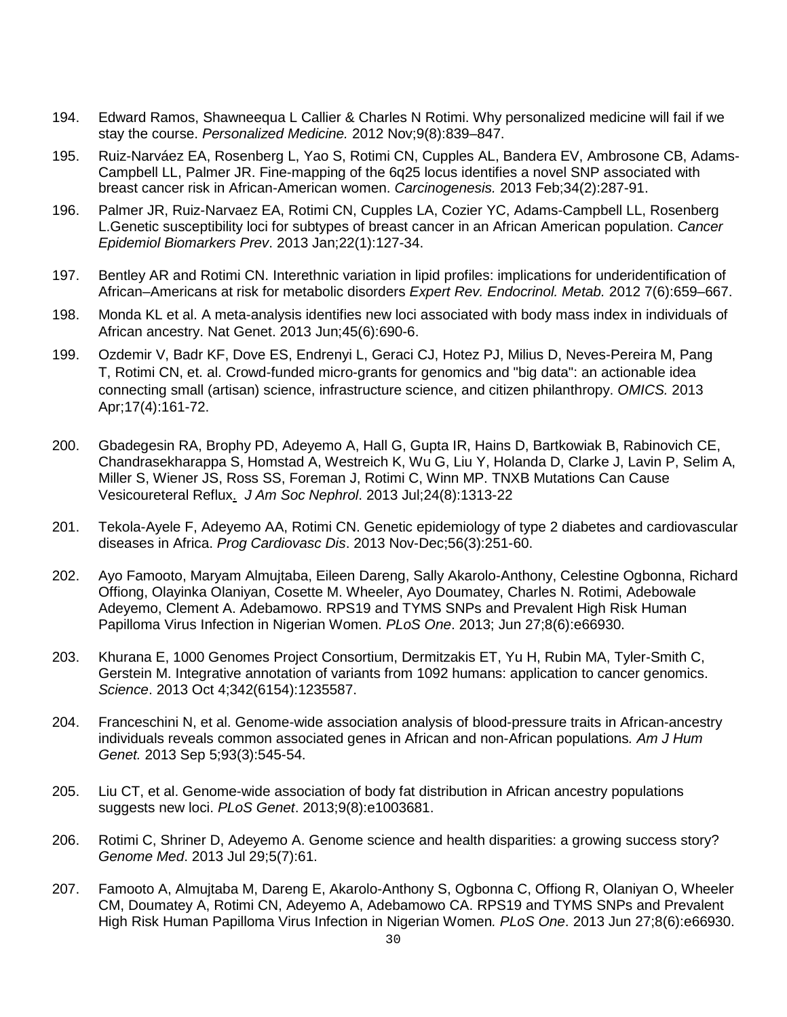- 194. Edward Ramos, Shawneequa L Callier & Charles N Rotimi. Why personalized medicine will fail if we stay the course. *Personalized Medicine.* 2012 Nov;9(8):839–847.
- 195. [Ruiz-Narváez](http://www.ncbi.nlm.nih.gov/pubmed?term=Ruiz-Narv%C3%A1ez%20EA%5BAuthor%5D&cauthor=true&cauthor_uid=23104177) EA, [Rosenberg](http://www.ncbi.nlm.nih.gov/pubmed?term=Rosenberg%20L%5BAuthor%5D&cauthor=true&cauthor_uid=23104177) L, [Yao](http://www.ncbi.nlm.nih.gov/pubmed?term=Yao%20S%5BAuthor%5D&cauthor=true&cauthor_uid=23104177) S, [Rotimi](http://www.ncbi.nlm.nih.gov/pubmed?term=Rotimi%20CN%5BAuthor%5D&cauthor=true&cauthor_uid=23104177) CN, [Cupples](http://www.ncbi.nlm.nih.gov/pubmed?term=Cupples%20AL%5BAuthor%5D&cauthor=true&cauthor_uid=23104177) AL, [Bandera](http://www.ncbi.nlm.nih.gov/pubmed?term=Bandera%20EV%5BAuthor%5D&cauthor=true&cauthor_uid=23104177) EV, [Ambrosone](http://www.ncbi.nlm.nih.gov/pubmed?term=Ambrosone%20CB%5BAuthor%5D&cauthor=true&cauthor_uid=23104177) CB, [Adams-](http://www.ncbi.nlm.nih.gov/pubmed?term=Adams-Campbell%20LL%5BAuthor%5D&cauthor=true&cauthor_uid=23104177)[Campbell](http://www.ncbi.nlm.nih.gov/pubmed?term=Adams-Campbell%20LL%5BAuthor%5D&cauthor=true&cauthor_uid=23104177) LL, [Palmer](http://www.ncbi.nlm.nih.gov/pubmed?term=Palmer%20JR%5BAuthor%5D&cauthor=true&cauthor_uid=23104177) JR. Fine-mapping of the 6q25 locus identifies a novel SNP associated with breast cancer risk in African-American women. *Carcinogenesis.* 2013 Feb;34(2):287-91.
- 196. Palmer JR, Ruiz-Narvaez EA, Rotimi CN, Cupples LA, Cozier YC, Adams-Campbell LL, Rosenberg L.Genetic susceptibility loci for subtypes of breast cancer in an African American population. *Cancer Epidemiol Biomarkers Prev*. 2013 Jan;22(1):127-34.
- 197. Bentley AR and Rotimi CN. Interethnic variation in lipid profiles: implications for underidentification of African–Americans at risk for metabolic disorders *Expert Rev. Endocrinol. Metab.* 2012 7(6):659–667.
- 198. Monda KL et al. A meta-analysis identifies new loci associated with body mass index in individuals of African ancestry. [Nat Genet.](http://www.ncbi.nlm.nih.gov/pubmed/23583978) 2013 Jun;45(6):690-6.
- 199. [Ozdemir V,](http://www.ncbi.nlm.nih.gov/pubmed?term=Ozdemir%20V%5BAuthor%5D&cauthor=true&cauthor_uid=23574338) [Badr KF,](http://www.ncbi.nlm.nih.gov/pubmed?term=Badr%20KF%5BAuthor%5D&cauthor=true&cauthor_uid=23574338) [Dove ES,](http://www.ncbi.nlm.nih.gov/pubmed?term=Dove%20ES%5BAuthor%5D&cauthor=true&cauthor_uid=23574338) [Endrenyi L,](http://www.ncbi.nlm.nih.gov/pubmed?term=Endrenyi%20L%5BAuthor%5D&cauthor=true&cauthor_uid=23574338) [Geraci CJ,](http://www.ncbi.nlm.nih.gov/pubmed?term=Geraci%20CJ%5BAuthor%5D&cauthor=true&cauthor_uid=23574338) [Hotez PJ,](http://www.ncbi.nlm.nih.gov/pubmed?term=Hotez%20PJ%5BAuthor%5D&cauthor=true&cauthor_uid=23574338) [Milius D,](http://www.ncbi.nlm.nih.gov/pubmed?term=Milius%20D%5BAuthor%5D&cauthor=true&cauthor_uid=23574338) [Neves-Pereira M,](http://www.ncbi.nlm.nih.gov/pubmed?term=Neves-Pereira%20M%5BAuthor%5D&cauthor=true&cauthor_uid=23574338) [Pang](http://www.ncbi.nlm.nih.gov/pubmed?term=Pang%20T%5BAuthor%5D&cauthor=true&cauthor_uid=23574338)  [T,](http://www.ncbi.nlm.nih.gov/pubmed?term=Pang%20T%5BAuthor%5D&cauthor=true&cauthor_uid=23574338) [Rotimi CN,](http://www.ncbi.nlm.nih.gov/pubmed?term=Rotimi%20CN%5BAuthor%5D&cauthor=true&cauthor_uid=23574338) et. al. Crowd-funded micro-grants for genomics and "big data": an actionable idea connecting small (artisan) science, infrastructure science, and citizen philanthropy. *[OMICS.](http://www.ncbi.nlm.nih.gov/pubmed/23574338)* 2013 Apr;17(4):161-72.
- 200. Gbadegesin RA, Brophy PD, Adeyemo A, Hall G, Gupta IR, Hains D, Bartkowiak B, Rabinovich CE, Chandrasekharappa S, Homstad A, Westreich K, Wu G, Liu Y, Holanda D, Clarke J, Lavin P, Selim A, Miller S, Wiener JS, Ross SS, Foreman J, Rotimi C, Winn MP. [TNXB Mutations Can Cause](http://www.ncbi.nlm.nih.gov/pubmed/23620400)  [Vesicoureteral Reflux.](http://www.ncbi.nlm.nih.gov/pubmed/23620400) *J Am Soc Nephrol*. 2013 Jul;24(8):1313-22
- 201. Tekola-Ayele F, Adeyemo AA, Rotimi CN. Genetic epidemiology of type 2 diabetes and cardiovascular diseases in Africa. *Prog Cardiovasc Dis*. 2013 Nov-Dec;56(3):251-60.
- 202. Ayo Famooto, Maryam Almujtaba, Eileen Dareng, Sally Akarolo-Anthony, Celestine Ogbonna, Richard Offiong, Olayinka Olaniyan, Cosette M. Wheeler, Ayo Doumatey, Charles N. Rotimi, Adebowale Adeyemo, Clement A. Adebamowo. RPS19 and TYMS SNPs and Prevalent High Risk Human Papilloma Virus Infection in Nigerian Women. *PLoS One*. 2013; Jun 27;8(6):e66930.
- 203. Khurana E, 1000 Genomes Project Consortium, Dermitzakis ET, Yu H, Rubin MA, Tyler-Smith C, Gerstein M. Integrative annotation of variants from 1092 humans: application to cancer genomics. *Science*. 2013 Oct 4;342(6154):1235587.
- 204. Franceschini N, et al. Genome-wide association analysis of blood-pressure traits in African-ancestry individuals reveals common associated genes in African and non-African populations*. Am J Hum Genet.* 2013 Sep 5;93(3):545-54.
- 205. Liu CT, et al. Genome-wide association of body fat distribution in African ancestry populations suggests new loci. *PLoS Genet*. 2013;9(8):e1003681.
- 206. Rotimi C, Shriner D, Adeyemo A. [Genome science and health disparities: a growing success story?](http://www.ncbi.nlm.nih.gov/pubmed/23899246) *Genome Med*. 2013 Jul 29;5(7):61.
- 207. Famooto A, Almujtaba M, Dareng E, Akarolo-Anthony S, Ogbonna C, Offiong R, Olaniyan O, Wheeler CM, Doumatey A, Rotimi CN, Adeyemo A, Adebamowo CA. RPS19 and TYMS SNPs and Prevalent High Risk Human Papilloma Virus Infection in Nigerian Women*. PLoS One*. 2013 Jun 27;8(6):e66930.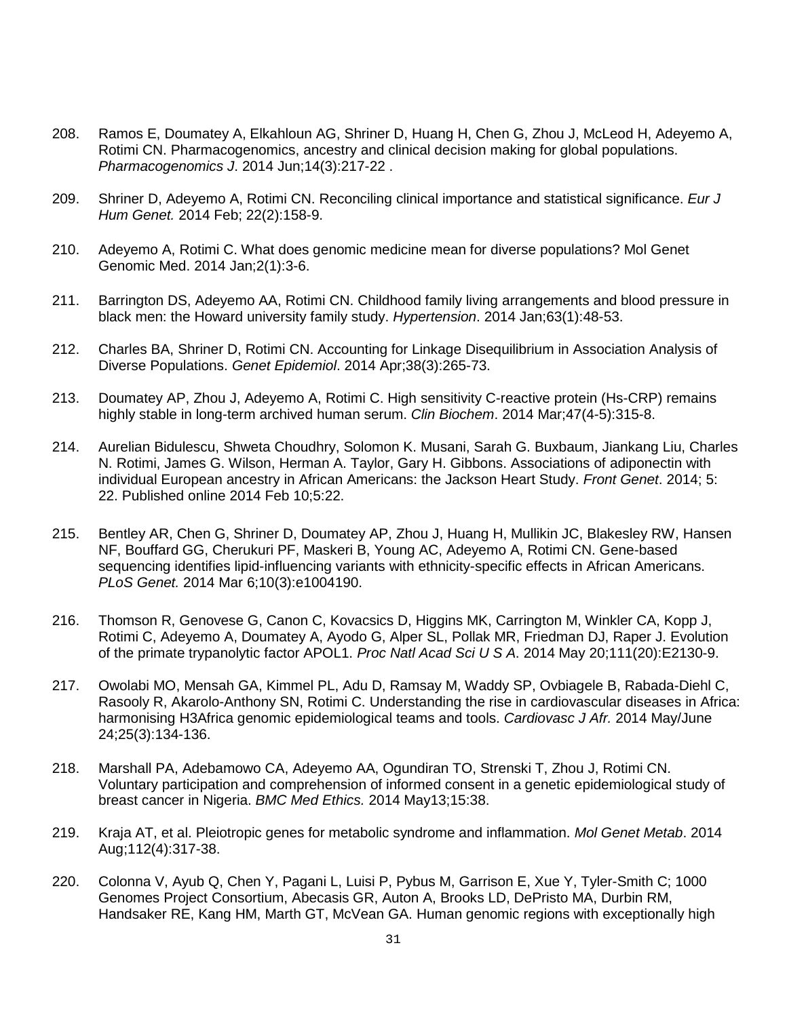- 208. Ramos E, Doumatey A, Elkahloun AG, Shriner D, Huang H, Chen G, Zhou J, McLeod H, Adeyemo A, Rotimi CN. Pharmacogenomics, ancestry and clinical decision making for global populations. *Pharmacogenomics J*. 2014 Jun;14(3):217-22 .
- 209. Shriner D, Adeyemo A, Rotimi CN. Reconciling clinical importance and statistical significance. *Eur J Hum Genet.* 2014 Feb; 22(2):158-9.
- 210. Adeyemo A, Rotimi C. What does genomic medicine mean for diverse populations? Mol Genet Genomic Med. 2014 Jan;2(1):3-6.
- 211. Barrington DS, Adeyemo AA, Rotimi CN. Childhood family living arrangements and blood pressure in black men: the Howard university family study. *Hypertension*. 2014 Jan;63(1):48-53.
- 212. Charles BA, Shriner D, Rotimi CN. Accounting for Linkage Disequilibrium in Association Analysis of Diverse Populations. *Genet Epidemiol*. 2014 Apr;38(3):265-73.
- 213. Doumatey AP, Zhou J, Adeyemo A, Rotimi C. High sensitivity C-reactive protein (Hs-CRP) remains highly stable in long-term archived human serum. *Clin Biochem*. 2014 Mar;47(4-5):315-8.
- 214. Aurelian Bidulescu, Shweta Choudhry, Solomon K. Musani, Sarah G. Buxbaum, Jiankang Liu, Charles N. Rotimi, James G. Wilson, Herman A. Taylor, Gary H. Gibbons. Associations of adiponectin with individual European ancestry in African Americans: the Jackson Heart Study. *Front Genet*. 2014; 5: 22. Published online 2014 Feb 10;5:22.
- 215. Bentley AR, Chen G, Shriner D, Doumatey AP, Zhou J, Huang H, Mullikin JC, Blakesley RW, Hansen NF, Bouffard GG, Cherukuri PF, Maskeri B, Young AC, Adeyemo A, Rotimi CN. Gene-based sequencing identifies lipid-influencing variants with ethnicity-specific effects in African Americans. *PLoS Genet.* 2014 Mar 6;10(3):e1004190.
- 216. Thomson R, Genovese G, Canon C, Kovacsics D, Higgins MK, Carrington M, Winkler CA, Kopp J, Rotimi C, Adeyemo A, Doumatey A, Ayodo G, Alper SL, Pollak MR, Friedman DJ, Raper J. Evolution of the primate trypanolytic factor APOL1. *Proc Natl Acad Sci U S A*. 2014 May 20;111(20):E2130-9.
- 217. Owolabi MO, Mensah GA, Kimmel PL, Adu D, Ramsay M, Waddy SP, Ovbiagele B, Rabada-Diehl C, Rasooly R, Akarolo-Anthony SN, Rotimi C. [Understanding the rise in cardiovascular diseases in Africa:](http://www.ncbi.nlm.nih.gov/pubmed/24878536)  [harmonising H3Africa genomic epidemiological teams and tools.](http://www.ncbi.nlm.nih.gov/pubmed/24878536) *Cardiovasc J Afr.* 2014 May/June 24;25(3):134-136.
- 218. Marshall PA, Adebamowo CA, Adeyemo AA, Ogundiran TO, Strenski T, Zhou J, Rotimi CN. [Voluntary participation and comprehension of informed consent in a genetic epidemiological study of](http://www.ncbi.nlm.nih.gov/pubmed/24885380)  [breast cancer in Nigeria.](http://www.ncbi.nlm.nih.gov/pubmed/24885380) *BMC Med Ethics.* 2014 May13;15:38.
- 219. Kraja AT, et al. [Pleiotropic genes for metabolic syndrome and inflammation.](http://www.ncbi.nlm.nih.gov/pubmed/24981077) *Mol Genet Metab*. 2014 Aug;112(4):317-38.
- 220. Colonna V, Ayub Q, Chen Y, Pagani L, Luisi P, Pybus M, Garrison E, Xue Y, Tyler-Smith C; 1000 Genomes Project Consortium, Abecasis GR, Auton A, Brooks LD, DePristo MA, Durbin RM, Handsaker RE, Kang HM, Marth GT, McVean GA. Human genomic regions with exceptionally high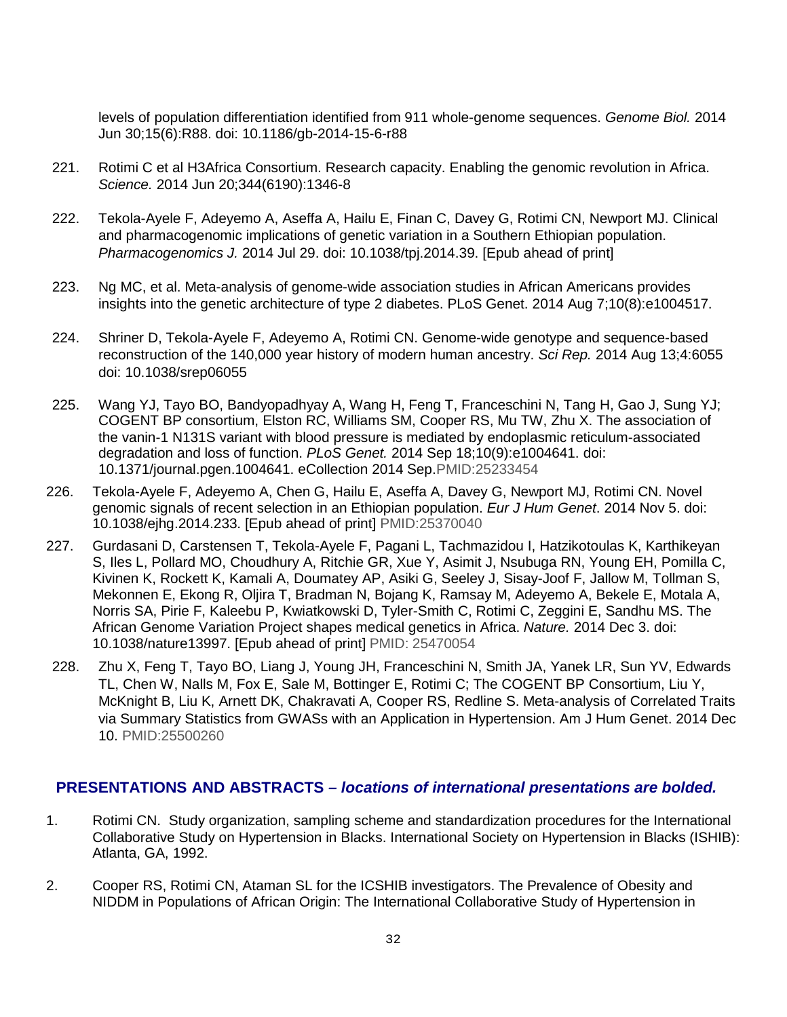levels of population differentiation identified from 911 whole-genome sequences. *Genome Biol.* 2014 Jun 30;15(6):R88. doi: 10.1186/gb-2014-15-6-r88

- 221. Rotimi C et al H3Africa Consortium. [Research capacity. Enabling the genomic revolution in Africa.](http://www.ncbi.nlm.nih.gov/pubmed/24948725) *Science.* 2014 Jun 20;344(6190):1346-8
- 222. Tekola-Ayele F, Adeyemo A, Aseffa A, Hailu E, Finan C, Davey G, Rotimi CN, Newport MJ. Clinical and pharmacogenomic implications of genetic variation in a Southern Ethiopian population. *Pharmacogenomics J.* 2014 Jul 29. doi: 10.1038/tpj.2014.39. [Epub ahead of print]
- 223. Ng MC, et al. Meta-analysis of genome-wide association studies in African Americans provides insights into the genetic architecture of type 2 diabetes. PLoS Genet. 2014 Aug 7;10(8):e1004517.
- 224. Shriner D, Tekola-Ayele F, Adeyemo A, Rotimi CN. Genome-wide genotype and sequence-based reconstruction of the 140,000 year history of modern human ancestry. *Sci Rep.* 2014 Aug 13;4:6055 doi: 10.1038/srep06055
- 225. Wang YJ, Tayo BO, Bandyopadhyay A, Wang H, Feng T, Franceschini N, Tang H, Gao J, Sung YJ; COGENT BP consortium, Elston RC, Williams SM, Cooper RS, Mu TW, Zhu X. The association of the vanin-1 N131S variant with blood pressure is mediated by endoplasmic reticulum-associated degradation and loss of function. *PLoS Genet.* 2014 Sep 18;10(9):e1004641. doi: 10.1371/journal.pgen.1004641. eCollection 2014 Sep.PMID:25233454
- 226. Tekola-Ayele F, Adeyemo A, Chen G, Hailu E, Aseffa A, Davey G, Newport MJ, Rotimi CN. Novel genomic signals of recent selection in an Ethiopian population. *Eur J Hum Genet*. 2014 Nov 5. doi: 10.1038/ejhg.2014.233. [Epub ahead of print] PMID:25370040
- 227. Gurdasani D, Carstensen T, Tekola-Ayele F, Pagani L, Tachmazidou I, Hatzikotoulas K, Karthikeyan S, Iles L, Pollard MO, Choudhury A, Ritchie GR, Xue Y, Asimit J, Nsubuga RN, Young EH, Pomilla C, Kivinen K, Rockett K, Kamali A, Doumatey AP, Asiki G, Seeley J, Sisay-Joof F, Jallow M, Tollman S, Mekonnen E, Ekong R, Oljira T, Bradman N, Bojang K, Ramsay M, Adeyemo A, Bekele E, Motala A, Norris SA, Pirie F, Kaleebu P, Kwiatkowski D, Tyler-Smith C, Rotimi C, Zeggini E, Sandhu MS. The African Genome Variation Project shapes medical genetics in Africa. *Nature.* 2014 Dec 3. doi: 10.1038/nature13997. [Epub ahead of print] PMID: 25470054
- 228. Zhu X, Feng T, Tayo BO, Liang J, Young JH, Franceschini N, Smith JA, Yanek LR, Sun YV, Edwards TL, Chen W, Nalls M, Fox E, Sale M, Bottinger E, Rotimi C; The COGENT BP Consortium, Liu Y, McKnight B, Liu K, Arnett DK, Chakravati A, Cooper RS, Redline S. Meta-analysis of Correlated Traits via Summary Statistics from GWASs with an Application in Hypertension. Am J Hum Genet. 2014 Dec 10. PMID:25500260

# **PRESENTATIONS AND ABSTRACTS** *– locations of international presentations are bolded.*

- 1. Rotimi CN. Study organization, sampling scheme and standardization procedures for the International Collaborative Study on Hypertension in Blacks. International Society on Hypertension in Blacks (ISHIB): Atlanta, GA, 1992.
- 2. Cooper RS, Rotimi CN, Ataman SL for the ICSHIB investigators. The Prevalence of Obesity and NIDDM in Populations of African Origin: The International Collaborative Study of Hypertension in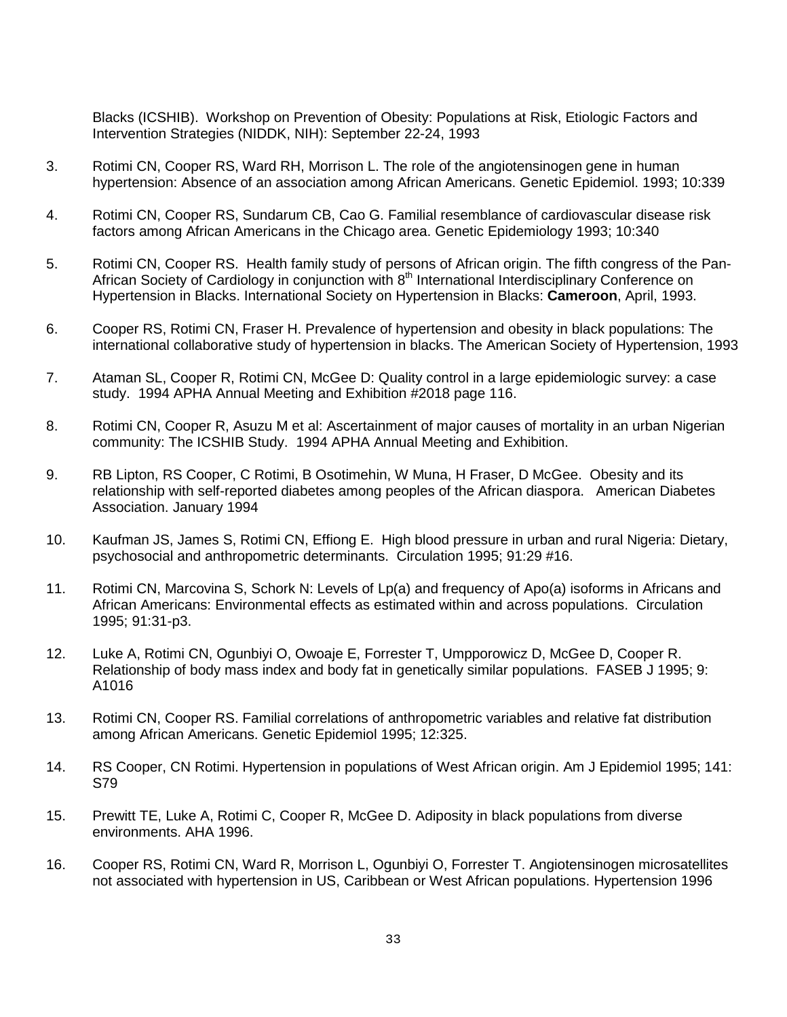Blacks (ICSHIB). Workshop on Prevention of Obesity: Populations at Risk, Etiologic Factors and Intervention Strategies (NIDDK, NIH): September 22-24, 1993

- 3. Rotimi CN, Cooper RS, Ward RH, Morrison L. The role of the angiotensinogen gene in human hypertension: Absence of an association among African Americans. Genetic Epidemiol. 1993; 10:339
- 4. Rotimi CN, Cooper RS, Sundarum CB, Cao G. Familial resemblance of cardiovascular disease risk factors among African Americans in the Chicago area. Genetic Epidemiology 1993; 10:340
- 5. Rotimi CN, Cooper RS. Health family study of persons of African origin. The fifth congress of the Pan-African Society of Cardiology in conjunction with 8<sup>th</sup> International Interdisciplinary Conference on Hypertension in Blacks. International Society on Hypertension in Blacks: **Cameroon**, April, 1993.
- 6. Cooper RS, Rotimi CN, Fraser H. Prevalence of hypertension and obesity in black populations: The international collaborative study of hypertension in blacks. The American Society of Hypertension, 1993
- 7. Ataman SL, Cooper R, Rotimi CN, McGee D: Quality control in a large epidemiologic survey: a case study. 1994 APHA Annual Meeting and Exhibition #2018 page 116.
- 8. Rotimi CN, Cooper R, Asuzu M et al: Ascertainment of major causes of mortality in an urban Nigerian community: The ICSHIB Study. 1994 APHA Annual Meeting and Exhibition.
- 9. RB Lipton, RS Cooper, C Rotimi, B Osotimehin, W Muna, H Fraser, D McGee. Obesity and its relationship with self-reported diabetes among peoples of the African diaspora. American Diabetes Association. January 1994
- 10. Kaufman JS, James S, Rotimi CN, Effiong E. High blood pressure in urban and rural Nigeria: Dietary, psychosocial and anthropometric determinants. Circulation 1995; 91:29 #16.
- 11. Rotimi CN, Marcovina S, Schork N: Levels of Lp(a) and frequency of Apo(a) isoforms in Africans and African Americans: Environmental effects as estimated within and across populations. Circulation 1995; 91:31-p3.
- 12. Luke A, Rotimi CN, Ogunbiyi O, Owoaje E, Forrester T, Umpporowicz D, McGee D, Cooper R. Relationship of body mass index and body fat in genetically similar populations. FASEB J 1995; 9: A1016
- 13. Rotimi CN, Cooper RS. Familial correlations of anthropometric variables and relative fat distribution among African Americans. Genetic Epidemiol 1995; 12:325.
- 14. RS Cooper, CN Rotimi. Hypertension in populations of West African origin. Am J Epidemiol 1995; 141: S79
- 15. Prewitt TE, Luke A, Rotimi C, Cooper R, McGee D. Adiposity in black populations from diverse environments. AHA 1996.
- 16. Cooper RS, Rotimi CN, Ward R, Morrison L, Ogunbiyi O, Forrester T. Angiotensinogen microsatellites not associated with hypertension in US, Caribbean or West African populations. Hypertension 1996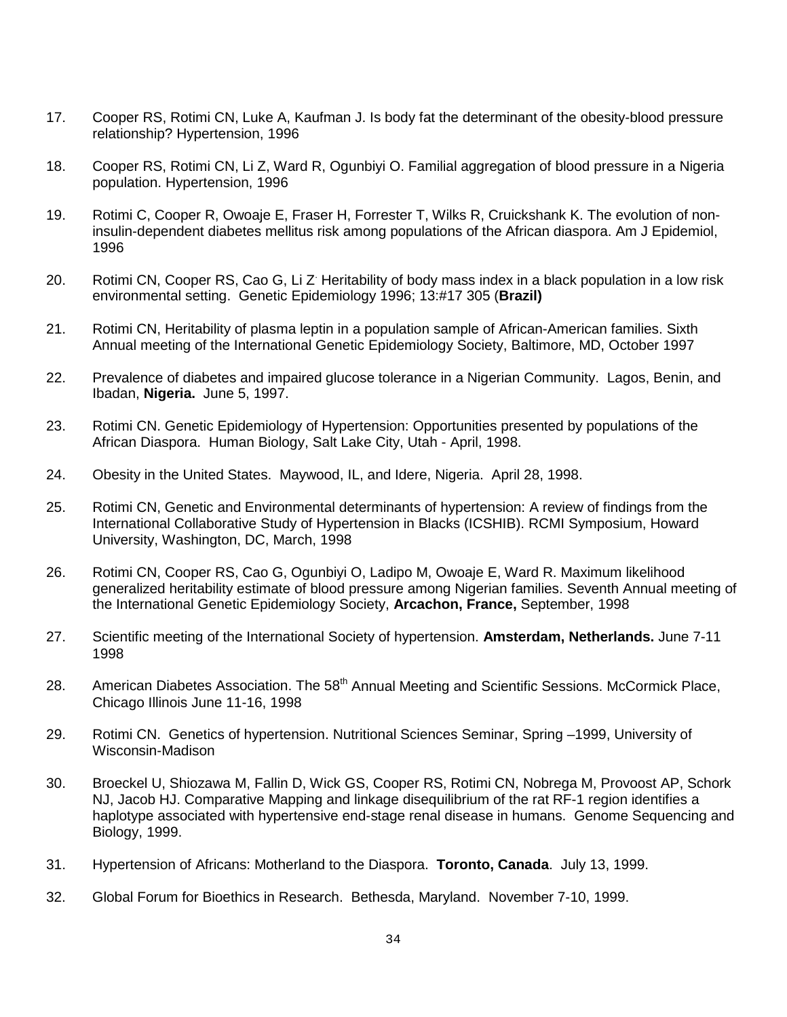- 17. Cooper RS, Rotimi CN, Luke A, Kaufman J. Is body fat the determinant of the obesity-blood pressure relationship? Hypertension, 1996
- 18. Cooper RS, Rotimi CN, Li Z, Ward R, Ogunbiyi O. Familial aggregation of blood pressure in a Nigeria population. Hypertension, 1996
- 19. Rotimi C, Cooper R, Owoaje E, Fraser H, Forrester T, Wilks R, Cruickshank K. The evolution of noninsulin-dependent diabetes mellitus risk among populations of the African diaspora. Am J Epidemiol, 1996
- 20. Rotimi CN, Cooper RS, Cao G, Li Z Heritability of body mass index in a black population in a low risk environmental setting. Genetic Epidemiology 1996; 13:#17 305 (**Brazil)**
- 21. Rotimi CN, Heritability of plasma leptin in a population sample of African-American families. Sixth Annual meeting of the International Genetic Epidemiology Society, Baltimore, MD, October 1997
- 22. Prevalence of diabetes and impaired glucose tolerance in a Nigerian Community. Lagos, Benin, and Ibadan, **Nigeria.** June 5, 1997.
- 23. Rotimi CN. Genetic Epidemiology of Hypertension: Opportunities presented by populations of the African Diaspora. Human Biology, Salt Lake City, Utah - April, 1998.
- 24. Obesity in the United States. Maywood, IL, and Idere, Nigeria. April 28, 1998.
- 25. Rotimi CN, Genetic and Environmental determinants of hypertension: A review of findings from the International Collaborative Study of Hypertension in Blacks (ICSHIB). RCMI Symposium, Howard University, Washington, DC, March, 1998
- 26. Rotimi CN, Cooper RS, Cao G, Ogunbiyi O, Ladipo M, Owoaje E, Ward R. Maximum likelihood generalized heritability estimate of blood pressure among Nigerian families. Seventh Annual meeting of the International Genetic Epidemiology Society, **Arcachon, France,** September, 1998
- 27. Scientific meeting of the International Society of hypertension. **Amsterdam, Netherlands.** June 7-11 1998
- 28. American Diabetes Association. The 58<sup>th</sup> Annual Meeting and Scientific Sessions. McCormick Place, Chicago Illinois June 11-16, 1998
- 29. Rotimi CN. Genetics of hypertension. Nutritional Sciences Seminar, Spring –1999, University of Wisconsin-Madison
- 30. Broeckel U, Shiozawa M, Fallin D, Wick GS, Cooper RS, Rotimi CN, Nobrega M, Provoost AP, Schork NJ, Jacob HJ. Comparative Mapping and linkage disequilibrium of the rat RF-1 region identifies a haplotype associated with hypertensive end-stage renal disease in humans. Genome Sequencing and Biology, 1999.
- 31. Hypertension of Africans: Motherland to the Diaspora. **Toronto, Canada**. July 13, 1999.
- 32. Global Forum for Bioethics in Research. Bethesda, Maryland. November 7-10, 1999.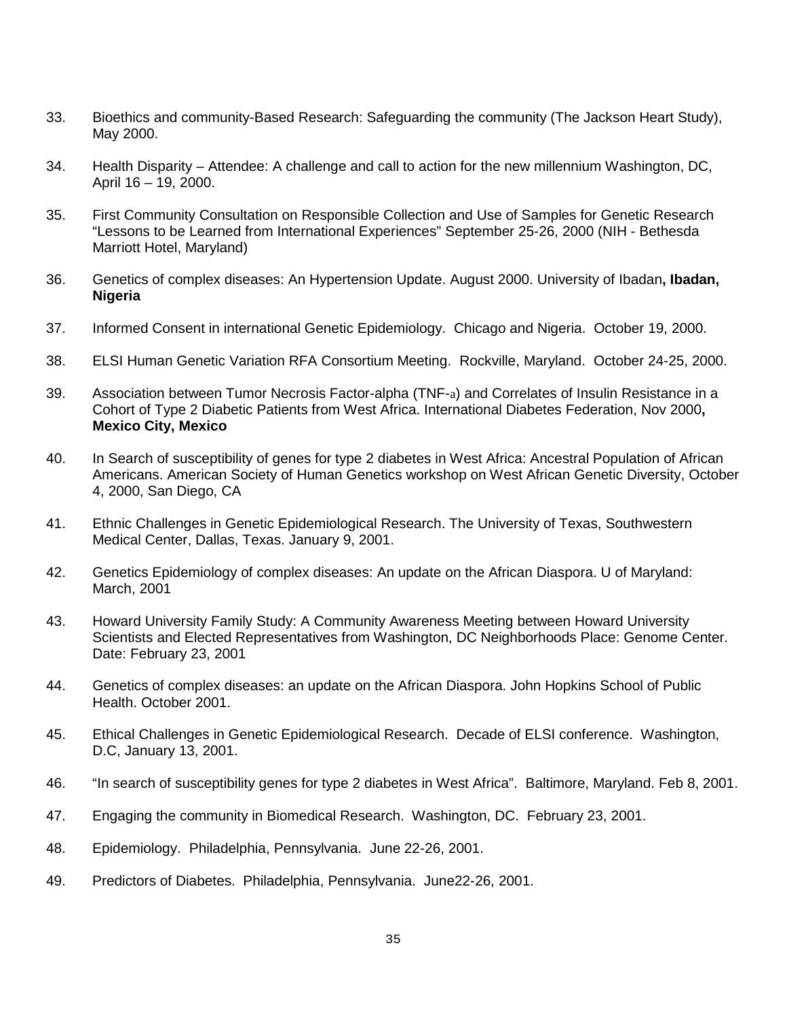- 33. Bioethics and community-Based Research: Safeguarding the community (The Jackson Heart Study), May 2000.
- 34. Health Disparity Attendee: A challenge and call to action for the new millennium Washington, DC, April 16 – 19, 2000.
- 35. First Community Consultation on Responsible Collection and Use of Samples for Genetic Research "Lessons to be Learned from International Experiences" September 25-26, 2000 (NIH - Bethesda Marriott Hotel, Maryland)
- 36. Genetics of complex diseases: An Hypertension Update. August 2000. University of Ibadan**, Ibadan, Nigeria**
- 37. Informed Consent in international Genetic Epidemiology. Chicago and Nigeria. October 19, 2000.
- 38. ELSI Human Genetic Variation RFA Consortium Meeting. Rockville, Maryland. October 24-25, 2000.
- 39. Association between Tumor Necrosis Factor-alpha (TNF-a) and Correlates of Insulin Resistance in a Cohort of Type 2 Diabetic Patients from West Africa. International Diabetes Federation, Nov 2000**, Mexico City, Mexico**
- 40. In Search of susceptibility of genes for type 2 diabetes in West Africa: Ancestral Population of African Americans. American Society of Human Genetics workshop on West African Genetic Diversity, October 4, 2000, San Diego, CA
- 41. Ethnic Challenges in Genetic Epidemiological Research. The University of Texas, Southwestern Medical Center, Dallas, Texas. January 9, 2001.
- 42. Genetics Epidemiology of complex diseases: An update on the African Diaspora. U of Maryland: March, 2001
- 43. Howard University Family Study: A Community Awareness Meeting between Howard University Scientists and Elected Representatives from Washington, DC Neighborhoods Place: Genome Center. Date: February 23, 2001
- 44. Genetics of complex diseases: an update on the African Diaspora. John Hopkins School of Public Health. October 2001.
- 45. Ethical Challenges in Genetic Epidemiological Research. Decade of ELSI conference. Washington, D.C, January 13, 2001.
- 46. "In search of susceptibility genes for type 2 diabetes in West Africa". Baltimore, Maryland. Feb 8, 2001.
- 47. Engaging the community in Biomedical Research. Washington, DC. February 23, 2001.
- 48. Epidemiology. Philadelphia, Pennsylvania. June 22-26, 2001.
- 49. Predictors of Diabetes. Philadelphia, Pennsylvania. June22-26, 2001.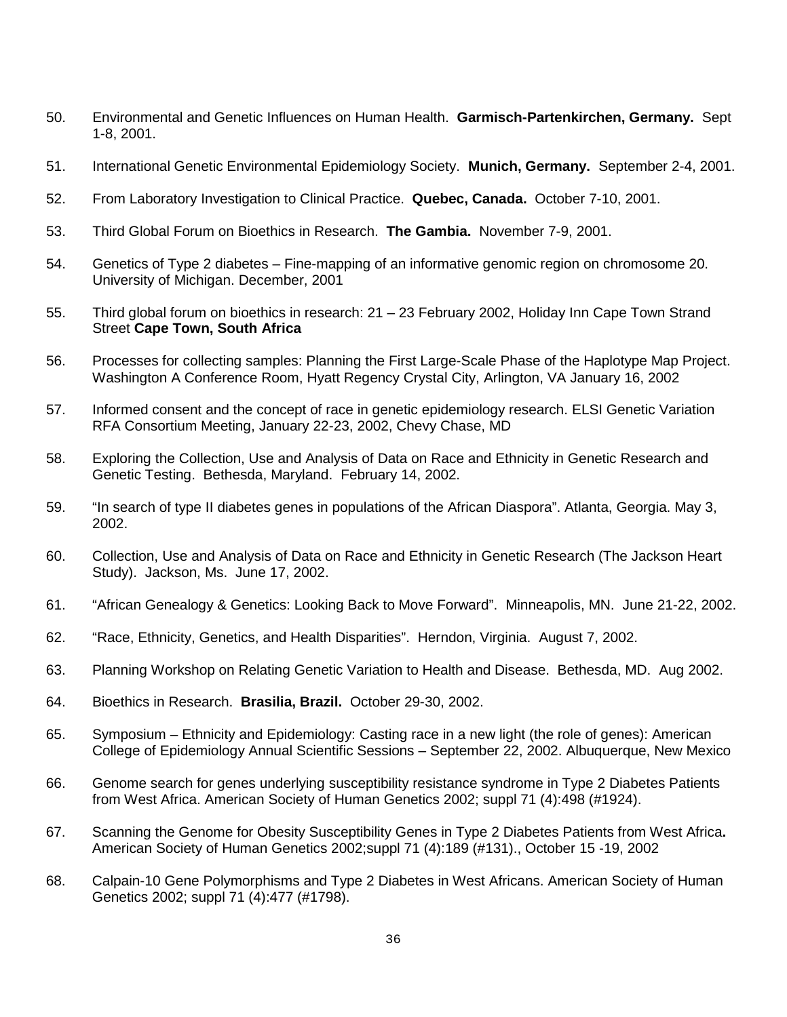- 50. Environmental and Genetic Influences on Human Health. **Garmisch-Partenkirchen, Germany.** Sept 1-8, 2001.
- 51. International Genetic Environmental Epidemiology Society. **Munich, Germany.** September 2-4, 2001.
- 52. From Laboratory Investigation to Clinical Practice. **Quebec, Canada.** October 7-10, 2001.
- 53. Third Global Forum on Bioethics in Research. **The Gambia.** November 7-9, 2001.
- 54. Genetics of Type 2 diabetes Fine-mapping of an informative genomic region on chromosome 20. University of Michigan. December, 2001
- 55. Third global forum on bioethics in research: 21 23 February 2002, Holiday Inn Cape Town Strand Street **Cape Town, South Africa**
- 56. Processes for collecting samples: Planning the First Large-Scale Phase of the Haplotype Map Project. Washington A Conference Room, Hyatt Regency Crystal City, Arlington, VA January 16, 2002
- 57. Informed consent and the concept of race in genetic epidemiology research. ELSI Genetic Variation RFA Consortium Meeting, January 22-23, 2002, Chevy Chase, MD
- 58. Exploring the Collection, Use and Analysis of Data on Race and Ethnicity in Genetic Research and Genetic Testing. Bethesda, Maryland. February 14, 2002.
- 59. "In search of type II diabetes genes in populations of the African Diaspora". Atlanta, Georgia. May 3, 2002.
- 60. Collection, Use and Analysis of Data on Race and Ethnicity in Genetic Research (The Jackson Heart Study). Jackson, Ms. June 17, 2002.
- 61. "African Genealogy & Genetics: Looking Back to Move Forward". Minneapolis, MN. June 21-22, 2002.
- 62. "Race, Ethnicity, Genetics, and Health Disparities". Herndon, Virginia. August 7, 2002.
- 63. Planning Workshop on Relating Genetic Variation to Health and Disease. Bethesda, MD. Aug 2002.
- 64. Bioethics in Research. **Brasilia, Brazil.** October 29-30, 2002.
- 65. Symposium Ethnicity and Epidemiology: Casting race in a new light (the role of genes): American College of Epidemiology Annual Scientific Sessions – September 22, 2002. Albuquerque, New Mexico
- 66. Genome search for genes underlying susceptibility resistance syndrome in Type 2 Diabetes Patients from West Africa. American Society of Human Genetics 2002; suppl 71 (4):498 (#1924).
- 67. Scanning the Genome for Obesity Susceptibility Genes in Type 2 Diabetes Patients from West Africa**.**  American Society of Human Genetics 2002;suppl 71 (4):189 (#131)., October 15 -19, 2002
- 68. Calpain-10 Gene Polymorphisms and Type 2 Diabetes in West Africans. American Society of Human Genetics 2002; suppl 71 (4):477 (#1798).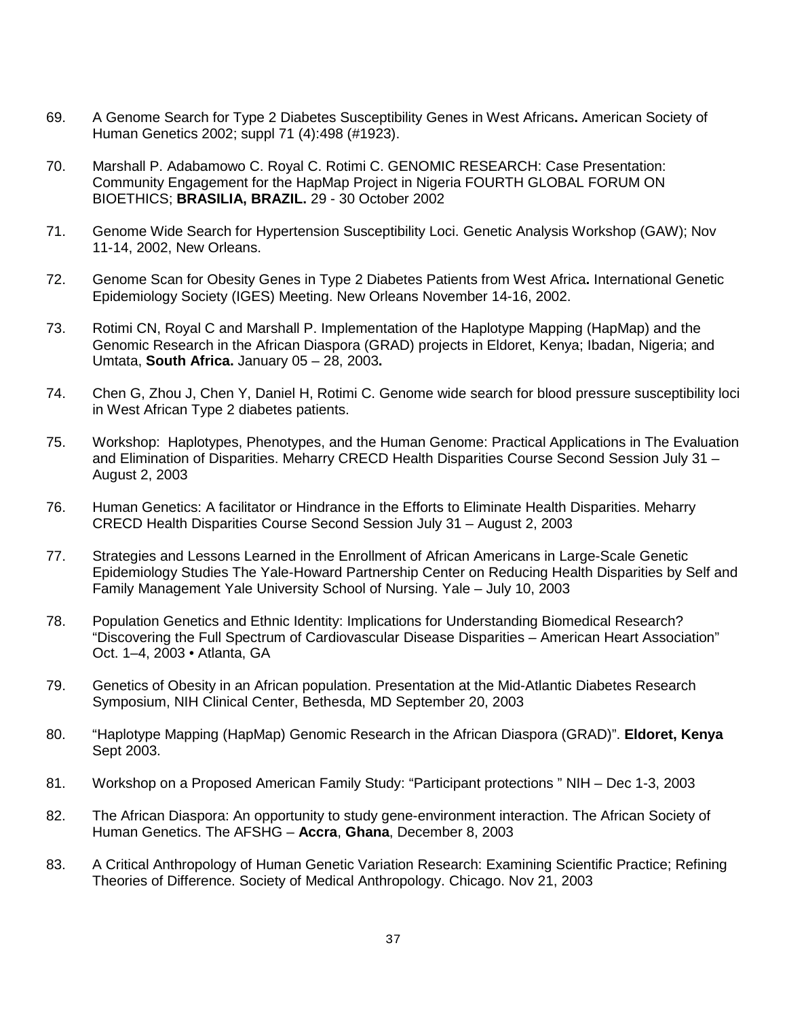- 69. A Genome Search for Type 2 Diabetes Susceptibility Genes in West Africans**.** American Society of Human Genetics 2002; suppl 71 (4):498 (#1923).
- 70. Marshall P. Adabamowo C. Royal C. Rotimi C. GENOMIC RESEARCH: Case Presentation: Community Engagement for the HapMap Project in Nigeria FOURTH GLOBAL FORUM ON BIOETHICS; **BRASILIA, BRAZIL.** 29 - 30 October 2002
- 71. Genome Wide Search for Hypertension Susceptibility Loci. Genetic Analysis Workshop (GAW); Nov 11-14, 2002, New Orleans.
- 72. Genome Scan for Obesity Genes in Type 2 Diabetes Patients from West Africa**.** International Genetic Epidemiology Society (IGES) Meeting. New Orleans November 14-16, 2002.
- 73. Rotimi CN, Royal C and Marshall P. Implementation of the Haplotype Mapping (HapMap) and the Genomic Research in the African Diaspora (GRAD) projects in Eldoret, Kenya; Ibadan, Nigeria; and Umtata, **South Africa.** January 05 – 28, 2003**.**
- 74. Chen G, Zhou J, Chen Y, Daniel H, Rotimi C. Genome wide search for blood pressure susceptibility loci in West African Type 2 diabetes patients.
- 75. Workshop: Haplotypes, Phenotypes, and the Human Genome: Practical Applications in The Evaluation and Elimination of Disparities. Meharry CRECD Health Disparities Course Second Session July 31 – August 2, 2003
- 76. Human Genetics: A facilitator or Hindrance in the Efforts to Eliminate Health Disparities. Meharry CRECD Health Disparities Course Second Session July 31 – August 2, 2003
- 77. Strategies and Lessons Learned in the Enrollment of African Americans in Large-Scale Genetic Epidemiology Studies The Yale-Howard Partnership Center on Reducing Health Disparities by Self and Family Management Yale University School of Nursing. Yale – July 10, 2003
- 78. Population Genetics and Ethnic Identity: Implications for Understanding Biomedical Research? "Discovering the Full Spectrum of Cardiovascular Disease Disparities – American Heart Association" Oct. 1–4, 2003 • Atlanta, GA
- 79. Genetics of Obesity in an African population. Presentation at the Mid-Atlantic Diabetes Research Symposium, NIH Clinical Center, Bethesda, MD September 20, 2003
- 80. "Haplotype Mapping (HapMap) Genomic Research in the African Diaspora (GRAD)". **Eldoret, Kenya**  Sept 2003.
- 81. Workshop on a Proposed American Family Study: "Participant protections " NIH Dec 1-3, 2003
- 82. The African Diaspora: An opportunity to study gene-environment interaction. The African Society of Human Genetics. The AFSHG – **Accra**, **Ghana**, December 8, 2003
- 83. A Critical Anthropology of Human Genetic Variation Research: Examining Scientific Practice; Refining Theories of Difference. Society of Medical Anthropology. Chicago. Nov 21, 2003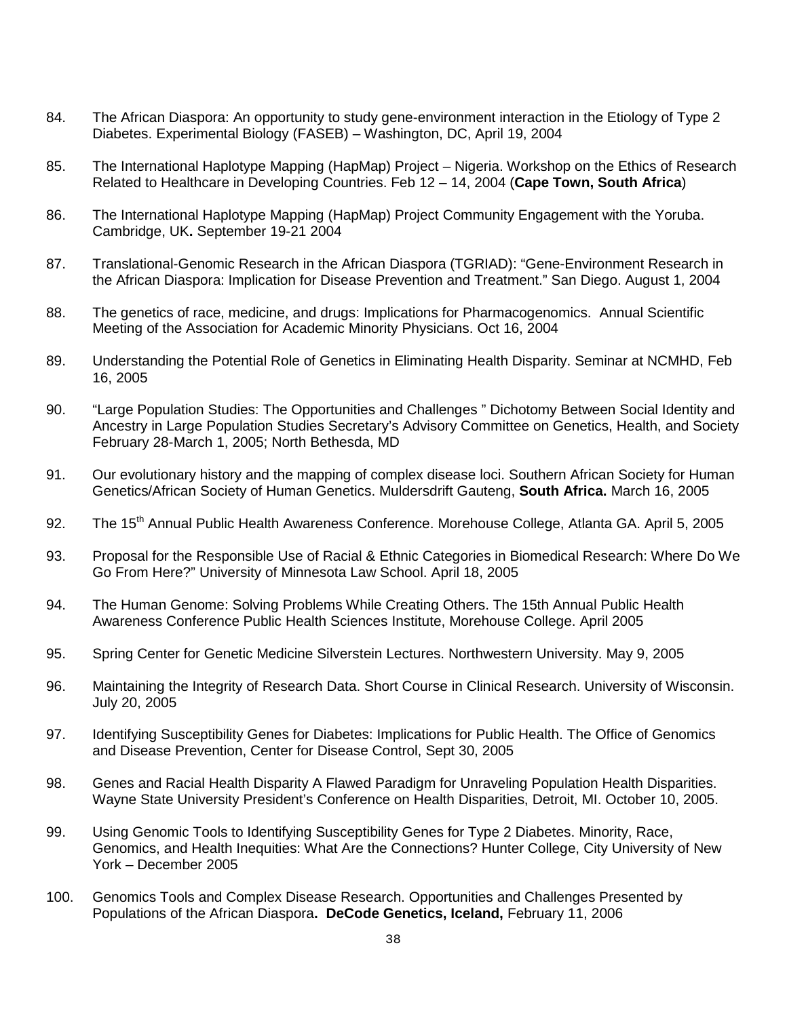- 84. The African Diaspora: An opportunity to study gene-environment interaction in the Etiology of Type 2 Diabetes. Experimental Biology (FASEB) – Washington, DC, April 19, 2004
- 85. The International Haplotype Mapping (HapMap) Project Nigeria. Workshop on the Ethics of Research Related to Healthcare in Developing Countries. Feb 12 – 14, 2004 (**Cape Town, South Africa**)
- 86. The International Haplotype Mapping (HapMap) Project Community Engagement with the Yoruba. Cambridge, UK**.** September 19-21 2004
- 87. Translational-Genomic Research in the African Diaspora (TGRIAD): "Gene-Environment Research in the African Diaspora: Implication for Disease Prevention and Treatment." San Diego. August 1, 2004
- 88. The genetics of race, medicine, and drugs: Implications for Pharmacogenomics. Annual Scientific Meeting of the Association for Academic Minority Physicians. Oct 16, 2004
- 89. Understanding the Potential Role of Genetics in Eliminating Health Disparity. Seminar at NCMHD, Feb 16, 2005
- 90. "Large Population Studies: The Opportunities and Challenges " Dichotomy Between Social Identity and Ancestry in Large Population Studies Secretary's Advisory Committee on Genetics, Health, and Society February 28-March 1, 2005; North Bethesda, MD
- 91. Our evolutionary history and the mapping of complex disease loci. Southern African Society for Human Genetics/African Society of Human Genetics. Muldersdrift Gauteng, **South Africa.** March 16, 2005
- 92. The 15<sup>th</sup> Annual Public Health Awareness Conference. Morehouse College, Atlanta GA. April 5, 2005
- 93. Proposal for the Responsible Use of Racial & Ethnic Categories in Biomedical Research: Where Do We Go From Here?" University of Minnesota Law School. April 18, 2005
- 94. The Human Genome: Solving Problems While Creating Others. The 15th Annual Public Health Awareness Conference Public Health Sciences Institute, Morehouse College. April 2005
- 95. Spring Center for Genetic Medicine Silverstein Lectures. Northwestern University. May 9, 2005
- 96. Maintaining the Integrity of Research Data. Short Course in Clinical Research. University of Wisconsin. July 20, 2005
- 97. Identifying Susceptibility Genes for Diabetes: Implications for Public Health. The Office of Genomics and Disease Prevention, Center for Disease Control, Sept 30, 2005
- 98. Genes and Racial Health Disparity A Flawed Paradigm for Unraveling Population Health Disparities. Wayne State University President's Conference on Health Disparities, Detroit, MI. October 10, 2005.
- 99. Using Genomic Tools to Identifying Susceptibility Genes for Type 2 Diabetes. Minority, Race, Genomics, and Health Inequities: What Are the Connections? Hunter College, City University of New York – December 2005
- 100. Genomics Tools and Complex Disease Research. Opportunities and Challenges Presented by Populations of the African Diaspora**. DeCode Genetics, Iceland,** February 11, 2006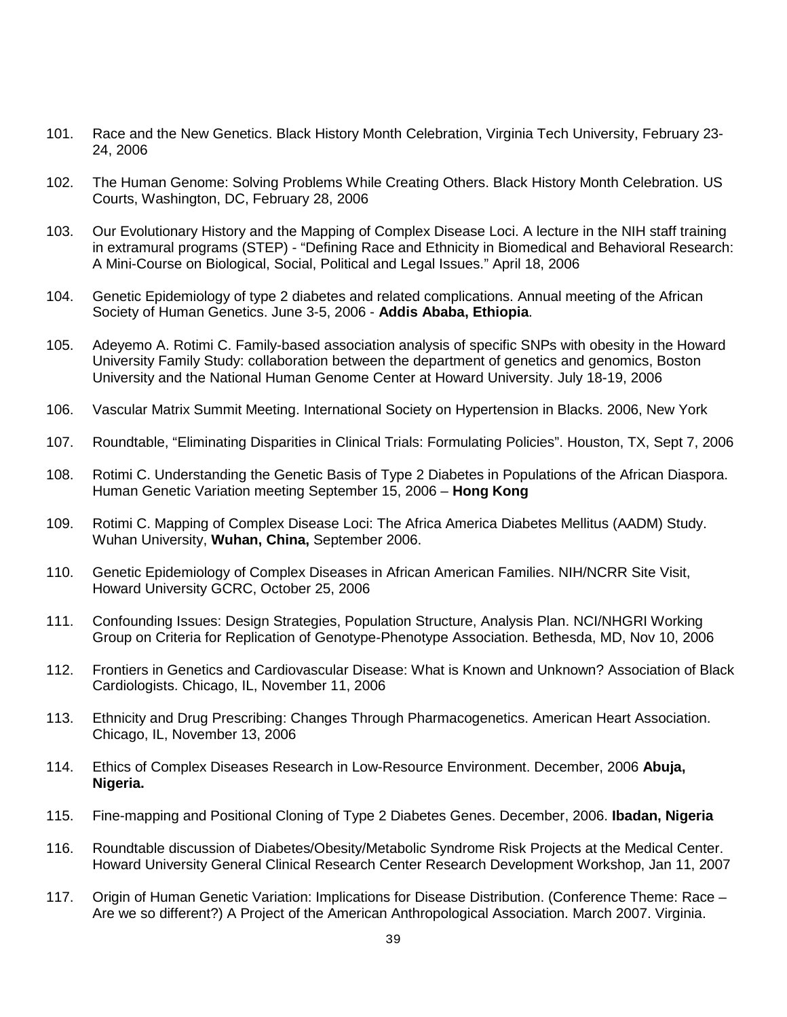- 101. Race and the New Genetics. Black History Month Celebration, Virginia Tech University, February 23- 24, 2006
- 102. The Human Genome: Solving Problems While Creating Others. Black History Month Celebration. US Courts, Washington, DC, February 28, 2006
- 103. Our Evolutionary History and the Mapping of Complex Disease Loci. A lecture in the NIH staff training in extramural programs (STEP) - "Defining Race and Ethnicity in Biomedical and Behavioral Research: A Mini-Course on Biological, Social, Political and Legal Issues." April 18, 2006
- 104. Genetic Epidemiology of type 2 diabetes and related complications. Annual meeting of the African Society of Human Genetics. June 3-5, 2006 - **Addis Ababa, Ethiopia**.
- 105. Adeyemo A. Rotimi C. Family-based association analysis of specific SNPs with obesity in the Howard University Family Study: collaboration between the department of genetics and genomics, Boston University and the National Human Genome Center at Howard University. July 18-19, 2006
- 106. Vascular Matrix Summit Meeting. International Society on Hypertension in Blacks. 2006, New York
- 107. Roundtable, "Eliminating Disparities in Clinical Trials: Formulating Policies". Houston, TX, Sept 7, 2006
- 108. Rotimi C. Understanding the Genetic Basis of Type 2 Diabetes in Populations of the African Diaspora. Human Genetic Variation meeting September 15, 2006 – **Hong Kong**
- 109. Rotimi C. Mapping of Complex Disease Loci: The Africa America Diabetes Mellitus (AADM) Study. Wuhan University, **Wuhan, China,** September 2006.
- 110. Genetic Epidemiology of Complex Diseases in African American Families. NIH/NCRR Site Visit, Howard University GCRC, October 25, 2006
- 111. Confounding Issues: Design Strategies, Population Structure, Analysis Plan. NCI/NHGRI Working Group on Criteria for Replication of Genotype-Phenotype Association. Bethesda, MD, Nov 10, 2006
- 112. Frontiers in Genetics and Cardiovascular Disease: What is Known and Unknown? Association of Black Cardiologists. Chicago, IL, November 11, 2006
- 113. Ethnicity and Drug Prescribing: Changes Through Pharmacogenetics. American Heart Association. Chicago, IL, November 13, 2006
- 114. Ethics of Complex Diseases Research in Low-Resource Environment. December, 2006 **Abuja, Nigeria.**
- 115. Fine-mapping and Positional Cloning of Type 2 Diabetes Genes. December, 2006. **Ibadan, Nigeria**
- 116. Roundtable discussion of Diabetes/Obesity/Metabolic Syndrome Risk Projects at the Medical Center. Howard University General Clinical Research Center Research Development Workshop, Jan 11, 2007
- 117. Origin of Human Genetic Variation: Implications for Disease Distribution. (Conference Theme: Race Are we so different?) A Project of the American Anthropological Association. March 2007. Virginia.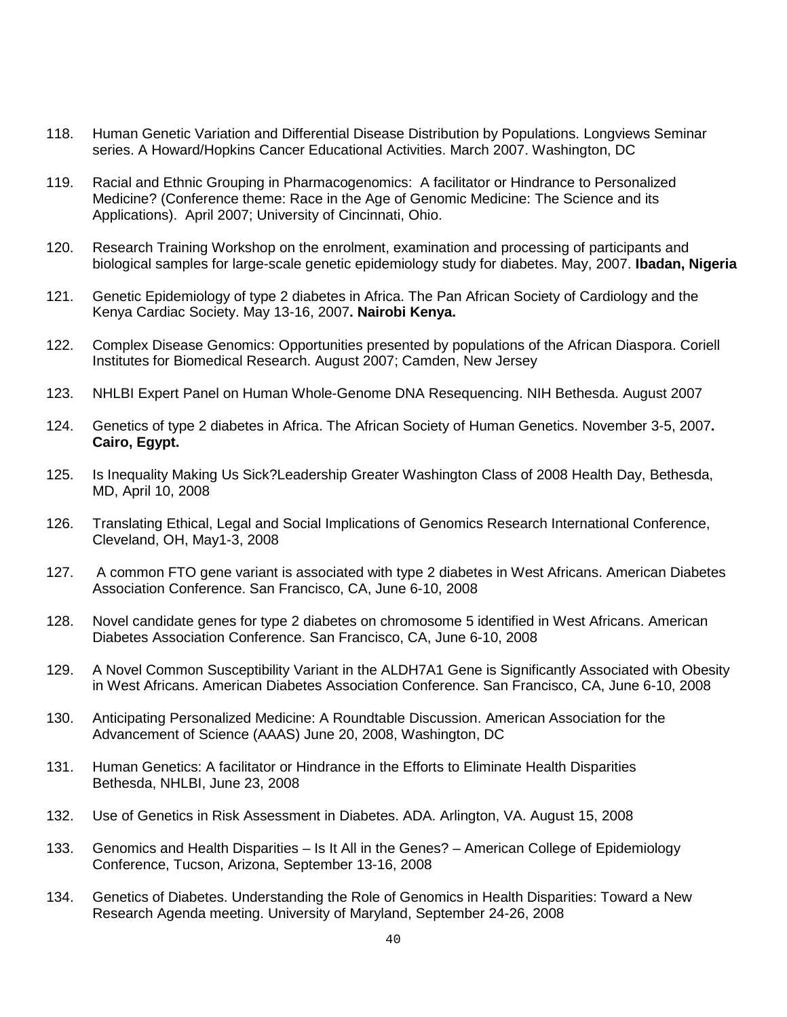- 118. Human Genetic Variation and Differential Disease Distribution by Populations. Longviews Seminar series. A Howard/Hopkins Cancer Educational Activities. March 2007. Washington, DC
- 119. Racial and Ethnic Grouping in Pharmacogenomics: A facilitator or Hindrance to Personalized Medicine? (Conference theme: Race in the Age of Genomic Medicine: The Science and its Applications). April 2007; University of Cincinnati, Ohio.
- 120. Research Training Workshop on the enrolment, examination and processing of participants and biological samples for large-scale genetic epidemiology study for diabetes. May, 2007. **Ibadan, Nigeria**
- 121. Genetic Epidemiology of type 2 diabetes in Africa. The Pan African Society of Cardiology and the Kenya Cardiac Society. May 13-16, 2007**. Nairobi Kenya.**
- 122. Complex Disease Genomics: Opportunities presented by populations of the African Diaspora. Coriell Institutes for Biomedical Research. August 2007; Camden, New Jersey
- 123. NHLBI Expert Panel on Human Whole-Genome DNA Resequencing. NIH Bethesda. August 2007
- 124. Genetics of type 2 diabetes in Africa. The African Society of Human Genetics. November 3-5, 2007**. Cairo, Egypt.**
- 125. Is Inequality Making Us Sick?Leadership Greater Washington Class of 2008 Health Day, Bethesda, MD, April 10, 2008
- 126. Translating Ethical, Legal and Social Implications of Genomics Research International Conference, Cleveland, OH, May1-3, 2008
- 127. A common FTO gene variant is associated with type 2 diabetes in West Africans. American Diabetes Association Conference. San Francisco, CA, June 6-10, 2008
- 128. Novel candidate genes for type 2 diabetes on chromosome 5 identified in West Africans. American Diabetes Association Conference. San Francisco, CA, June 6-10, 2008
- 129. A Novel Common Susceptibility Variant in the ALDH7A1 Gene is Significantly Associated with Obesity in West Africans. American Diabetes Association Conference. San Francisco, CA, June 6-10, 2008
- 130. Anticipating Personalized Medicine: A Roundtable Discussion. American Association for the Advancement of Science (AAAS) June 20, 2008, Washington, DC
- 131. Human Genetics: A facilitator or Hindrance in the Efforts to Eliminate Health Disparities Bethesda, NHLBI, June 23, 2008
- 132. Use of Genetics in Risk Assessment in Diabetes. ADA. Arlington, VA. August 15, 2008
- 133. Genomics and Health Disparities Is It All in the Genes? American College of Epidemiology Conference, Tucson, Arizona, September 13-16, 2008
- 134. Genetics of Diabetes. Understanding the Role of Genomics in Health Disparities: Toward a New Research Agenda meeting. University of Maryland, September 24-26, 2008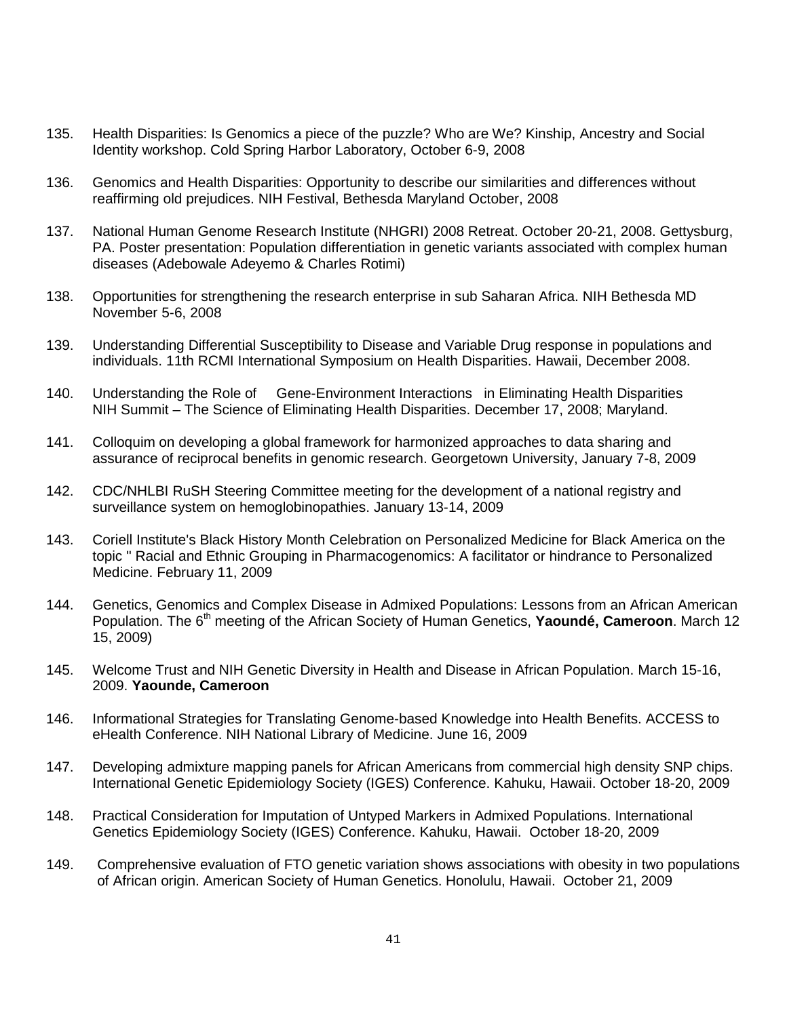- 135. Health Disparities: Is Genomics a piece of the puzzle? Who are We? Kinship, Ancestry and Social Identity workshop. Cold Spring Harbor Laboratory, October 6-9, 2008
- 136. Genomics and Health Disparities: Opportunity to describe our similarities and differences without reaffirming old prejudices. NIH Festival, Bethesda Maryland October, 2008
- 137. National Human Genome Research Institute (NHGRI) 2008 Retreat. October 20-21, 2008. Gettysburg, PA. Poster presentation: Population differentiation in genetic variants associated with complex human diseases (Adebowale Adeyemo & Charles Rotimi)
- 138. Opportunities for strengthening the research enterprise in sub Saharan Africa. NIH Bethesda MD November 5-6, 2008
- 139. Understanding Differential Susceptibility to Disease and Variable Drug response in populations and individuals. 11th RCMI International Symposium on Health Disparities. Hawaii, December 2008.
- 140. Understanding the Role of Gene-Environment Interactions in Eliminating Health Disparities NIH Summit – The Science of Eliminating Health Disparities. December 17, 2008; Maryland.
- 141. Colloquim on developing a global framework for harmonized approaches to data sharing and assurance of reciprocal benefits in genomic research. Georgetown University, January 7-8, 2009
- 142. CDC/NHLBI RuSH Steering Committee meeting for the development of a national registry and surveillance system on hemoglobinopathies. January 13-14, 2009
- 143. Coriell Institute's Black History Month Celebration on Personalized Medicine for Black America on the topic " Racial and Ethnic Grouping in Pharmacogenomics: A facilitator or hindrance to Personalized Medicine. February 11, 2009
- 144. Genetics, Genomics and Complex Disease in Admixed Populations: Lessons from an African American Population. The 6<sup>th</sup> meeting of the African Society of Human Genetics, Yaoundé, Cameroon. March 12 15, 2009)
- 145. Welcome Trust and NIH Genetic Diversity in Health and Disease in African Population. March 15-16, 2009. **Yaounde, Cameroon**
- 146. Informational Strategies for Translating Genome-based Knowledge into Health Benefits. ACCESS to eHealth Conference. NIH National Library of Medicine. June 16, 2009
- 147. Developing admixture mapping panels for African Americans from commercial high density SNP chips. International Genetic Epidemiology Society (IGES) Conference. Kahuku, Hawaii. October 18-20, 2009
- 148. Practical Consideration for Imputation of Untyped Markers in Admixed Populations. International Genetics Epidemiology Society (IGES) Conference. Kahuku, Hawaii. October 18-20, 2009
- 149. Comprehensive evaluation of FTO genetic variation shows associations with obesity in two populations of African origin. American Society of Human Genetics. Honolulu, Hawaii. October 21, 2009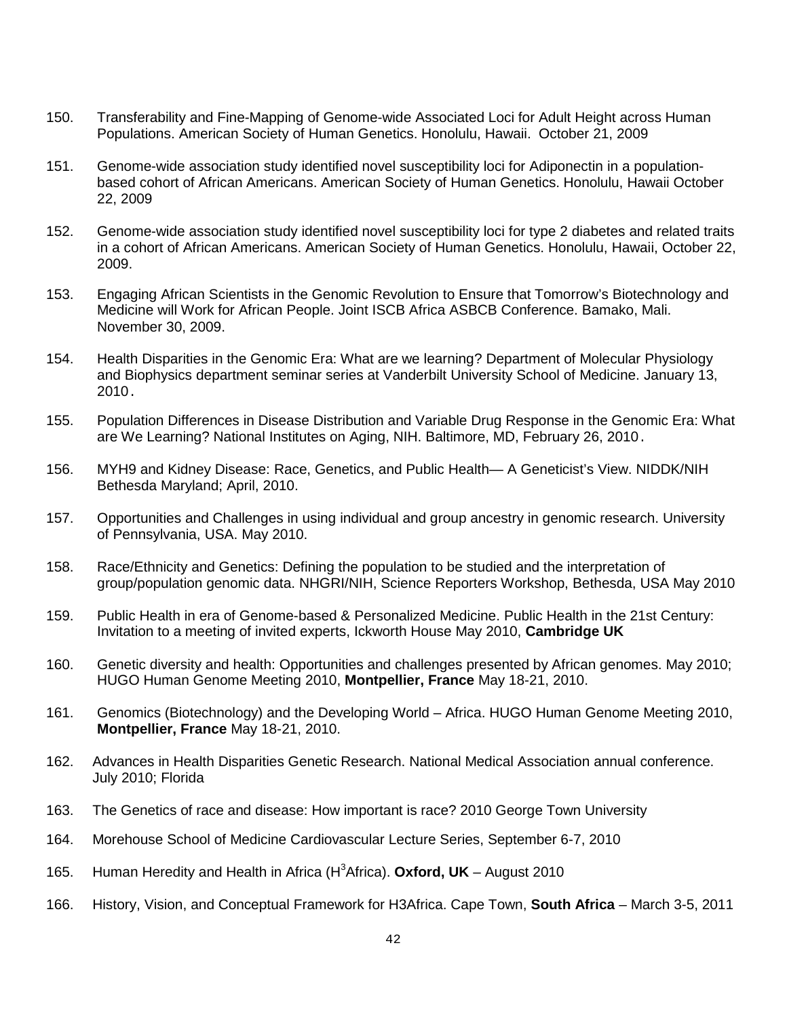- 150. Transferability and Fine-Mapping of Genome-wide Associated Loci for Adult Height across Human Populations. American Society of Human Genetics. Honolulu, Hawaii. October 21, 2009
- 151. Genome-wide association study identified novel susceptibility loci for Adiponectin in a populationbased cohort of African Americans. American Society of Human Genetics. Honolulu, Hawaii October 22, 2009
- 152. Genome-wide association study identified novel susceptibility loci for type 2 diabetes and related traits in a cohort of African Americans. American Society of Human Genetics. Honolulu, Hawaii, October 22, 2009.
- 153. Engaging African Scientists in the Genomic Revolution to Ensure that Tomorrow's Biotechnology and Medicine will Work for African People. [Joint ISCB Africa ASBCB Conference.](http://www.iscb.org/) Bamako, Mali. November 30, 2009.
- 154. Health Disparities in the Genomic Era: What are we learning? Department of Molecular Physiology and Biophysics department seminar series at Vanderbilt University School of Medicine. January 13, 2010.
- 155. Population Differences in Disease Distribution and Variable Drug Response in the Genomic Era: What are We Learning? National Institutes on Aging, NIH. Baltimore, MD, February 26, 2010.
- 156. MYH9 and Kidney Disease: Race, Genetics, and Public Health— A Geneticist's View. NIDDK/NIH Bethesda Maryland; April, 2010.
- 157. Opportunities and Challenges in using individual and group ancestry in genomic research. University of Pennsylvania, USA. May 2010.
- 158. Race/Ethnicity and Genetics: Defining the population to be studied and the interpretation of group/population genomic data. NHGRI/NIH, Science Reporters Workshop, Bethesda, USA May 2010
- 159. Public Health in era of Genome-based & Personalized Medicine. Public Health in the 21st Century: Invitation to a meeting of invited experts, Ickworth House May 2010, **Cambridge UK**
- 160. Genetic diversity and health: Opportunities and challenges presented by African genomes. May 2010; HUGO Human Genome Meeting 2010, **Montpellier, France** May 18-21, 2010.
- 161. Genomics (Biotechnology) and the Developing World Africa. HUGO Human Genome Meeting 2010, **Montpellier, France** May 18-21, 2010.
- 162. Advances in Health Disparities Genetic Research. National Medical Association annual conference. July 2010; Florida
- 163. The Genetics of race and disease: How important is race? 2010 George Town University
- 164. Morehouse School of Medicine Cardiovascular Lecture Series, September 6-7, 2010
- 165. Human Heredity and Health in Africa (H<sup>3</sup>Africa). Oxford, UK August 2010
- 166. History, Vision, and Conceptual Framework for H3Africa. Cape Town, **South Africa** March 3-5, 2011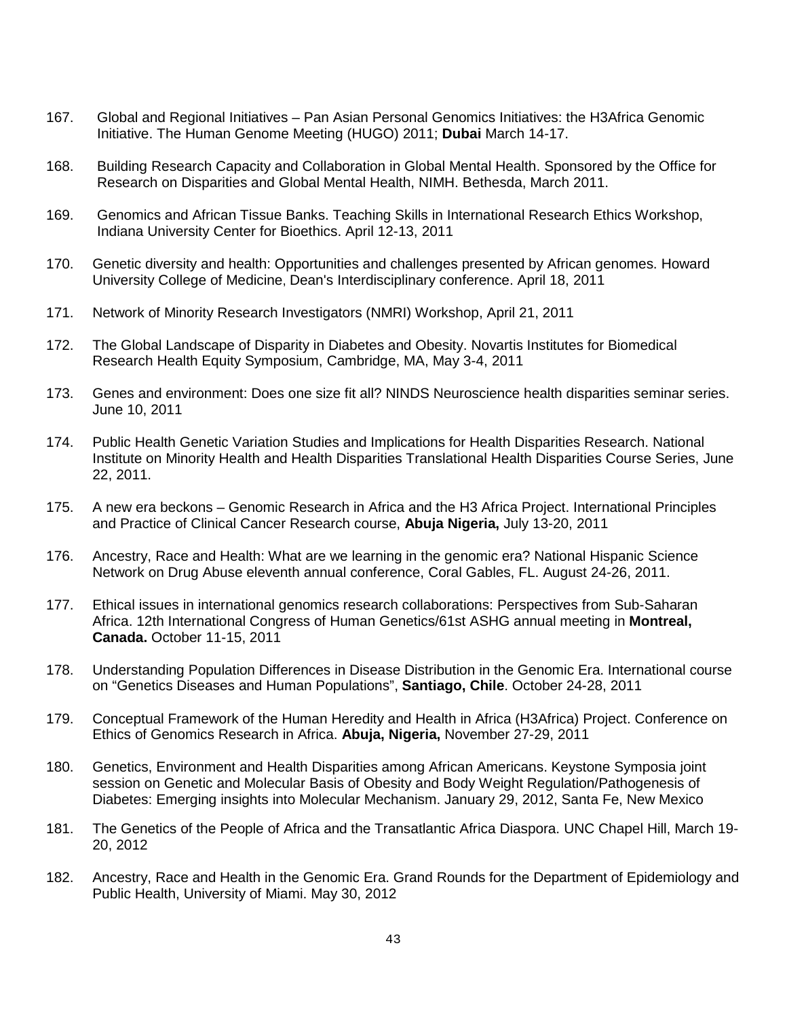- 167. Global and Regional Initiatives Pan Asian Personal Genomics Initiatives: the H3Africa Genomic Initiative. The Human Genome Meeting (HUGO) 2011; **Dubai** March 14-17.
- 168. Building Research Capacity and Collaboration in Global Mental Health. Sponsored by the Office for Research on Disparities and Global Mental Health, NIMH. Bethesda, March 2011.
- 169. Genomics and African Tissue Banks. Teaching Skills in International Research Ethics Workshop, Indiana University Center for Bioethics. April 12-13, 2011
- 170. Genetic diversity and health: Opportunities and challenges presented by African genomes. Howard University College of Medicine, Dean's Interdisciplinary conference. April 18, 2011
- 171. Network of Minority Research Investigators (NMRI) Workshop, April 21, 2011
- 172. The Global Landscape of Disparity in Diabetes and Obesity. Novartis Institutes for Biomedical Research Health Equity Symposium, Cambridge, MA, May 3-4, 2011
- 173. Genes and environment: Does one size fit all? NINDS Neuroscience health disparities seminar series. June 10, 2011
- 174. Public Health Genetic Variation Studies and Implications for Health Disparities Research. National Institute on Minority Health and Health Disparities Translational Health Disparities Course Series, June 22, 2011.
- 175. A new era beckons Genomic Research in Africa and the H3 Africa Project. International Principles and Practice of Clinical Cancer Research course, **Abuja Nigeria,** July 13-20, 2011
- 176. Ancestry, Race and Health: What are we learning in the genomic era? National Hispanic Science Network on Drug Abuse eleventh annual conference, Coral Gables, FL. August 24-26, 2011.
- 177. Ethical issues in international genomics research collaborations: Perspectives from Sub-Saharan Africa. 12th International Congress of Human Genetics/61st ASHG annual meeting in **Montreal, Canada.** October 11-15, 2011
- 178. Understanding Population Differences in Disease Distribution in the Genomic Era. International course on "Genetics Diseases and Human Populations", **Santiago, Chile**. October 24-28, 2011
- 179. Conceptual Framework of the Human Heredity and Health in Africa (H3Africa) Project. Conference on Ethics of Genomics Research in Africa. **Abuja, Nigeria,** November 27-29, 2011
- 180. Genetics, Environment and Health Disparities among African Americans. Keystone Symposia joint session on Genetic and Molecular Basis of Obesity and Body Weight Regulation/Pathogenesis of Diabetes: Emerging insights into Molecular Mechanism. January 29, 2012, Santa Fe, New Mexico
- 181. The Genetics of the People of Africa and the Transatlantic Africa Diaspora. UNC Chapel Hill, March 19- 20, 2012
- 182. Ancestry, Race and Health in the Genomic Era. Grand Rounds for the Department of Epidemiology and Public Health, University of Miami. May 30, 2012